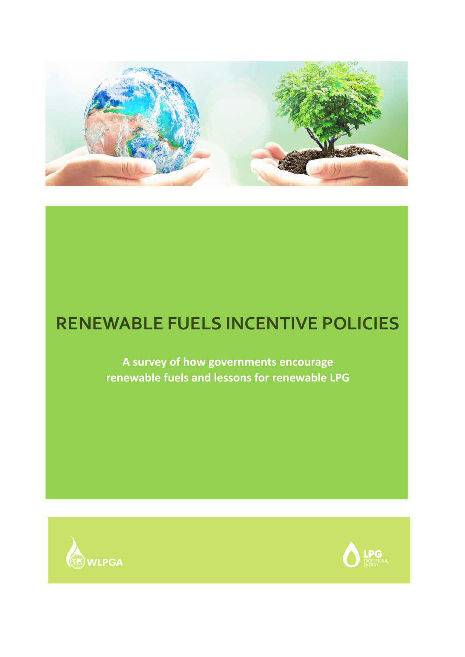

# **RENEWABLE FUELS INCENTIVE POLICIES**

**A survey of how governments encourage renewable fuels and lessons for renewable LPG** 



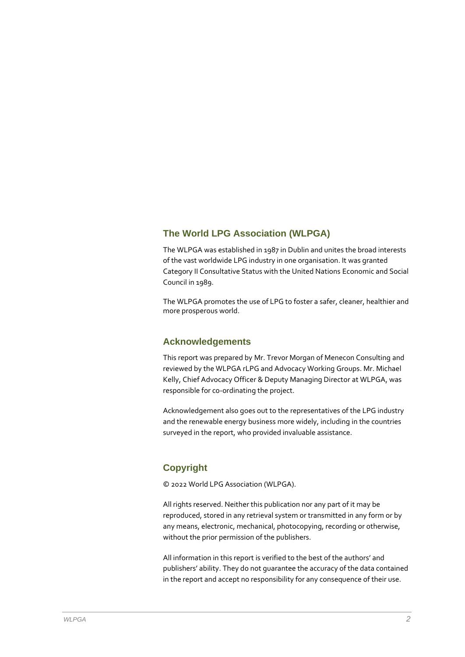#### **The World LPG Association (WLPGA)**

The WLPGA was established in 1987 in Dublin and unites the broad interests of the vast worldwide LPG industry in one organisation. It was granted Category II Consultative Status with the United Nations Economic and Social Council in 1989.

The WLPGA promotes the use of LPG to foster a safer, cleaner, healthier and more prosperous world.

#### **Acknowledgements**

This report was prepared by Mr. Trevor Morgan of Menecon Consulting and reviewed by the WLPGA rLPG and Advocacy Working Groups. Mr. Michael Kelly, Chief Advocacy Officer & Deputy Managing Director at WLPGA, was responsible for co-ordinating the project.

Acknowledgement also goes out to the representatives of the LPG industry and the renewable energy business more widely, including in the countries surveyed in the report, who provided invaluable assistance.

#### **Copyright**

© 2022 World LPG Association (WLPGA).

All rights reserved. Neither this publication nor any part of it may be reproduced, stored in any retrieval system or transmitted in any form or by any means, electronic, mechanical, photocopying, recording or otherwise, without the prior permission of the publishers.

All information in this report is verified to the best of the authors' and publishers' ability. They do not guarantee the accuracy of the data contained in the report and accept no responsibility for any consequence of their use.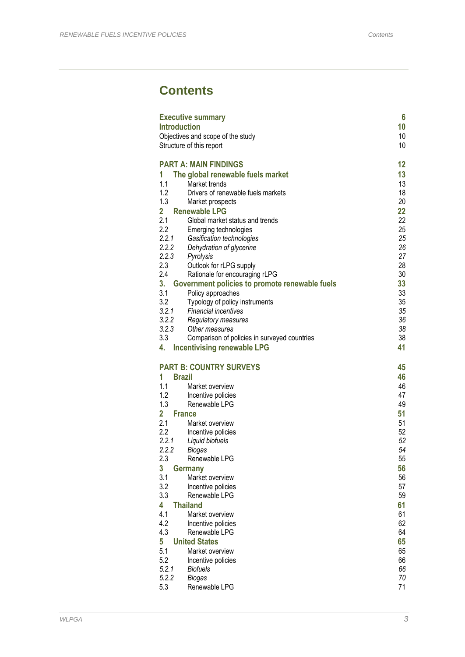## **Contents**

| <b>Introduction</b> | <b>Executive summary</b>                                                           | $6\phantom{a}$<br>10 |
|---------------------|------------------------------------------------------------------------------------|----------------------|
|                     | Objectives and scope of the study                                                  | 10                   |
|                     | Structure of this report                                                           | 10                   |
|                     | <b>PART A: MAIN FINDINGS</b>                                                       | 12                   |
| 1                   | The global renewable fuels market                                                  | 13                   |
| 1.1                 | Market trends                                                                      | 13                   |
| 1.2                 | Drivers of renewable fuels markets                                                 | 18                   |
| 1.3                 | Market prospects                                                                   | 20                   |
| $\overline{2}$      | <b>Renewable LPG</b>                                                               | 22                   |
| 2.1                 | Global market status and trends                                                    | 22                   |
| 2.2                 | Emerging technologies                                                              | 25                   |
| 2.2.1               | Gasification technologies                                                          | 25                   |
| 2.2.2               | Dehydration of glycerine                                                           | 26                   |
| 2.2.3               | Pyrolysis                                                                          | 27                   |
| 2.3                 | Outlook for rLPG supply                                                            | 28                   |
| 2.4                 | Rationale for encouraging rLPG                                                     | 30                   |
| 3.                  | Government policies to promote renewable fuels                                     | 33                   |
| 3.1                 | Policy approaches                                                                  | 33                   |
| 3.2                 | Typology of policy instruments                                                     | 35                   |
| 3.2.1               | <b>Financial incentives</b>                                                        | 35                   |
| 3.2.2<br>3.2.3      | Regulatory measures<br>Other measures                                              | 36<br>38             |
| 3.3                 |                                                                                    | 38                   |
| 4.                  | Comparison of policies in surveyed countries<br><b>Incentivising renewable LPG</b> | 41                   |
| 1                   | <b>PART B: COUNTRY SURVEYS</b><br><b>Brazil</b>                                    | 45<br>46             |
| 1.1                 | Market overview                                                                    | 46                   |
| 1.2                 | Incentive policies                                                                 | 47                   |
| 1.3                 | Renewable LPG                                                                      | 49                   |
| $\overline{2}$      | <b>France</b>                                                                      | 51                   |
| 2.1                 | Market overview                                                                    | 51                   |
| 2.2                 | Incentive policies                                                                 | 52                   |
| 2.2.1               | Liquid biofuels                                                                    | 52                   |
| 2.2.2               | <b>Biogas</b>                                                                      | 54<br>55             |
| 2.3                 | Renewable LPG                                                                      |                      |
| 3                   | <b>Germany</b>                                                                     | 56                   |
| 3.1<br>3.2          | Market overview<br>Incentive policies                                              | 56<br>57             |
| 3.3                 | Renewable LPG                                                                      | 59                   |
| 4                   | <b>Thailand</b>                                                                    | 61                   |
| 4.1                 | Market overview                                                                    | 61                   |
| 4.2                 | Incentive policies                                                                 | 62                   |
| 4.3                 | Renewable LPG                                                                      | 64                   |
| 5                   | <b>United States</b>                                                               | 65                   |
| 5.1                 | Market overview                                                                    | 65                   |
| 5.2                 | Incentive policies                                                                 | 66                   |
| 5.2.1               | <b>Biofuels</b>                                                                    | 66                   |
| 5.2.2               | <b>Biogas</b>                                                                      | 70                   |
| 5.3                 | Renewable LPG                                                                      | 71                   |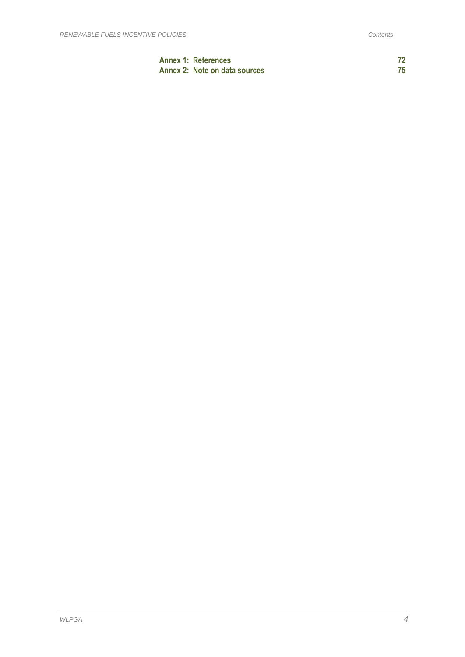| <b>Annex 1: References</b>    |  |
|-------------------------------|--|
| Annex 2: Note on data sources |  |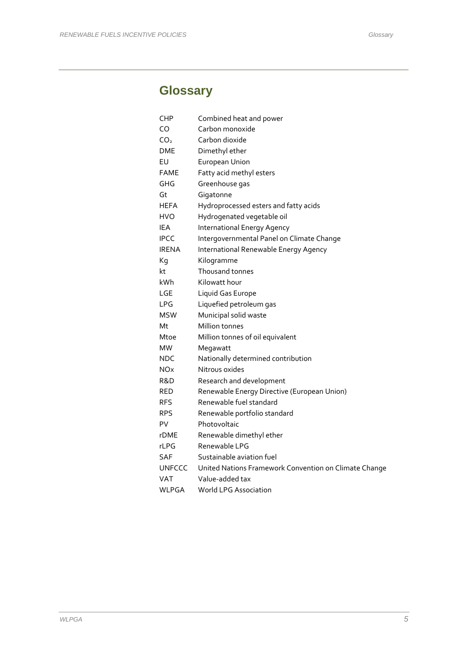## **Glossary**

| CHP             | Combined heat and power                               |
|-----------------|-------------------------------------------------------|
| CO              | Carbon monoxide                                       |
| CO <sub>2</sub> | Carbon dioxide                                        |
| DME             | Dimethyl ether                                        |
| EU              | European Union                                        |
| <b>FAME</b>     | Fatty acid methyl esters                              |
| GHG             | Greenhouse gas                                        |
| Gt              | Gigatonne                                             |
| <b>HEFA</b>     | Hydroprocessed esters and fatty acids                 |
| HVO             | Hydrogenated vegetable oil                            |
| <b>IEA</b>      | <b>International Energy Agency</b>                    |
| <b>IPCC</b>     | Intergovernmental Panel on Climate Change             |
| <b>IRENA</b>    | International Renewable Energy Agency                 |
| Kg              | Kilogramme                                            |
| kt              | Thousand tonnes                                       |
| kWh             | Kilowatt hour                                         |
| LGE             | Liquid Gas Europe                                     |
| <b>LPG</b>      | Liquefied petroleum gas                               |
| <b>MSW</b>      | Municipal solid waste                                 |
| Mt              | Million tonnes                                        |
| Mtoe            | Million tonnes of oil equivalent                      |
| <b>MW</b>       | Megawatt                                              |
| <b>NDC</b>      | Nationally determined contribution                    |
| <b>NOx</b>      | Nitrous oxides                                        |
| R&D             | Research and development                              |
| RED             | Renewable Energy Directive (European Union)           |
| RFS             | Renewable fuel standard                               |
| RPS             | Renewable portfolio standard                          |
| PV              | Photovoltaic                                          |
| rDME            | Renewable dimethyl ether                              |
| rLPG            | Renewable LPG                                         |
| <b>SAF</b>      | Sustainable aviation fuel                             |
| <b>UNFCCC</b>   | United Nations Framework Convention on Climate Change |
| VAT             | Value-added tax                                       |
| WLPGA           | World LPG Association                                 |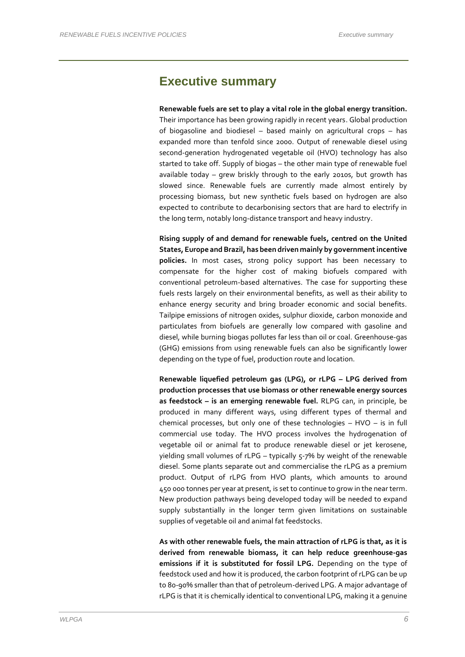### **Executive summary**

**Renewable fuels are set to play a vital role in the global energy transition.**  Their importance has been growing rapidly in recent years. Global production of biogasoline and biodiesel – based mainly on agricultural crops – has expanded more than tenfold since 2000. Output of renewable diesel using second-generation hydrogenated vegetable oil (HVO) technology has also started to take off. Supply of biogas – the other main type of renewable fuel available today – grew briskly through to the early 2010s, but growth has slowed since. Renewable fuels are currently made almost entirely by processing biomass, but new synthetic fuels based on hydrogen are also expected to contribute to decarbonising sectors that are hard to electrify in the long term, notably long-distance transport and heavy industry.

**Rising supply of and demand for renewable fuels, centred on the United States, Europe and Brazil, has been driven mainly by government incentive policies.** In most cases, strong policy support has been necessary to compensate for the higher cost of making biofuels compared with conventional petroleum-based alternatives. The case for supporting these fuels rests largely on their environmental benefits, as well as their ability to enhance energy security and bring broader economic and social benefits. Tailpipe emissions of nitrogen oxides, sulphur dioxide, carbon monoxide and particulates from biofuels are generally low compared with gasoline and diesel, while burning biogas pollutes far less than oil or coal. Greenhouse-gas (GHG) emissions from using renewable fuels can also be significantly lower depending on the type of fuel, production route and location.

**Renewable liquefied petroleum gas (LPG), or rLPG – LPG derived from production processes that use biomass or other renewable energy sources as feedstock – is an emerging renewable fuel.** RLPG can, in principle, be produced in many different ways, using different types of thermal and chemical processes, but only one of these technologies – HVO – is in full commercial use today. The HVO process involves the hydrogenation of vegetable oil or animal fat to produce renewable diesel or jet kerosene, yielding small volumes of rLPG – typically 5-7% by weight of the renewable diesel. Some plants separate out and commercialise the rLPG as a premium product. Output of rLPG from HVO plants, which amounts to around 450 000 tonnes per year at present, is set to continue to grow in the near term. New production pathways being developed today will be needed to expand supply substantially in the longer term given limitations on sustainable supplies of vegetable oil and animal fat feedstocks.

**As with other renewable fuels, the main attraction of rLPG is that, as it is derived from renewable biomass, it can help reduce greenhouse-gas emissions if it is substituted for fossil LPG.** Depending on the type of feedstock used and how it is produced, the carbon footprint of rLPG can be up to 80-90% smaller than that of petroleum-derived LPG. A major advantage of rLPG is that it is chemically identical to conventional LPG, making it a genuine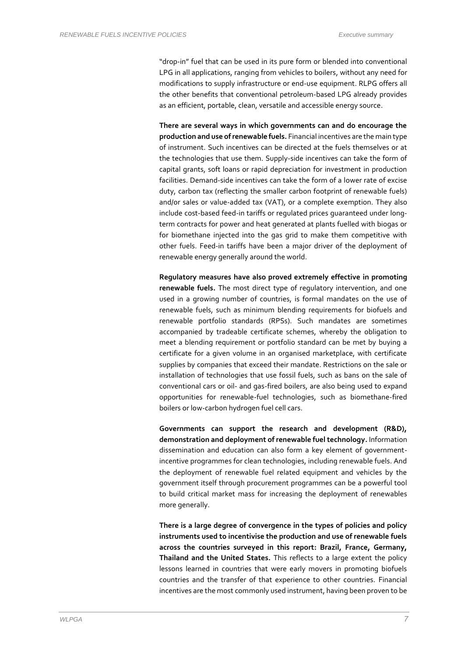"drop-in" fuel that can be used in its pure form or blended into conventional LPG in all applications, ranging from vehicles to boilers, without any need for modifications to supply infrastructure or end-use equipment. RLPG offers all the other benefits that conventional petroleum-based LPG already provides as an efficient, portable, clean, versatile and accessible energy source.

**There are several ways in which governments can and do encourage the production and use of renewable fuels.** Financial incentives are the main type of instrument. Such incentives can be directed at the fuels themselves or at the technologies that use them. Supply-side incentives can take the form of capital grants, soft loans or rapid depreciation for investment in production facilities. Demand-side incentives can take the form of a lower rate of excise duty, carbon tax (reflecting the smaller carbon footprint of renewable fuels) and/or sales or value-added tax (VAT), or a complete exemption. They also include cost-based feed-in tariffs or regulated prices guaranteed under longterm contracts for power and heat generated at plants fuelled with biogas or for biomethane injected into the gas grid to make them competitive with other fuels. Feed-in tariffs have been a major driver of the deployment of renewable energy generally around the world.

**Regulatory measures have also proved extremely effective in promoting renewable fuels.** The most direct type of regulatory intervention, and one used in a growing number of countries, is formal mandates on the use of renewable fuels, such as minimum blending requirements for biofuels and renewable portfolio standards (RPSs). Such mandates are sometimes accompanied by tradeable certificate schemes, whereby the obligation to meet a blending requirement or portfolio standard can be met by buying a certificate for a given volume in an organised marketplace, with certificate supplies by companies that exceed their mandate. Restrictions on the sale or installation of technologies that use fossil fuels, such as bans on the sale of conventional cars or oil- and gas-fired boilers, are also being used to expand opportunities for renewable-fuel technologies, such as biomethane-fired boilers or low-carbon hydrogen fuel cell cars.

**Governments can support the research and development (R&D), demonstration and deployment of renewable fuel technology.** Information dissemination and education can also form a key element of governmentincentive programmes for clean technologies, including renewable fuels. And the deployment of renewable fuel related equipment and vehicles by the government itself through procurement programmes can be a powerful tool to build critical market mass for increasing the deployment of renewables more generally.

**There is a large degree of convergence in the types of policies and policy instruments used to incentivise the production and use of renewable fuels across the countries surveyed in this report: Brazil, France, Germany, Thailand and the United States.** This reflects to a large extent the policy lessons learned in countries that were early movers in promoting biofuels countries and the transfer of that experience to other countries. Financial incentives are the most commonly used instrument, having been proven to be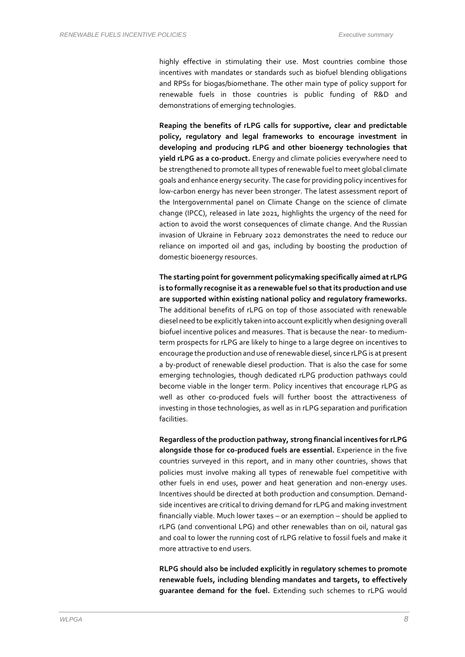highly effective in stimulating their use. Most countries combine those incentives with mandates or standards such as biofuel blending obligations and RPSs for biogas/biomethane. The other main type of policy support for renewable fuels in those countries is public funding of R&D and demonstrations of emerging technologies.

**Reaping the benefits of rLPG calls for supportive, clear and predictable policy, regulatory and legal frameworks to encourage investment in developing and producing rLPG and other bioenergy technologies that yield rLPG as a co-product.** Energy and climate policies everywhere need to be strengthened to promote all types of renewable fuel to meet global climate goals and enhance energy security. The case for providing policy incentives for low-carbon energy has never been stronger. The latest assessment report of the Intergovernmental panel on Climate Change on the science of climate change (IPCC), released in late 2021, highlights the urgency of the need for action to avoid the worst consequences of climate change. And the Russian invasion of Ukraine in February 2022 demonstrates the need to reduce our reliance on imported oil and gas, including by boosting the production of domestic bioenergy resources.

**The starting point for government policymaking specifically aimed at rLPG is to formally recognise it as a renewable fuel so that its production and use are supported within existing national policy and regulatory frameworks.** The additional benefits of rLPG on top of those associated with renewable diesel need to be explicitly taken into account explicitly when designing overall biofuel incentive polices and measures. That is because the near- to mediumterm prospects for rLPG are likely to hinge to a large degree on incentives to encourage the production and use of renewable diesel, since rLPG is at present a by-product of renewable diesel production. That is also the case for some emerging technologies, though dedicated rLPG production pathways could become viable in the longer term. Policy incentives that encourage rLPG as well as other co-produced fuels will further boost the attractiveness of investing in those technologies, as well as in rLPG separation and purification facilities.

**Regardless of the production pathway, strong financial incentives for rLPG alongside those for co-produced fuels are essential.** Experience in the five countries surveyed in this report, and in many other countries, shows that policies must involve making all types of renewable fuel competitive with other fuels in end uses, power and heat generation and non-energy uses. Incentives should be directed at both production and consumption. Demandside incentives are critical to driving demand for rLPG and making investment financially viable. Much lower taxes – or an exemption – should be applied to rLPG (and conventional LPG) and other renewables than on oil, natural gas and coal to lower the running cost of rLPG relative to fossil fuels and make it more attractive to end users.

**RLPG should also be included explicitly in regulatory schemes to promote renewable fuels, including blending mandates and targets, to effectively guarantee demand for the fuel.** Extending such schemes to rLPG would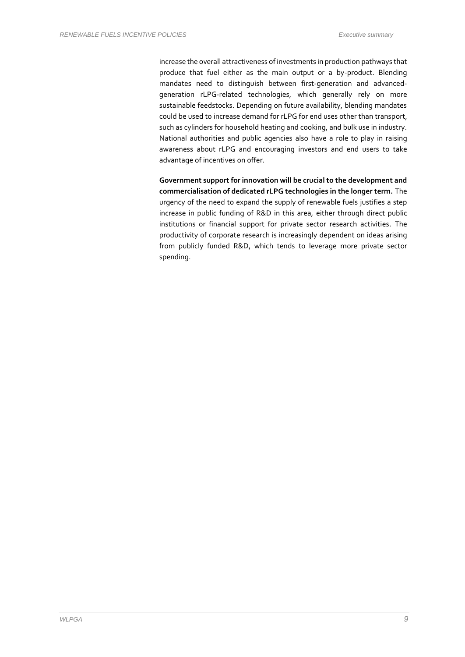increase the overall attractiveness of investments in production pathways that produce that fuel either as the main output or a by-product. Blending mandates need to distinguish between first-generation and advancedgeneration rLPG-related technologies, which generally rely on more sustainable feedstocks. Depending on future availability, blending mandates could be used to increase demand for rLPG for end uses other than transport, such as cylinders for household heating and cooking, and bulk use in industry. National authorities and public agencies also have a role to play in raising awareness about rLPG and encouraging investors and end users to take advantage of incentives on offer.

**Government support for innovation will be crucial to the development and commercialisation of dedicated rLPG technologies in the longer term.** The urgency of the need to expand the supply of renewable fuels justifies a step increase in public funding of R&D in this area, either through direct public institutions or financial support for private sector research activities. The productivity of corporate research is increasingly dependent on ideas arising from publicly funded R&D, which tends to leverage more private sector spending.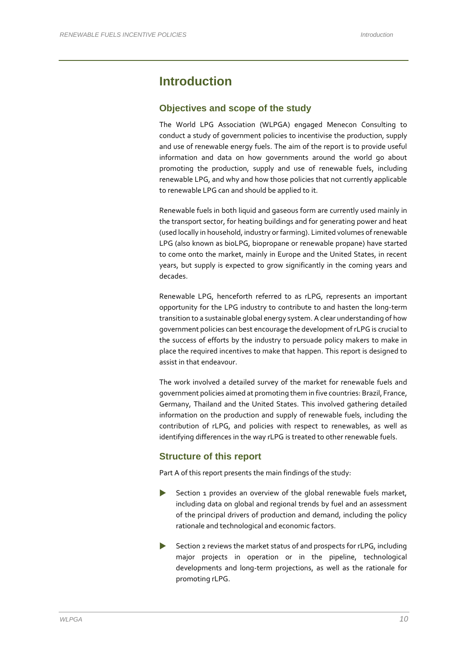## **Introduction**

#### **Objectives and scope of the study**

The World LPG Association (WLPGA) engaged Menecon Consulting to conduct a study of government policies to incentivise the production, supply and use of renewable energy fuels. The aim of the report is to provide useful information and data on how governments around the world go about promoting the production, supply and use of renewable fuels, including renewable LPG, and why and how those policies that not currently applicable to renewable LPG can and should be applied to it.

Renewable fuels in both liquid and gaseous form are currently used mainly in the transport sector, for heating buildings and for generating power and heat (used locally in household, industry or farming). Limited volumes of renewable LPG (also known as bioLPG, biopropane or renewable propane) have started to come onto the market, mainly in Europe and the United States, in recent years, but supply is expected to grow significantly in the coming years and decades.

Renewable LPG, henceforth referred to as rLPG, represents an important opportunity for the LPG industry to contribute to and hasten the long-term transition to a sustainable global energy system. A clear understanding of how government policies can best encourage the development of rLPG is crucial to the success of efforts by the industry to persuade policy makers to make in place the required incentives to make that happen. This report is designed to assist in that endeavour.

The work involved a detailed survey of the market for renewable fuels and government policies aimed at promoting them in five countries: Brazil, France, Germany, Thailand and the United States. This involved gathering detailed information on the production and supply of renewable fuels, including the contribution of rLPG, and policies with respect to renewables, as well as identifying differences in the way rLPG is treated to other renewable fuels.

#### **Structure of this report**

Part A of this report presents the main findings of the study:

- Section 1 provides an overview of the global renewable fuels market, including data on global and regional trends by fuel and an assessment of the principal drivers of production and demand, including the policy rationale and technological and economic factors.
- Section 2 reviews the market status of and prospects for rLPG, including major projects in operation or in the pipeline, technological developments and long-term projections, as well as the rationale for promoting rLPG.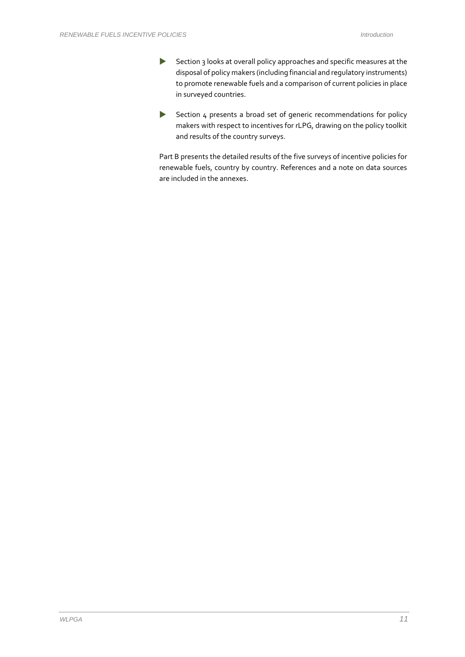- Section 3 looks at overall policy approaches and specific measures at the disposal of policy makers (including financial and regulatory instruments) to promote renewable fuels and a comparison of current policies in place in surveyed countries.
- Section 4 presents a broad set of generic recommendations for policy makers with respect to incentives for rLPG, drawing on the policy toolkit and results of the country surveys.

Part B presents the detailed results of the five surveys of incentive policies for renewable fuels, country by country. References and a note on data sources are included in the annexes.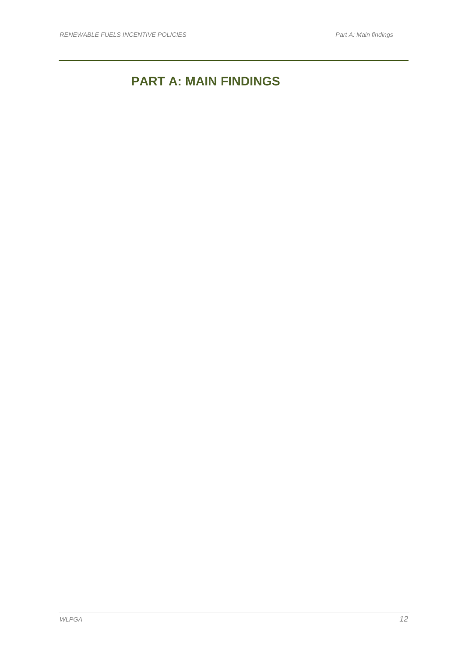## **PART A: MAIN FINDINGS**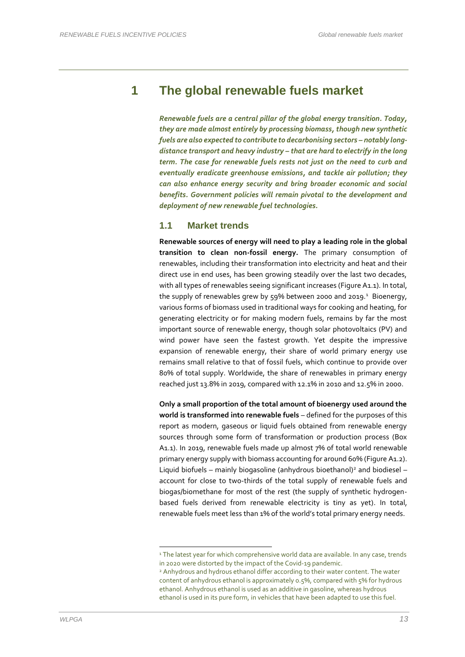## **1 The global renewable fuels market**

*Renewable fuels are a central pillar of the global energy transition. Today, they are made almost entirely by processing biomass, though new synthetic fuels are also expected to contribute to decarbonising sectors – notably longdistance transport and heavy industry – that are hard to electrify in the long term. The case for renewable fuels rests not just on the need to curb and eventually eradicate greenhouse emissions, and tackle air pollution; they can also enhance energy security and bring broader economic and social benefits. Government policies will remain pivotal to the development and deployment of new renewable fuel technologies.* 

#### **1.1 Market trends**

**Renewable sources of energy will need to play a leading role in the global transition to clean non-fossil energy.** The primary consumption of renewables, including their transformation into electricity and heat and their direct use in end uses, has been growing steadily over the last two decades, with all types of renewables seeing significant increases [\(Figure A1.1\)](#page-13-0). In total, the supply of renewables grew by 59% between 2000 and 2019.<sup>1</sup> Bioenergy, various forms of biomass used in traditional ways for cooking and heating, for generating electricity or for making modern fuels, remains by far the most important source of renewable energy, though solar photovoltaics (PV) and wind power have seen the fastest growth. Yet despite the impressive expansion of renewable energy, their share of world primary energy use remains small relative to that of fossil fuels, which continue to provide over 80% of total supply. Worldwide, the share of renewables in primary energy reached just 13.8% in 2019, compared with 12.1% in 2010 and 12.5% in 2000.

**Only a small proportion of the total amount of bioenergy used around the world is transformed into renewable fuels** – defined for the purposes of this report as modern, gaseous or liquid fuels obtained from renewable energy sources through some form of transformation or production process (Box A1.1). In 2019, renewable fuels made up almost 7% of total world renewable primary energy supply with biomass accounting for around 60% [\(Figure A1.2\)](#page-14-0). Liquid biofuels – mainly biogasoline (anhydrous bioethanol)<sup>2</sup> and biodiesel – account for close to two-thirds of the total supply of renewable fuels and biogas/biomethane for most of the rest (the supply of synthetic hydrogenbased fuels derived from renewable electricity is tiny as yet). In total, renewable fuels meet less than 1% of the world's total primary energy needs.

<sup>&</sup>lt;sup>1</sup> The latest year for which comprehensive world data are available. In any case, trends in 2020 were distorted by the impact of the Covid-19 pandemic.

<sup>2</sup> Anhydrous and hydrous ethanol differ according to their water content. The water content of anhydrous ethanol is approximately 0.5%, compared with 5% for hydrous ethanol. Anhydrous ethanol is used as an additive in gasoline, whereas hydrous ethanol is used in its pure form, in vehicles that have been adapted to use this fuel.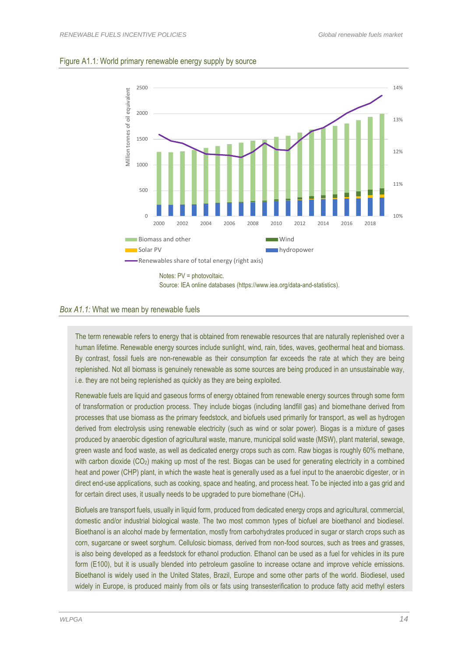#### <span id="page-13-0"></span>Figure A1.1*:* World primary renewable energy supply by source



#### *Box A1.1:* What we mean by renewable fuels

The term renewable refers to energy that is obtained from renewable resources that are naturally replenished over a human lifetime. Renewable energy sources include sunlight, wind, rain, tides, waves, geothermal heat and biomass. By contrast, fossil fuels are non-renewable as their consumption far exceeds the rate at which they are being replenished. Not all biomass is genuinely renewable as some sources are being produced in an unsustainable way, i.e. they are not being replenished as quickly as they are being exploited.

Renewable fuels are liquid and gaseous forms of energy obtained from renewable energy sources through some form of transformation or production process. They include biogas (including landfill gas) and biomethane derived from processes that use biomass as the primary feedstock, and biofuels used primarily for transport, as well as hydrogen derived from electrolysis using renewable electricity (such as wind or solar power). Biogas is a mixture of gases produced by anaerobic digestion of agricultural waste, manure, municipal solid waste (MSW), plant material, sewage, green waste and food waste, as well as dedicated energy crops such as corn. Raw biogas is roughly 60% methane, with carbon dioxide (CO<sub>2</sub>) making up most of the rest. Biogas can be used for generating electricity in a combined heat and power (CHP) plant, in which the waste heat is generally used as a fuel input to the anaerobic digester, or in direct end-use applications, such as cooking, space and heating, and process heat. To be injected into a gas grid and for certain direct uses, it usually needs to be upgraded to pure biomethane (CH4).

Biofuels are transport fuels, usually in liquid form, produced from dedicated energy crops and agricultural, commercial, domestic and/or industrial biological waste. The two most common types of biofuel are bioethanol and biodiesel. Bioethanol is an alcohol made by fermentation, mostly from carbohydrates produced in sugar or starch crops such as corn, sugarcane or sweet sorghum. Cellulosic biomass, derived from non-food sources, such as trees and grasses, is also being developed as a feedstock for ethanol production. Ethanol can be used as a fuel for vehicles in its pure form (E100), but it is usually blended into petroleum gasoline to increase octane and improve vehicle emissions. Bioethanol is widely used in the United States, Brazil, Europe and some other parts of the world. Biodiesel, used widely in Europe, is produced mainly from oils or fats using transesterification to produce fatty acid methyl esters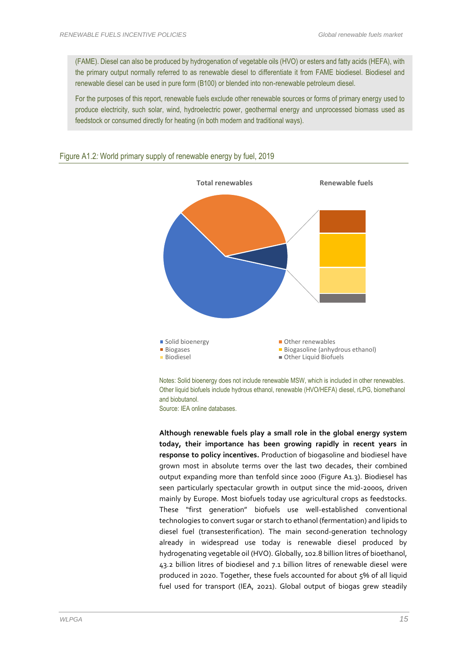(FAME). Diesel can also be produced by hydrogenation of vegetable oils (HVO) or esters and fatty acids (HEFA), with the primary output normally referred to as renewable diesel to differentiate it from FAME biodiesel. Biodiesel and renewable diesel can be used in pure form (B100) or blended into non-renewable petroleum diesel.

For the purposes of this report, renewable fuels exclude other renewable sources or forms of primary energy used to produce electricity, such solar, wind, hydroelectric power, geothermal energy and unprocessed biomass used as feedstock or consumed directly for heating (in both modern and traditional ways).



#### <span id="page-14-0"></span>Figure A1.2*:* World primary supply of renewable energy by fuel, 2019



**Although renewable fuels play a small role in the global energy system today, their importance has been growing rapidly in recent years in response to policy incentives.** Production of biogasoline and biodiesel have grown most in absolute terms over the last two decades, their combined output expanding more than tenfold since 2000 [\(Figure A1.3\)](#page-15-0). Biodiesel has seen particularly spectacular growth in output since the mid-2000s, driven mainly by Europe. Most biofuels today use agricultural crops as feedstocks. These "first generation" biofuels use well-established conventional technologies to convert sugar or starch to ethanol (fermentation) and lipids to diesel fuel (transesterification). The main second-generation technology already in widespread use today is renewable diesel produced by hydrogenating vegetable oil (HVO). Globally, 102.8 billion litres of bioethanol, 43.2 billion litres of biodiesel and 7.1 billion litres of renewable diesel were produced in 2020. Together, these fuels accounted for about 5% of all liquid fuel used for transport (IEA, 2021). Global output of biogas grew steadily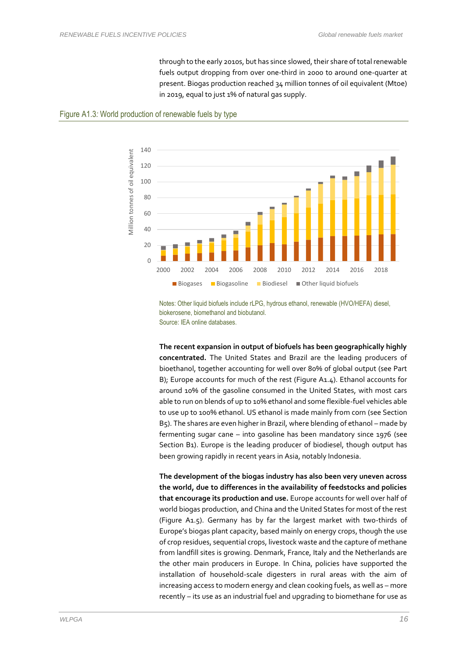through to the early 2010s, but has since slowed, their share of total renewable fuels output dropping from over one-third in 2000 to around one-quarter at present. Biogas production reached 34 million tonnes of oil equivalent (Mtoe) in 2019, equal to just 1% of natural gas supply.

<span id="page-15-0"></span>



Notes: Other liquid biofuels include rLPG, hydrous ethanol, renewable (HVO/HEFA) diesel, biokerosene, biomethanol and biobutanol. Source: IEA online databases.

**The recent expansion in output of biofuels has been geographically highly concentrated.** The United States and Brazil are the leading producers of bioethanol, together accounting for well over 80% of global output (see Part B); Europe accounts for much of the rest [\(Figure A1.4\)](#page-16-0). Ethanol accounts for around 10% of the gasoline consumed in the United States, with most cars able to run on blends of up to 10% ethanol and some flexible-fuel vehicles able to use up to 100% ethanol. US ethanol is made mainly from corn (see Section B5). The shares are even higher in Brazil, where blending of ethanol – made by fermenting sugar cane – into gasoline has been mandatory since 1976 (see Section B1). Europe is the leading producer of biodiesel, though output has been growing rapidly in recent years in Asia, notably Indonesia.

**The development of the biogas industry has also been very uneven across the world, due to differences in the availability of feedstocks and policies that encourage its production and use.** Europe accounts for well over half of world biogas production, and China and the United States for most of the rest [\(Figure A1.5\)](#page-16-1). Germany has by far the largest market with two-thirds of Europe's biogas plant capacity, based mainly on energy crops, though the use of crop residues, sequential crops, livestock waste and the capture of methane from landfill sites is growing. Denmark, France, Italy and the Netherlands are the other main producers in Europe. In China, policies have supported the installation of household-scale digesters in rural areas with the aim of increasing access to modern energy and clean cooking fuels, as well as – more recently – its use as an industrial fuel and upgrading to biomethane for use as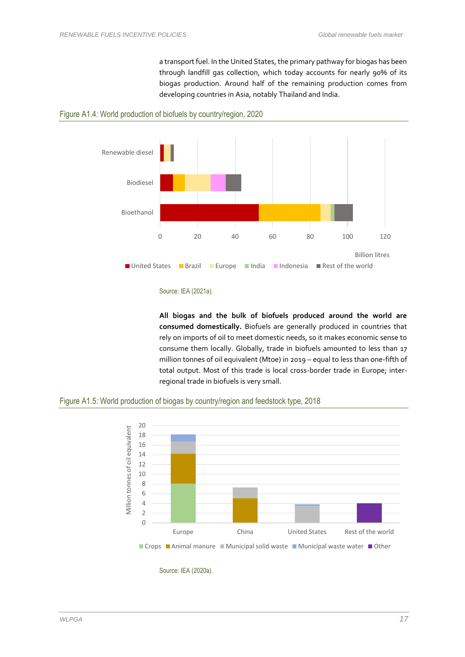a transport fuel. In the United States, the primary pathway for biogas has been through landfill gas collection, which today accounts for nearly 90% of its biogas production. Around half of the remaining production comes from developing countries in Asia, notably Thailand and India.



<span id="page-16-0"></span>

**All biogas and the bulk of biofuels produced around the world are consumed domestically.** Biofuels are generally produced in countries that rely on imports of oil to meet domestic needs, so it makes economic sense to consume them locally. Globally, trade in biofuels amounted to less than 17 million tonnes of oil equivalent (Mtoe) in 2019 – equal to less than one-fifth of total output. Most of this trade is local cross-border trade in Europe; interregional trade in biofuels is very small.

<span id="page-16-1"></span>



Source: IEA (2020a).

Source: IEA (2021a).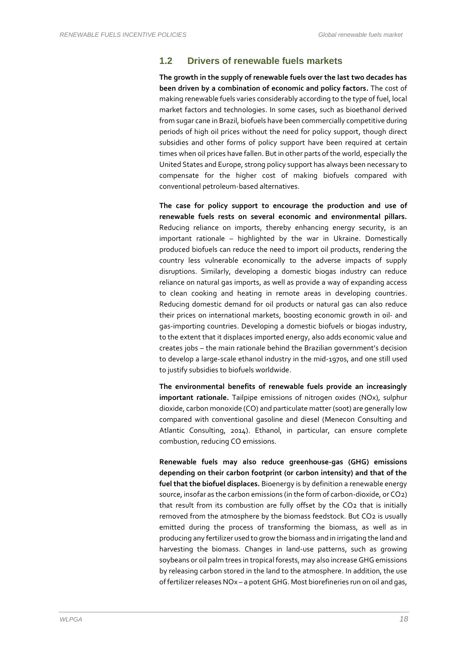#### **1.2 Drivers of renewable fuels markets**

**The growth in the supply of renewable fuels over the last two decades has been driven by a combination of economic and policy factors.** The cost of making renewable fuels varies considerably according to the type of fuel, local market factors and technologies. In some cases, such as bioethanol derived from sugar cane in Brazil, biofuels have been commercially competitive during periods of high oil prices without the need for policy support, though direct subsidies and other forms of policy support have been required at certain times when oil prices have fallen. But in other parts of the world, especially the United States and Europe, strong policy support has always been necessary to compensate for the higher cost of making biofuels compared with conventional petroleum-based alternatives.

**The case for policy support to encourage the production and use of renewable fuels rests on several economic and environmental pillars.** Reducing reliance on imports, thereby enhancing energy security, is an important rationale – highlighted by the war in Ukraine. Domestically produced biofuels can reduce the need to import oil products, rendering the country less vulnerable economically to the adverse impacts of supply disruptions. Similarly, developing a domestic biogas industry can reduce reliance on natural gas imports, as well as provide a way of expanding access to clean cooking and heating in remote areas in developing countries. Reducing domestic demand for oil products or natural gas can also reduce their prices on international markets, boosting economic growth in oil- and gas-importing countries. Developing a domestic biofuels or biogas industry, to the extent that it displaces imported energy, also adds economic value and creates jobs – the main rationale behind the Brazilian government's decision to develop a large-scale ethanol industry in the mid-1970s, and one still used to justify subsidies to biofuels worldwide.

**The environmental benefits of renewable fuels provide an increasingly important rationale.** Tailpipe emissions of nitrogen oxides (NOx), sulphur dioxide, carbon monoxide (CO) and particulate matter (soot) are generally low compared with conventional gasoline and diesel (Menecon Consulting and Atlantic Consulting, 2014). Ethanol, in particular, can ensure complete combustion, reducing CO emissions.

**Renewable fuels may also reduce greenhouse-gas (GHG) emissions depending on their carbon footprint (or carbon intensity) and that of the fuel that the biofuel displaces.** Bioenergy is by definition a renewable energy source, insofar as the carbon emissions (in the form of carbon-dioxide, or CO2) that result from its combustion are fully offset by the CO2 that is initially removed from the atmosphere by the biomass feedstock. But CO2 is usually emitted during the process of transforming the biomass, as well as in producing any fertilizer used to grow the biomass and in irrigating the land and harvesting the biomass. Changes in land-use patterns, such as growing soybeans or oil palm trees in tropical forests, may also increase GHG emissions by releasing carbon stored in the land to the atmosphere. In addition, the use of fertilizer releases NOx – a potent GHG. Most biorefineries run on oil and gas,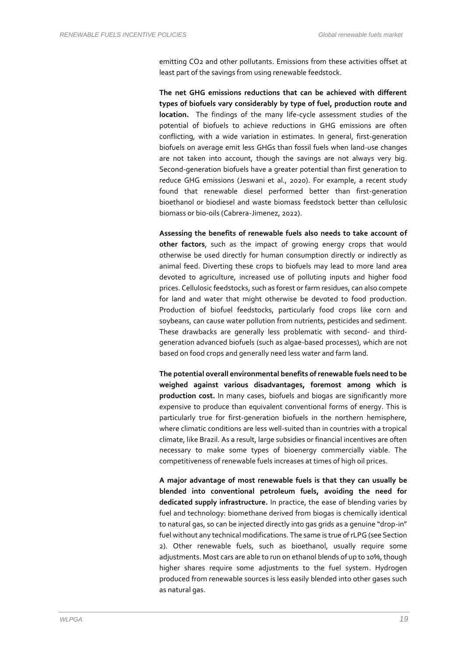emitting CO2 and other pollutants. Emissions from these activities offset at least part of the savings from using renewable feedstock.

**The net GHG emissions reductions that can be achieved with different types of biofuels vary considerably by type of fuel, production route and location.** The findings of the many life-cycle assessment studies of the potential of biofuels to achieve reductions in GHG emissions are often conflicting, with a wide variation in estimates. In general, first-generation biofuels on average emit less GHGs than fossil fuels when land-use changes are not taken into account, though the savings are not always very big. Second-generation biofuels have a greater potential than first generation to reduce GHG emissions (Jeswani et al., 2020). For example, a recent study found that renewable diesel performed better than first-generation bioethanol or biodiesel and waste biomass feedstock better than cellulosic biomass or bio-oils (Cabrera-Jimenez, 2022).

**Assessing the benefits of renewable fuels also needs to take account of other factors**, such as the impact of growing energy crops that would otherwise be used directly for human consumption directly or indirectly as animal feed. Diverting these crops to biofuels may lead to more land area devoted to agriculture, increased use of polluting inputs and higher food prices. Cellulosic feedstocks, such as forest or farm residues, can also compete for land and water that might otherwise be devoted to food production. Production of biofuel feedstocks, particularly food crops like corn and soybeans, can cause water pollution from nutrients, pesticides and sediment. These drawbacks are generally less problematic with second- and thirdgeneration advanced biofuels (such as algae-based processes), which are not based on food crops and generally need less water and farm land.

**The potential overall environmental benefits of renewable fuels need to be weighed against various disadvantages, foremost among which is production cost.** In many cases, biofuels and biogas are significantly more expensive to produce than equivalent conventional forms of energy. This is particularly true for first-generation biofuels in the northern hemisphere, where climatic conditions are less well-suited than in countries with a tropical climate, like Brazil. As a result, large subsidies or financial incentives are often necessary to make some types of bioenergy commercially viable. The competitiveness of renewable fuels increases at times of high oil prices.

**A major advantage of most renewable fuels is that they can usually be blended into conventional petroleum fuels, avoiding the need for dedicated supply infrastructure.** In practice, the ease of blending varies by fuel and technology: biomethane derived from biogas is chemically identical to natural gas, so can be injected directly into gas grids as a genuine "drop-in" fuel without any technical modifications. The same is true of rLPG (see Section 2). Other renewable fuels, such as bioethanol, usually require some adjustments. Most cars are able to run on ethanol blends of up to 10%, though higher shares require some adjustments to the fuel system. Hydrogen produced from renewable sources is less easily blended into other gases such as natural gas.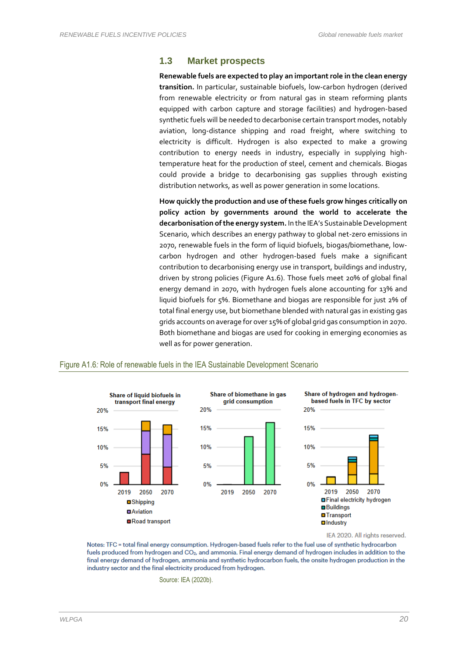#### **1.3 Market prospects**

**Renewable fuels are expected to play an important role in the clean energy transition.** In particular, sustainable biofuels, low-carbon hydrogen (derived from renewable electricity or from natural gas in steam reforming plants equipped with carbon capture and storage facilities) and hydrogen-based synthetic fuels will be needed to decarbonise certain transport modes, notably aviation, long-distance shipping and road freight, where switching to electricity is difficult. Hydrogen is also expected to make a growing contribution to energy needs in industry, especially in supplying hightemperature heat for the production of steel, cement and chemicals. Biogas could provide a bridge to decarbonising gas supplies through existing distribution networks, as well as power generation in some locations.

**How quickly the production and use of these fuels grow hinges critically on policy action by governments around the world to accelerate the decarbonisation of the energy system.** In the IEA's Sustainable Development Scenario, which describes an energy pathway to global net-zero emissions in 2070, renewable fuels in the form of liquid biofuels, biogas/biomethane, lowcarbon hydrogen and other hydrogen-based fuels make a significant contribution to decarbonising energy use in transport, buildings and industry, driven by strong policies [\(Figure A1.6\)](#page-19-0). Those fuels meet 20% of global final energy demand in 2070, with hydrogen fuels alone accounting for 13% and liquid biofuels for 5%. Biomethane and biogas are responsible for just 2% of total final energy use, but biomethane blended with natural gas in existing gas grids accounts on average for over 15% of global grid gas consumption in 2070. Both biomethane and biogas are used for cooking in emerging economies as well as for power generation.



#### <span id="page-19-0"></span>Figure A1.6*:* Role of renewable fuels in the IEA Sustainable Development Scenario

IEA 2020. All rights reserved.

Notes: TFC = total final energy consumption. Hydrogen-based fuels refer to the fuel use of synthetic hydrocarbon fuels produced from hydrogen and CO<sub>2</sub>, and ammonia. Final energy demand of hydrogen includes in addition to the final energy demand of hydrogen, ammonia and synthetic hydrocarbon fuels, the onsite hydrogen production in the industry sector and the final electricity produced from hydrogen.

Source: IEA (2020b).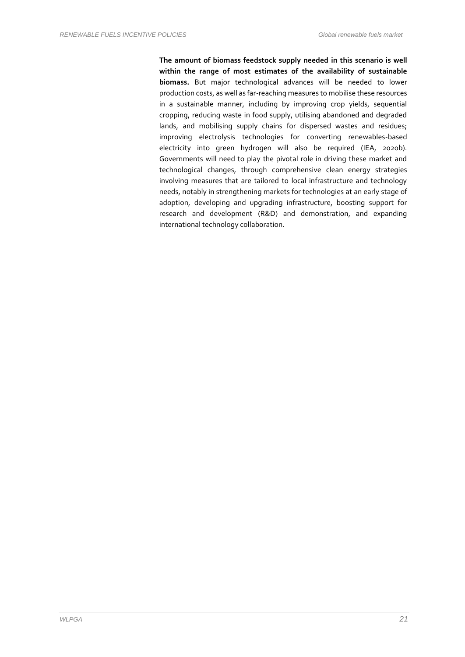**The amount of biomass feedstock supply needed in this scenario is well within the range of most estimates of the availability of sustainable biomass.** But major technological advances will be needed to lower production costs, as well as far-reaching measures to mobilise these resources in a sustainable manner, including by improving crop yields, sequential cropping, reducing waste in food supply, utilising abandoned and degraded lands, and mobilising supply chains for dispersed wastes and residues; improving electrolysis technologies for converting renewables-based electricity into green hydrogen will also be required (IEA, 2020b). Governments will need to play the pivotal role in driving these market and technological changes, through comprehensive clean energy strategies involving measures that are tailored to local infrastructure and technology needs, notably in strengthening markets for technologies at an early stage of adoption, developing and upgrading infrastructure, boosting support for research and development (R&D) and demonstration, and expanding international technology collaboration.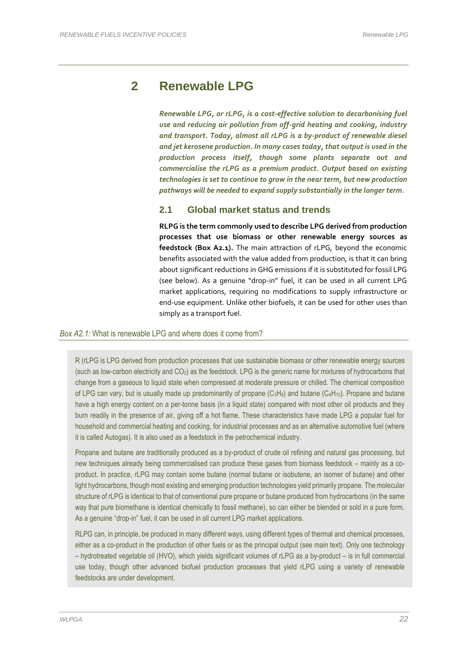## **2 Renewable LPG**

*Renewable LPG, or rLPG, is a cost-effective solution to decarbonising fuel use and reducing air pollution from off-grid heating and cooking, industry and transport. Today, almost all rLPG is a by-product of renewable diesel and jet kerosene production. In many cases today, that output is used in the production process itself, though some plants separate out and commercialise the rLPG as a premium product. Output based on existing technologies is set to continue to grow in the near term, but new production pathways will be needed to expand supply substantially in the longer term.* 

#### **2.1 Global market status and trends**

**RLPG is the term commonly used to describe LPG derived from production processes that use biomass or other renewable energy sources as feedstock (Box A2.1).** The main attraction of rLPG, beyond the economic benefits associated with the value added from production, is that it can bring about significant reductions in GHG emissions if it is substituted for fossil LPG (see below). As a genuine "drop-in" fuel, it can be used in all current LPG market applications, requiring no modifications to supply infrastructure or end-use equipment. Unlike other biofuels, it can be used for other uses than simply as a transport fuel.

#### *Box A2.1:* What is renewable LPG and where does it come from?

R (rLPG is LPG derived from production processes that use sustainable biomass or other renewable energy sources (such as low-carbon electricity and CO2) as the feedstock. LPG is the generic name for mixtures of hydrocarbons that change from a gaseous to liquid state when compressed at moderate pressure or chilled. The chemical composition of LPG can vary, but is usually made up predominantly of propane  $(C_3H_8)$  and butane  $(C_4H_{10})$ . Propane and butane have a high energy content on a per-tonne basis (in a liquid state) compared with most other oil products and they burn readily in the presence of air, giving off a hot flame. These characteristics have made LPG a popular fuel for household and commercial heating and cooking, for industrial processes and as an alternative automotive fuel (where it is called Autogas). It is also used as a feedstock in the petrochemical industry.

Propane and butane are traditionally produced as a by-product of crude oil refining and natural gas processing, but new techniques already being commercialised can produce these gases from biomass feedstock – mainly as a coproduct. In practice, rLPG may contain some butane (normal butane or isobutene, an isomer of butane) and other light hydrocarbons, though most existing and emerging production technologies yield primarily propane. The molecular structure of rLPG is identical to that of conventional pure propane or butane produced from hydrocarbons (in the same way that pure biomethane is identical chemically to fossil methane), so can either be blended or sold in a pure form. As a genuine "drop-in" fuel, it can be used in all current LPG market applications.

RLPG can, in principle, be produced in many different ways, using different types of thermal and chemical processes, either as a co-product in the production of other fuels or as the principal output (see main text). Only one technology – hydrotreated vegetable oil (HVO), which yields significant volumes of rLPG as a by-product – is in full commercial use today, though other advanced biofuel production processes that yield rLPG using a variety of renewable feedstocks are under development.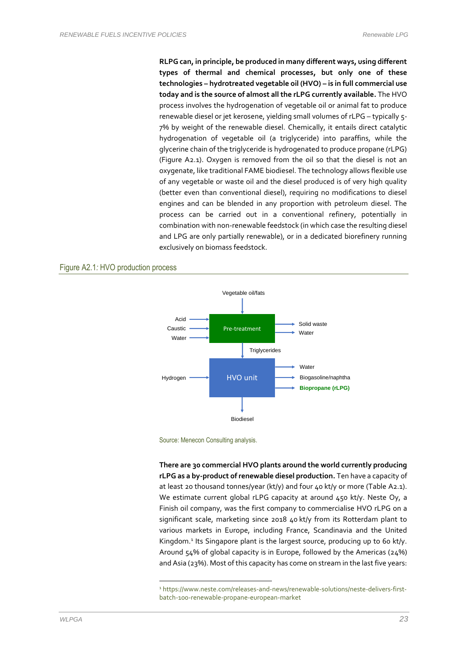**RLPG can, in principle, be produced in many different ways, using different types of thermal and chemical processes, but only one of these technologies – hydrotreated vegetable oil (HVO) – is in full commercial use today and is the source of almost all the rLPG currently available.** The HVO process involves the hydrogenation of vegetable oil or animal fat to produce renewable diesel or jet kerosene, yielding small volumes of rLPG – typically 5- 7% by weight of the renewable diesel. Chemically, it entails direct catalytic hydrogenation of vegetable oil (a triglyceride) into paraffins, while the glycerine chain of the triglyceride is hydrogenated to produce propane (rLPG) [\(Figure A2.1](#page-22-0)). Oxygen is removed from the oil so that the diesel is not an oxygenate, like traditional FAME biodiesel. The technology allows flexible use of any vegetable or waste oil and the diesel produced is of very high quality (better even than conventional diesel), requiring no modifications to diesel engines and can be blended in any proportion with petroleum diesel. The process can be carried out in a conventional refinery, potentially in combination with non-renewable feedstock (in which case the resulting diesel and LPG are only partially renewable), or in a dedicated biorefinery running exclusively on biomass feedstock.

#### <span id="page-22-0"></span>Figure A2.1*:* HVO production process



Source: Menecon Consulting analysis.

**There are 30 commercial HVO plants around the world currently producing rLPG as a by-product of renewable diesel production.** Ten have a capacity of at least 20 thousand tonnes/year (kt/y) and four 40 kt/y or more (Table A2.1). We estimate current global rLPG capacity at around 450 kt/y. Neste Oy, a Finish oil company, was the first company to commercialise HVO rLPG on a significant scale, marketing since 2018 40 kt/y from its Rotterdam plant to various markets in Europe, including France, Scandinavia and the United Kingdom. 1 Its Singapore plant is the largest source, producing up to 60 kt/y. Around 54% of global capacity is in Europe, followed by the Americas (24%) and Asia (23%). Most of this capacity has come on stream in the last five years:

<sup>1</sup> https://www.neste.com/releases-and-news/renewable-solutions/neste-delivers-firstbatch-100-renewable-propane-european-market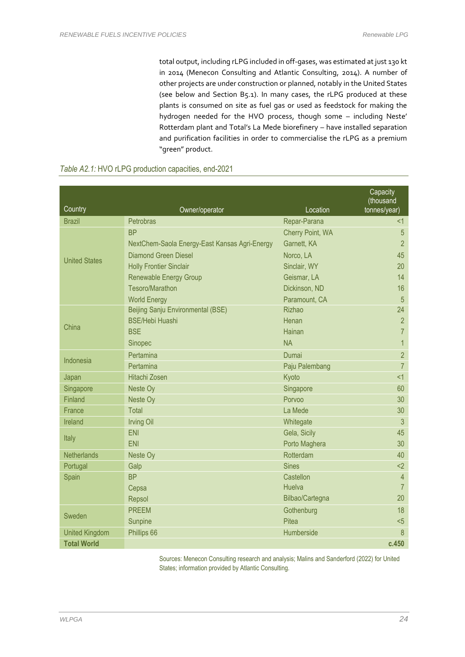total output, including rLPG included in off-gases, was estimated at just 130 kt in 2014 (Menecon Consulting and Atlantic Consulting, 2014). A number of other projects are under construction or planned, notably in the United States (see below and Section B5.1). In many cases, the rLPG produced at these plants is consumed on site as fuel gas or used as feedstock for making the hydrogen needed for the HVO process, though some – including Neste' Rotterdam plant and Total's La Mede biorefinery – have installed separation and purification facilities in order to commercialise the rLPG as a premium "green" product.

| Country               | Owner/operator                                | Location         | Capacity<br>(thousand<br>tonnes/year) |
|-----------------------|-----------------------------------------------|------------------|---------------------------------------|
| <b>Brazil</b>         | <b>Petrobras</b>                              | Repar-Parana     | $<$ 1                                 |
|                       | <b>BP</b>                                     | Cherry Point, WA | 5                                     |
|                       | NextChem-Saola Energy-East Kansas Agri-Energy | Garnett, KA      | $\overline{2}$                        |
|                       | <b>Diamond Green Diesel</b>                   | Norco, LA        | 45                                    |
| <b>United States</b>  | <b>Holly Frontier Sinclair</b>                | Sinclair, WY     | 20                                    |
|                       | <b>Renewable Energy Group</b>                 | Geismar, LA      | 14                                    |
|                       | Tesoro/Marathon                               | Dickinson, ND    | 16                                    |
|                       | <b>World Energy</b>                           | Paramount, CA    | $\overline{5}$                        |
|                       | Beijing Sanju Environmental (BSE)             | <b>Rizhao</b>    | 24                                    |
|                       | <b>BSE/Hebi Huashi</b>                        | Henan            | $\overline{2}$                        |
| China                 | <b>BSE</b>                                    | Hainan           | $\overline{7}$                        |
|                       | Sinopec                                       | <b>NA</b>        | $\mathbf{1}$                          |
|                       | Pertamina                                     | Dumai            | $\overline{2}$                        |
| Indonesia             | Pertamina                                     | Paju Palembang   | $\overline{7}$                        |
| Japan                 | <b>Hitachi Zosen</b>                          | Kyoto            | <1                                    |
| Singapore             | Neste Oy                                      | Singapore        | 60                                    |
| Finland               | Neste Oy                                      | Porvoo           | 30                                    |
| France                | Total                                         | La Mede          | 30                                    |
| Ireland               | <b>Irving Oil</b>                             | Whitegate        | 3                                     |
|                       | <b>ENI</b>                                    | Gela, Sicily     | 45                                    |
| Italy                 | <b>ENI</b>                                    | Porto Maghera    | 30                                    |
| Netherlands           | Neste Oy                                      | Rotterdam        | 40                                    |
| Portugal              | Galp                                          | <b>Sines</b>     | $2$                                   |
| Spain                 | <b>BP</b>                                     | Castellon        | $\overline{4}$                        |
|                       | Cepsa                                         | Huelva           | $\overline{7}$                        |
|                       | Repsol                                        | Bilbao/Cartegna  | 20                                    |
| Sweden                | <b>PREEM</b>                                  | Gothenburg       | 18                                    |
|                       | Sunpine                                       | Pitea            | $5$                                   |
| <b>United Kingdom</b> | Phillips 66                                   | Humberside       | 8                                     |
| <b>Total World</b>    |                                               |                  | c.450                                 |

#### *Table A2.1:* HVO rLPG production capacities, end-2021

Sources: Menecon Consulting research and analysis; Malins and Sanderford (2022) for United States; information provided by Atlantic Consulting.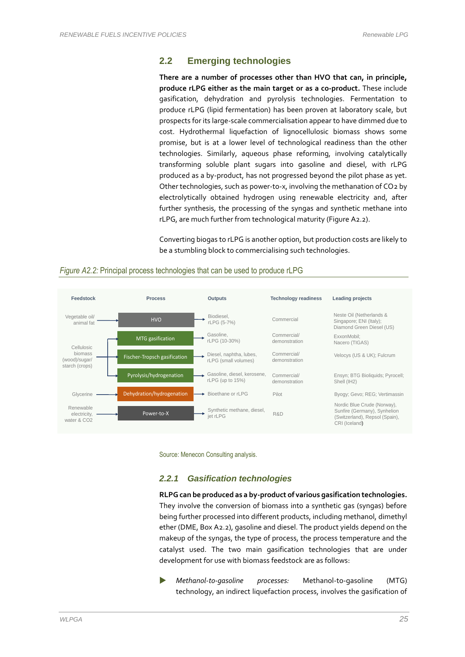#### **2.2 Emerging technologies**

**There are a number of processes other than HVO that can, in principle, produce rLPG either as the main target or as a co-product.** These include gasification, dehydration and pyrolysis technologies. Fermentation to produce rLPG (lipid fermentation) has been proven at laboratory scale, but prospects for its large-scale commercialisation appear to have dimmed due to cost. Hydrothermal liquefaction of lignocellulosic biomass shows some promise, but is at a lower level of technological readiness than the other technologies. Similarly, aqueous phase reforming, involving catalytically transforming soluble plant sugars into gasoline and diesel, with rLPG produced as a by-product, has not progressed beyond the pilot phase as yet. Other technologies, such as power-to-x, involving the methanation of CO2 by electrolytically obtained hydrogen using renewable electricity and, after further synthesis, the processing of the syngas and synthetic methane into rLPG, are much further from technological maturity (Figure A2.2).

Converting biogas to rLPG is another option, but production costs are likely to be a stumbling block to commercialising such technologies.



#### *Figure A2.2:* Principal process technologies that can be used to produce rLPG

Source: Menecon Consulting analysis.

#### *2.2.1 Gasification technologies*

**RLPGcan be produced as a by-product of various gasification technologies.**  They involve the conversion of biomass into a synthetic gas (syngas) before being further processed into different products, including methanol, dimethyl ether (DME, Box A2.2), gasoline and diesel. The product yields depend on the makeup of the syngas, the type of process, the process temperature and the catalyst used. The two main gasification technologies that are under development for use with biomass feedstock are as follows:

 *Methanol-to-gasoline processes:* Methanol-to-gasoline (MTG) technology, an indirect liquefaction process, involves the gasification of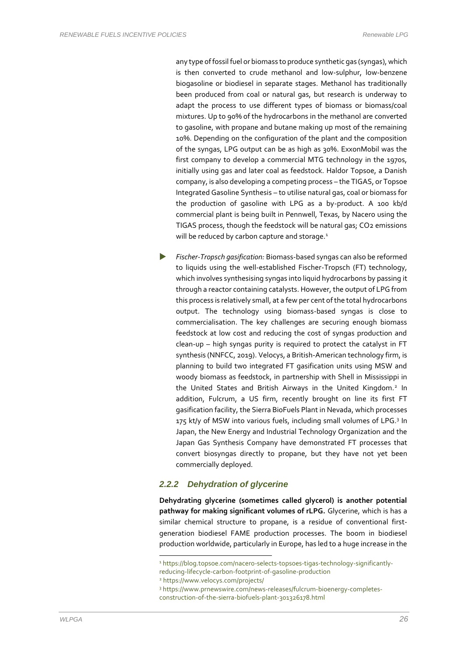any type of fossil fuel or biomass to produce synthetic gas (syngas), which is then converted to crude methanol and low-sulphur, low-benzene biogasoline or biodiesel in separate stages. Methanol has traditionally been produced from coal or natural gas, but research is underway to adapt the process to use different types of biomass or biomass/coal mixtures. Up to 90% of the hydrocarbons in the methanol are converted to gasoline, with propane and butane making up most of the remaining 10%. Depending on the configuration of the plant and the composition of the syngas, LPG output can be as high as 30%. ExxonMobil was the first company to develop a commercial MTG technology in the 1970s, initially using gas and later coal as feedstock. Haldor Topsoe, a Danish company, is also developing a competing process – the TIGAS, or Topsoe Integrated Gasoline Synthesis – to utilise natural gas, coal or biomass for the production of gasoline with LPG as a by-product. A 100 kb/d commercial plant is being built in Pennwell, Texas, by Nacero using the TIGAS process, though the feedstock will be natural gas; CO2 emissions will be reduced by carbon capture and storage.<sup>1</sup>

 *Fischer-Tropsch gasification:* Biomass-based syngas can also be reformed to liquids using the well-established Fischer-Tropsch (FT) technology, which involves synthesising syngas into liquid hydrocarbons by passing it through a reactor containing catalysts. However, the output of LPG from this process is relatively small, at a few per cent of the total hydrocarbons output. The technology using biomass-based syngas is close to commercialisation. The key challenges are securing enough biomass feedstock at low cost and reducing the cost of syngas production and clean-up – high syngas purity is required to protect the catalyst in FT synthesis (NNFCC, 2019). Velocys, a British-American technology firm, is planning to build two integrated FT gasification units using MSW and woody biomass as feedstock, in partnership with Shell in Mississippi in the United States and British Airways in the United Kingdom.<sup>2</sup> In addition, Fulcrum, a US firm, recently brought on line its first FT gasification facility, the Sierra BioFuels Plant in Nevada, which processes 175 kt/y of MSW into various fuels, including small volumes of LPG.<sup>3</sup> In Japan, the New Energy and Industrial Technology Organization and the Japan Gas Synthesis Company have demonstrated FT processes that convert biosyngas directly to propane, but they have not yet been commercially deployed.

#### *2.2.2 Dehydration of glycerine*

**Dehydrating glycerine (sometimes called glycerol) is another potential pathway for making significant volumes of rLPG.** Glycerine, which is has a similar chemical structure to propane, is a residue of conventional firstgeneration biodiesel FAME production processes. The boom in biodiesel production worldwide, particularly in Europe, has led to a huge increase in the

<sup>&</sup>lt;sup>1</sup> https://blog.topsoe.com/nacero-selects-topsoes-tigas-technology-significantlyreducing-lifecycle-carbon-footprint-of-gasoline-production

<sup>2</sup> https://www.velocys.com/projects/

<sup>3</sup> https://www.prnewswire.com/news-releases/fulcrum-bioenergy-completes-

construction-of-the-sierra-biofuels-plant-301326178.html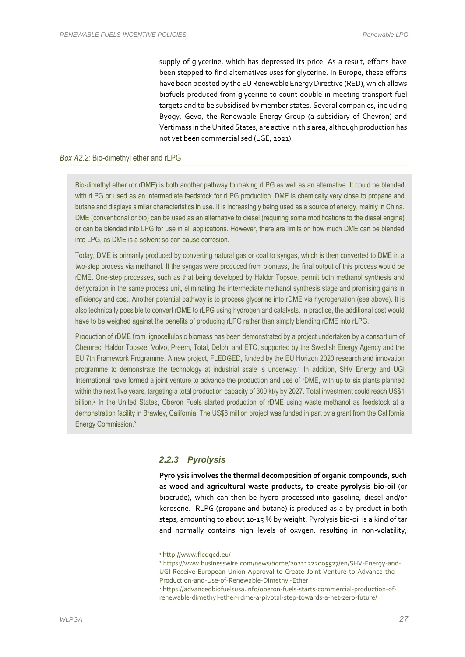supply of glycerine, which has depressed its price. As a result, efforts have been stepped to find alternatives uses for glycerine. In Europe, these efforts have been boosted by the EU Renewable Energy Directive (RED), which allows biofuels produced from glycerine to count double in meeting transport-fuel targets and to be subsidised by member states. Several companies, including Byogy, Gevo, the Renewable Energy Group (a subsidiary of Chevron) and Vertimass in the United States, are active in this area, although production has not yet been commercialised (LGE, 2021).

#### *Box A2.2:* Bio-dimethyl ether and rLPG

Bio-dimethyl ether (or rDME) is both another pathway to making rLPG as well as an alternative. It could be blended with rLPG or used as an intermediate feedstock for rLPG production. DME is chemically very close to propane and butane and displays similar characteristics in use. It is increasingly being used as a source of energy, mainly in China. DME (conventional or bio) can be used as an alternative to diesel (requiring some modifications to the diesel engine) or can be blended into LPG for use in all applications. However, there are limits on how much DME can be blended into LPG, as DME is a solvent so can cause corrosion.

Today, DME is primarily produced by converting natural gas or coal to syngas, which is then converted to DME in a two-step process via methanol. If the syngas were produced from biomass, the final output of this process would be rDME. One-step processes, such as that being developed by Haldor Topsoe, permit both methanol synthesis and dehydration in the same process unit, eliminating the intermediate methanol synthesis stage and promising gains in efficiency and cost. Another potential pathway is to process glycerine into rDME via hydrogenation (see above). It is also technically possible to convert rDME to rLPG using hydrogen and catalysts. In practice, the additional cost would have to be weighed against the benefits of producing rLPG rather than simply blending rDME into rLPG.

Production of rDME from lignocellulosic biomass has been demonstrated by a project undertaken by a consortium of Chemrec, Haldor Topsøe, Volvo, Preem, Total, Delphi and ETC, supported by the Swedish Energy Agency and the EU 7th Framework Programme. A new project, FLEDGED, funded by the EU Horizon 2020 research and innovation programme to demonstrate the technology at industrial scale is underway.<sup>1</sup> In addition, SHV Energy and UGI International have formed a joint venture to advance the production and use of rDME, with up to six plants planned within the next five years, targeting a total production capacity of 300 kt/y by 2027. Total investment could reach US\$1 billion.<sup>2</sup> In the United States, Oberon Fuels started production of rDME using waste methanol as feedstock at a demonstration facility in Brawley, California. The US\$6 million project was funded in part by a grant from the California Energy Commission.<sup>3</sup>

#### *2.2.3 Pyrolysis*

**Pyrolysis involves the thermal decomposition of organic compounds, such as wood and agricultural waste products, to create pyrolysis bio-oil** (or biocrude), which can then be hydro-processed into gasoline, diesel and/or kerosene. RLPG (propane and butane) is produced as a by-product in both steps, amounting to about 10-15 % by weight. Pyrolysis bio-oil is a kind of tar and normally contains high levels of oxygen, resulting in non-volatility,

<sup>1</sup> http://www.fledged.eu/

<sup>2</sup> https://www.businesswire.com/news/home/20211222005527/en/SHV-Energy-and-UGI-Receive-European-Union-Approval-to-Create-Joint-Venture-to-Advance-the-Production-and-Use-of-Renewable-Dimethyl-Ether

<sup>3</sup> https://advancedbiofuelsusa.info/oberon-fuels-starts-commercial-production-ofrenewable-dimethyl-ether-rdme-a-pivotal-step-towards-a-net-zero-future/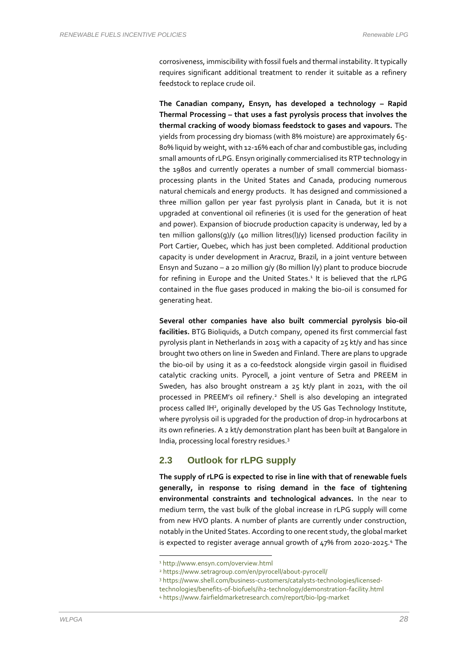corrosiveness, immiscibility with fossil fuels and thermal instability. It typically requires significant additional treatment to render it suitable as a refinery feedstock to replace crude oil.

**The Canadian company, Ensyn, has developed a technology – Rapid Thermal Processing – that uses a fast pyrolysis process that involves the thermal cracking of woody biomass feedstock to gases and vapours.** The yields from processing dry biomass (with 8% moisture) are approximately 65- 80% liquid by weight, with 12-16% each of char and combustible gas, including small amounts of rLPG. Ensyn originally commercialised its RTP technology in the 1980s and currently operates a number of small commercial biomassprocessing plants in the United States and Canada, producing numerous natural chemicals and energy products. It has designed and commissioned a three million gallon per year fast pyrolysis plant in Canada, but it is not upgraded at conventional oil refineries (it is used for the generation of heat and power). Expansion of biocrude production capacity is underway, led by a ten million gallons(g)/y (40 million litres(l)/y) licensed production facility in Port Cartier, Quebec, which has just been completed. Additional production capacity is under development in Aracruz, Brazil, in a joint venture between Ensyn and Suzano – a 20 million  $q/y$  (80 million  $l/y$ ) plant to produce biocrude for refining in Europe and the United States.<sup>1</sup> It is believed that the rLPG contained in the flue gases produced in making the bio-oil is consumed for generating heat.

**Several other companies have also built commercial pyrolysis bio-oil facilities.** BTG Bioliquids, a Dutch company, opened its first commercial fast pyrolysis plant in Netherlands in 2015 with a capacity of 25 kt/y and has since brought two others on line in Sweden and Finland. There are plans to upgrade the bio-oil by using it as a co-feedstock alongside virgin gasoil in fluidised catalytic cracking units. Pyrocell, a joint venture of Setra and PREEM in Sweden, has also brought onstream a 25 kt/y plant in 2021, with the oil processed in PREEM's oil refinery. <sup>2</sup> Shell is also developing an integrated process called IH<sup>2</sup>, originally developed by the US Gas Technology Institute, where pyrolysis oil is upgraded for the production of drop-in hydrocarbons at its own refineries. A 2 kt/y demonstration plant has been built at Bangalore in India, processing local forestry residues.<sup>3</sup>

#### **2.3 Outlook for rLPG supply**

**The supply of rLPG is expected to rise in line with that of renewable fuels generally, in response to rising demand in the face of tightening environmental constraints and technological advances.** In the near to medium term, the vast bulk of the global increase in rLPG supply will come from new HVO plants. A number of plants are currently under construction, notably in the United States. According to one recent study, the global market is expected to register average annual growth of 47% from 2020-2025.<sup>4</sup> The

<sup>1</sup> http://www.ensyn.com/overview.html

<sup>2</sup> https://www.setragroup.com/en/pyrocell/about-pyrocell/

<sup>3</sup> https://www.shell.com/business-customers/catalysts-technologies/licensed-

technologies/benefits-of-biofuels/ih2-technology/demonstration-facility.html

<sup>4</sup> https://www.fairfieldmarketresearch.com/report/bio-lpg-market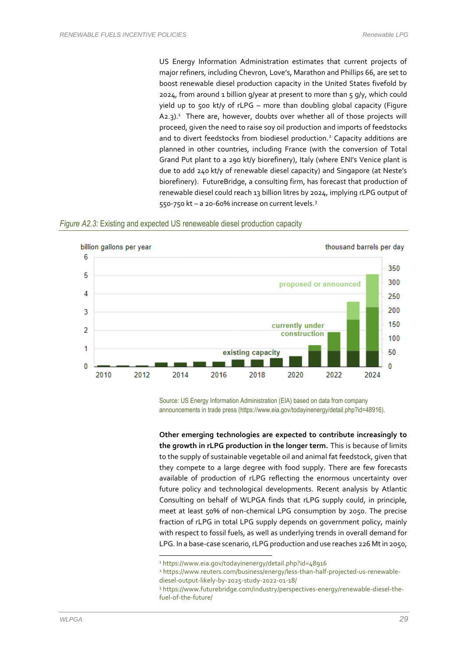#### US Energy Information Administration estimates that current projects of major refiners, including Chevron, Love's, Marathon and Phillips 66, are set to boost renewable diesel production capacity in the United States fivefold by 2024, from around 1 billion g/year at present to more than  $5$  g/y, which could yield up to 500 kt/y of rLPG – more than doubling global capacity (Figure A2.3).<sup>1</sup> There are, however, doubts over whether all of those projects will proceed, given the need to raise soy oil production and imports of feedstocks and to divert feedstocks from biodiesel production.<sup>2</sup> Capacity additions are planned in other countries, including France (with the conversion of Total Grand Put plant to a 290 kt/y biorefinery), Italy (where ENI's Venice plant is due to add 240 kt/y of renewable diesel capacity) and Singapore (at Neste's biorefinery). FutureBridge, a consulting firm, has forecast that production of renewable diesel could reach 13 billion litres by 2024, implying rLPG output of 550-750 kt - a 20-60% increase on current levels.<sup>3</sup>





Source: US Energy Information Administration (EIA) based on data from company announcements in trade press (https://www.eia.gov/todayinenergy/detail.php?id=48916).

**Other emerging technologies are expected to contribute increasingly to the growth in rLPG production in the longer term.** This is because of limits to the supply of sustainable vegetable oil and animal fat feedstock, given that they compete to a large degree with food supply. There are few forecasts available of production of rLPG reflecting the enormous uncertainty over future policy and technological developments. Recent analysis by Atlantic Consulting on behalf of WLPGA finds that rLPG supply could, in principle, meet at least 50% of non-chemical LPG consumption by 2050. The precise fraction of rLPG in total LPG supply depends on government policy, mainly with respect to fossil fuels, as well as underlying trends in overall demand for LPG. In a base-case scenario, rLPG production and use reaches 226 Mt in 2050,

<sup>1</sup> https://www.eia.gov/todayinenergy/detail.php?id=48916

<sup>2</sup> https://www.reuters.com/business/energy/less-than-half-projected-us-renewablediesel-output-likely-by-2025-study-2022-01-18/

<sup>3</sup> https://www.futurebridge.com/industry/perspectives-energy/renewable-diesel-thefuel-of-the-future/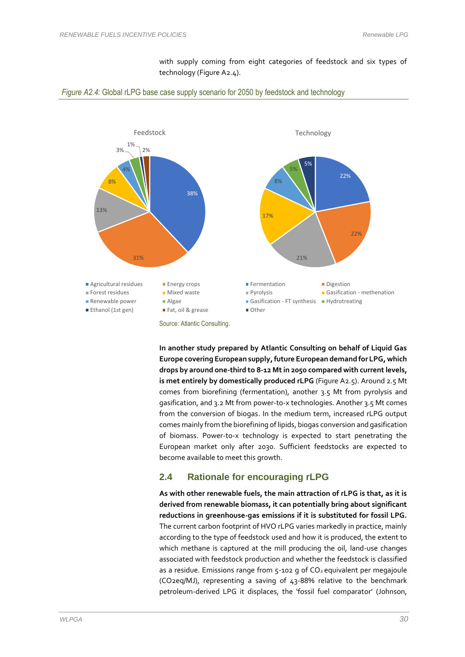





**In another study prepared by Atlantic Consulting on behalf of Liquid Gas Europe covering European supply, future European demand for LPG, which drops by around one-third to 8-12 Mt in 2050 compared with current levels, is met entirely by domestically produced rLPG** (Figure A2.5). Around 2.5 Mt comes from biorefining (fermentation), another 3.5 Mt from pyrolysis and gasification, and 3.2 Mt from power-to-x technologies. Another 3.5 Mt comes from the conversion of biogas. In the medium term, increased rLPG output comes mainly from the biorefining of lipids, biogas conversion and gasification of biomass. Power-to-x technology is expected to start penetrating the European market only after 2030. Sufficient feedstocks are expected to become available to meet this growth.

#### **2.4 Rationale for encouraging rLPG**

**As with other renewable fuels, the main attraction of rLPG is that, as it is derived from renewable biomass, it can potentially bring about significant reductions in greenhouse-gas emissions if it is substituted for fossil LPG.**  The current carbon footprint of HVO rLPG varies markedly in practice, mainly according to the type of feedstock used and how it is produced, the extent to which methane is captured at the mill producing the oil, land-use changes associated with feedstock production and whether the feedstock is classified as a residue. Emissions range from  $5-102$  g of  $CO<sub>2</sub>$  equivalent per megajoule (CO2eq/MJ), representing a saving of 43-88% relative to the benchmark petroleum-derived LPG it displaces, the 'fossil fuel comparator' (Johnson,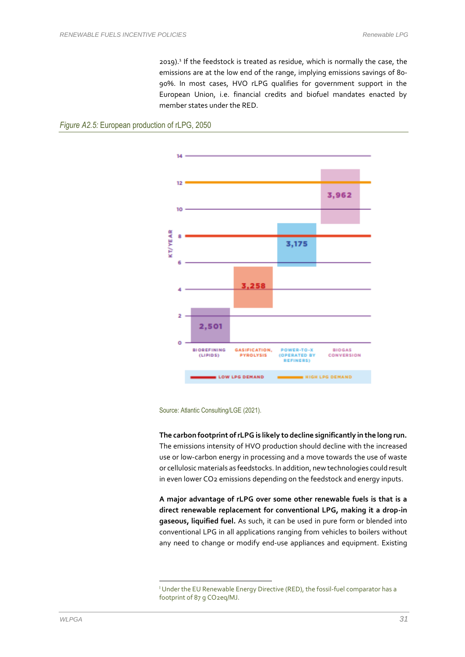2019).<sup>1</sup> If the feedstock is treated as residue, which is normally the case, the emissions are at the low end of the range, implying emissions savings of 80- 90%. In most cases, HVO rLPG qualifies for government support in the European Union, i.e. financial credits and biofuel mandates enacted by member states under the RED.





Source: Atlantic Consulting/LGE (2021).

**The carbon footprint of rLPG is likely to decline significantly in the long run.** The emissions intensity of HVO production should decline with the increased use or low-carbon energy in processing and a move towards the use of waste or cellulosic materials as feedstocks. In addition, new technologies could result in even lower CO2 emissions depending on the feedstock and energy inputs.

**A major advantage of rLPG over some other renewable fuels is that is a direct renewable replacement for conventional LPG, making it a drop-in gaseous, liquified fuel.** As such, it can be used in pure form or blended into conventional LPG in all applications ranging from vehicles to boilers without any need to change or modify end-use appliances and equipment. Existing

<sup>&</sup>lt;sup>I</sup> Under the EU Renewable Energy Directive (RED), the fossil-fuel comparator has a footprint of 87 g CO2eq/MJ.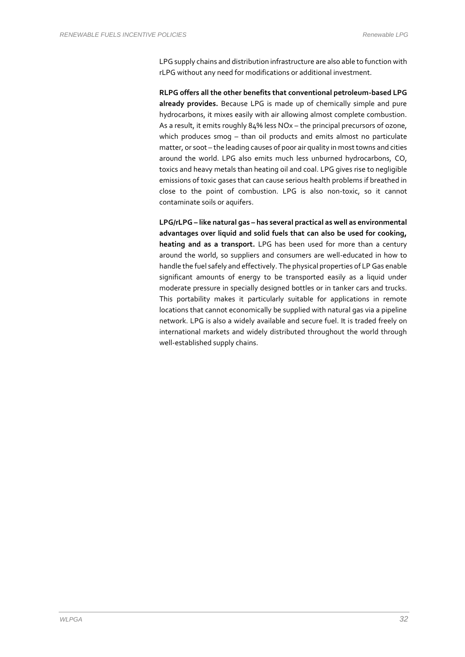LPG supply chains and distribution infrastructure are also able to function with rLPG without any need for modifications or additional investment.

**RLPG offers all the other benefits that conventional petroleum-based LPG already provides.** Because LPG is made up of chemically simple and pure hydrocarbons, it mixes easily with air allowing almost complete combustion. As a result, it emits roughly 84% less NOx – the principal precursors of ozone, which produces smog – than oil products and emits almost no particulate matter, or soot – the leading causes of poor air quality in most towns and cities around the world. LPG also emits much less unburned hydrocarbons, CO, toxics and heavy metals than heating oil and coal. LPG gives rise to negligible emissions of toxic gases that can cause serious health problems if breathed in close to the point of combustion. LPG is also non-toxic, so it cannot contaminate soils or aquifers.

**LPG/rLPG – like natural gas – has several practical as well as environmental advantages over liquid and solid fuels that can also be used for cooking, heating and as a transport.** LPG has been used for more than a century around the world, so suppliers and consumers are well-educated in how to handle the fuel safely and effectively. The physical properties of LP Gas enable significant amounts of energy to be transported easily as a liquid under moderate pressure in specially designed bottles or in tanker cars and trucks. This portability makes it particularly suitable for applications in remote locations that cannot economically be supplied with natural gas via a pipeline network. LPG is also a widely available and secure fuel. It is traded freely on international markets and widely distributed throughout the world through well-established supply chains.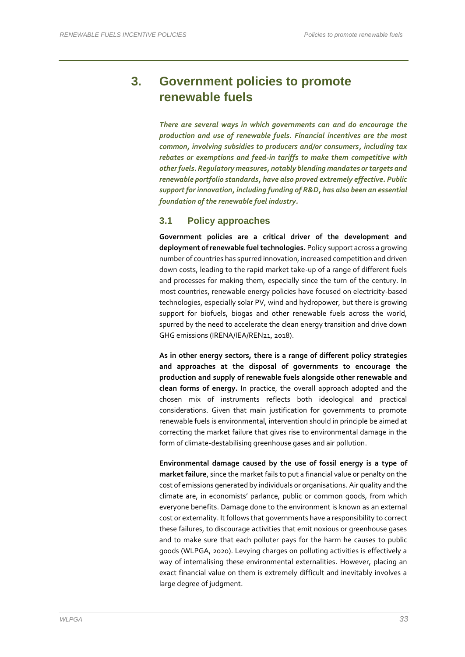## **3. Government policies to promote renewable fuels**

*There are several ways in which governments can and do encourage the production and use of renewable fuels. Financial incentives are the most common, involving subsidies to producers and/or consumers, including tax rebates or exemptions and feed-in tariffs to make them competitive with other fuels. Regulatory measures, notably blending mandates or targets and renewable portfolio standards, have also proved extremely effective. Public supportfor innovation, including funding of R&D, has also been an essential foundation of the renewable fuel industry.*

#### **3.1 Policy approaches**

**Government policies are a critical driver of the development and deployment of renewable fuel technologies.** Policy support across a growing number of countries has spurred innovation, increased competition and driven down costs, leading to the rapid market take-up of a range of different fuels and processes for making them, especially since the turn of the century. In most countries, renewable energy policies have focused on electricity-based technologies, especially solar PV, wind and hydropower, but there is growing support for biofuels, biogas and other renewable fuels across the world, spurred by the need to accelerate the clean energy transition and drive down GHG emissions (IRENA/IEA/REN21, 2018).

**As in other energy sectors, there is a range of different policy strategies and approaches at the disposal of governments to encourage the production and supply of renewable fuels alongside other renewable and clean forms of energy.** In practice, the overall approach adopted and the chosen mix of instruments reflects both ideological and practical considerations. Given that main justification for governments to promote renewable fuels is environmental, intervention should in principle be aimed at correcting the market failure that gives rise to environmental damage in the form of climate-destabilising greenhouse gases and air pollution.

**Environmental damage caused by the use of fossil energy is a type of market failure**, since the market fails to put a financial value or penalty on the cost of emissions generated by individuals or organisations. Air quality and the climate are, in economists' parlance, public or common goods, from which everyone benefits. Damage done to the environment is known as an external cost or externality. It follows that governments have a responsibility to correct these failures, to discourage activities that emit noxious or greenhouse gases and to make sure that each polluter pays for the harm he causes to public goods (WLPGA, 2020). Levying charges on polluting activities is effectively a way of internalising these environmental externalities. However, placing an exact financial value on them is extremely difficult and inevitably involves a large degree of judgment.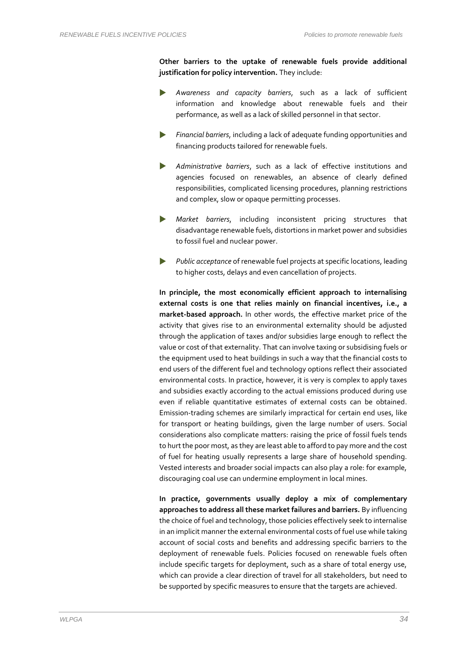**Other barriers to the uptake of renewable fuels provide additional justification for policy intervention.** They include:

- *Awareness and capacity barriers*, such as a lack of sufficient information and knowledge about renewable fuels and their performance, as well as a lack of skilled personnel in that sector.
- *Financial barriers*, including a lack of adequate funding opportunities and financing products tailored for renewable fuels.
- *Administrative barriers*, such as a lack of effective institutions and agencies focused on renewables, an absence of clearly defined responsibilities, complicated licensing procedures, planning restrictions and complex, slow or opaque permitting processes.
- *Market barriers*, including inconsistent pricing structures that disadvantage renewable fuels, distortions in market power and subsidies to fossil fuel and nuclear power.
- *Public acceptance* of renewable fuel projects at specific locations, leading to higher costs, delays and even cancellation of projects.

**In principle, the most economically efficient approach to internalising external costs is one that relies mainly on financial incentives, i.e., a market-based approach.** In other words, the effective market price of the activity that gives rise to an environmental externality should be adjusted through the application of taxes and/or subsidies large enough to reflect the value or cost of that externality. That can involve taxing or subsidising fuels or the equipment used to heat buildings in such a way that the financial costs to end users of the different fuel and technology options reflect their associated environmental costs. In practice, however, it is very is complex to apply taxes and subsidies exactly according to the actual emissions produced during use even if reliable quantitative estimates of external costs can be obtained. Emission-trading schemes are similarly impractical for certain end uses, like for transport or heating buildings, given the large number of users. Social considerations also complicate matters: raising the price of fossil fuels tends to hurt the poor most, as they are least able to afford to pay more and the cost of fuel for heating usually represents a large share of household spending. Vested interests and broader social impacts can also play a role: for example, discouraging coal use can undermine employment in local mines.

**In practice, governments usually deploy a mix of complementary approaches to address all these market failures and barriers.** By influencing the choice of fuel and technology, those policies effectively seek to internalise in an implicit manner the external environmental costs of fuel use while taking account of social costs and benefits and addressing specific barriers to the deployment of renewable fuels. Policies focused on renewable fuels often include specific targets for deployment, such as a share of total energy use, which can provide a clear direction of travel for all stakeholders, but need to be supported by specific measures to ensure that the targets are achieved.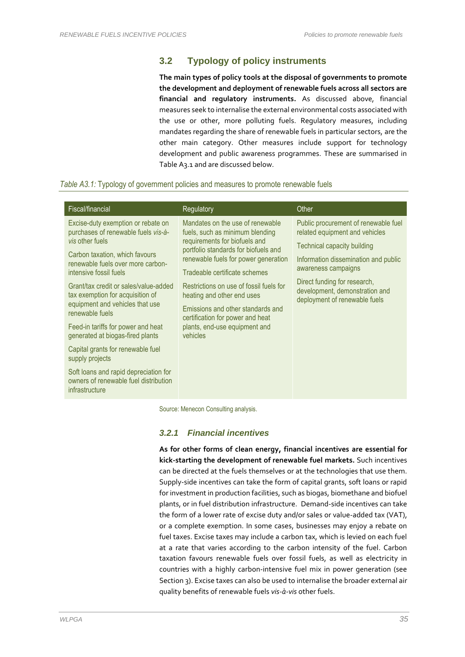### **3.2 Typology of policy instruments**

**The main types of policy tools at the disposal of governments to promote the development and deployment of renewable fuels across all sectors are financial and regulatory instruments.** As discussed above, financial measures seek to internalise the external environmental costs associated with the use or other, more polluting fuels. Regulatory measures, including mandates regarding the share of renewable fuels in particular sectors, are the other main category. Other measures include support for technology development and public awareness programmes. These are summarised in Table A3.1 and are discussed below.

#### *Table A3.1:* Typology of government policies and measures to promote renewable fuels

| Mandates on the use of renewable<br>Excise-duty exemption or rebate on                                                                                                                                                                                                                                                                                                                                                                                                                                                                                                                                                                                                                                                                                                                                                                                                                                                                   | Fiscal/financial                                                                               | Regulatory                      | Other                                                                                                          |
|------------------------------------------------------------------------------------------------------------------------------------------------------------------------------------------------------------------------------------------------------------------------------------------------------------------------------------------------------------------------------------------------------------------------------------------------------------------------------------------------------------------------------------------------------------------------------------------------------------------------------------------------------------------------------------------------------------------------------------------------------------------------------------------------------------------------------------------------------------------------------------------------------------------------------------------|------------------------------------------------------------------------------------------------|---------------------------------|----------------------------------------------------------------------------------------------------------------|
| requirements for biofuels and<br>vis other fuels<br>Technical capacity building<br>portfolio standards for biofuels and<br>Carbon taxation, which favours<br>renewable fuels for power generation<br>renewable fuels over more carbon-<br>awareness campaigns<br>intensive fossil fuels<br>Tradeable certificate schemes<br>Direct funding for research,<br>Grant/tax credit or sales/value-added<br>Restrictions on use of fossil fuels for<br>development, demonstration and<br>tax exemption for acquisition of<br>heating and other end uses<br>deployment of renewable fuels<br>equipment and vehicles that use<br>Emissions and other standards and<br>renewable fuels<br>certification for power and heat<br>plants, end-use equipment and<br>Feed-in tariffs for power and heat<br>generated at biogas-fired plants<br>vehicles<br>Capital grants for renewable fuel<br>supply projects<br>Soft loans and rapid depreciation for | purchases of renewable fuels vis-à-<br>owners of renewable fuel distribution<br>infrastructure | fuels, such as minimum blending | Public procurement of renewable fuel<br>related equipment and vehicles<br>Information dissemination and public |

Source: Menecon Consulting analysis.

#### *3.2.1 Financial incentives*

**As for other forms of clean energy, financial incentives are essential for kick-starting the development of renewable fuel markets.** Such incentives can be directed at the fuels themselves or at the technologies that use them. Supply-side incentives can take the form of capital grants, soft loans or rapid for investment in production facilities, such as biogas, biomethane and biofuel plants, or in fuel distribution infrastructure. Demand-side incentives can take the form of a lower rate of excise duty and/or sales or value-added tax (VAT), or a complete exemption. In some cases, businesses may enjoy a rebate on fuel taxes. Excise taxes may include a carbon tax, which is levied on each fuel at a rate that varies according to the carbon intensity of the fuel. Carbon taxation favours renewable fuels over fossil fuels, as well as electricity in countries with a highly carbon-intensive fuel mix in power generation (see Section 3). Excise taxes can also be used to internalise the broader external air quality benefits of renewable fuels *vis-à-vis* other fuels.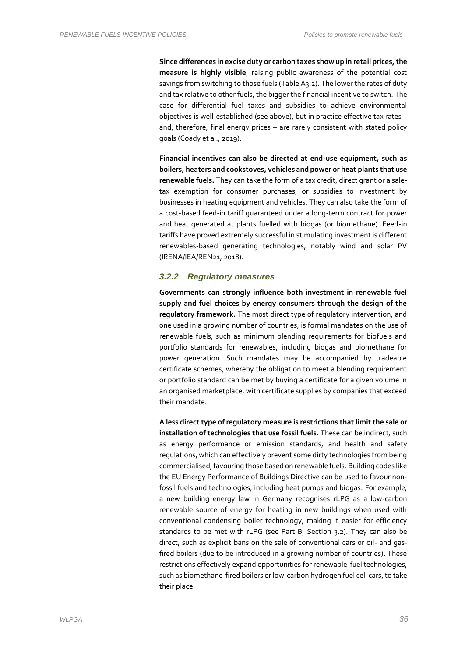**Since differences in excise duty or carbon taxes show up in retail prices, the measure is highly visible**, raising public awareness of the potential cost savings from switching to those fuels (Table A3.2). The lower the rates of duty and tax relative to other fuels, the bigger the financial incentive to switch. The case for differential fuel taxes and subsidies to achieve environmental objectives is well-established (see above), but in practice effective tax rates – and, therefore, final energy prices – are rarely consistent with stated policy goals (Coady et al., 2019).

**Financial incentives can also be directed at end-use equipment, such as boilers, heaters and cookstoves, vehicles and power or heat plants that use renewable fuels.** They can take the form of a tax credit, direct grant or a saletax exemption for consumer purchases, or subsidies to investment by businesses in heating equipment and vehicles. They can also take the form of a cost-based feed-in tariff guaranteed under a long-term contract for power and heat generated at plants fuelled with biogas (or biomethane). Feed-in tariffs have proved extremely successful in stimulating investment is different renewables-based generating technologies, notably wind and solar PV (IRENA/IEA/REN21, 2018).

#### *3.2.2 Regulatory measures*

**Governments can strongly influence both investment in renewable fuel supply and fuel choices by energy consumers through the design of the regulatory framework.** The most direct type of regulatory intervention, and one used in a growing number of countries, is formal mandates on the use of renewable fuels, such as minimum blending requirements for biofuels and portfolio standards for renewables, including biogas and biomethane for power generation. Such mandates may be accompanied by tradeable certificate schemes, whereby the obligation to meet a blending requirement or portfolio standard can be met by buying a certificate for a given volume in an organised marketplace, with certificate supplies by companies that exceed their mandate.

**A less direct type of regulatory measure is restrictions that limit the sale or installation of technologies that use fossil fuels.** These can be indirect, such as energy performance or emission standards, and health and safety regulations, which can effectively prevent some dirty technologies from being commercialised, favouring those based on renewable fuels. Building codes like the EU Energy Performance of Buildings Directive can be used to favour nonfossil fuels and technologies, including heat pumps and biogas. For example, a new building energy law in Germany recognises rLPG as a low-carbon renewable source of energy for heating in new buildings when used with conventional condensing boiler technology, making it easier for efficiency standards to be met with rLPG (see Part B, Section 3.2). They can also be direct, such as explicit bans on the sale of conventional cars or oil- and gasfired boilers (due to be introduced in a growing number of countries). These restrictions effectively expand opportunities for renewable-fuel technologies, such as biomethane-fired boilers or low-carbon hydrogen fuel cell cars, to take their place.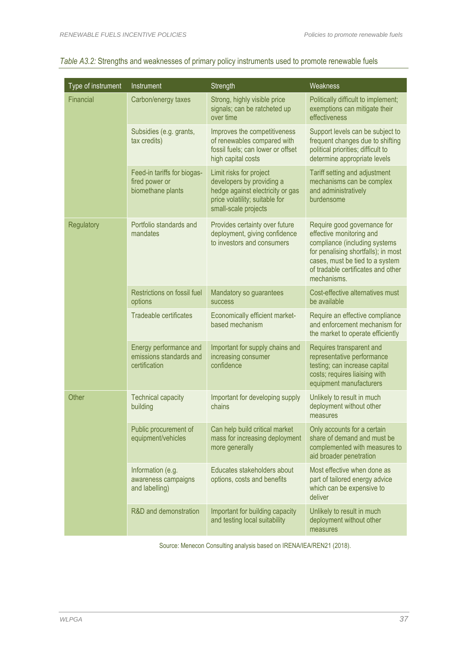| Type of instrument | Instrument                                                         | Strength                                                                                                                                           | Weakness                                                                                                                                                                                                                |  |  |
|--------------------|--------------------------------------------------------------------|----------------------------------------------------------------------------------------------------------------------------------------------------|-------------------------------------------------------------------------------------------------------------------------------------------------------------------------------------------------------------------------|--|--|
| Financial          | Carbon/energy taxes                                                | Strong, highly visible price<br>signals; can be ratcheted up<br>over time                                                                          | Politically difficult to implement;<br>exemptions can mitigate their<br>effectiveness                                                                                                                                   |  |  |
|                    | Subsidies (e.g. grants,<br>tax credits)                            | Improves the competitiveness<br>of renewables compared with<br>fossil fuels; can lower or offset<br>high capital costs                             | Support levels can be subject to<br>frequent changes due to shifting<br>political priorities; difficult to<br>determine appropriate levels                                                                              |  |  |
|                    | Feed-in tariffs for biogas-<br>fired power or<br>biomethane plants | Limit risks for project<br>developers by providing a<br>hedge against electricity or gas<br>price volatility; suitable for<br>small-scale projects | Tariff setting and adjustment<br>mechanisms can be complex<br>and administratively<br>burdensome                                                                                                                        |  |  |
| Regulatory         | Portfolio standards and<br>mandates                                | Provides certainty over future<br>deployment, giving confidence<br>to investors and consumers                                                      | Require good governance for<br>effective monitoring and<br>compliance (including systems<br>for penalising shortfalls); in most<br>cases, must be tied to a system<br>of tradable certificates and other<br>mechanisms. |  |  |
|                    | Restrictions on fossil fuel<br>options                             | Mandatory so guarantees<br><b>SUCCESS</b>                                                                                                          | Cost-effective alternatives must<br>be available                                                                                                                                                                        |  |  |
|                    | Tradeable certificates                                             | Economically efficient market-<br>based mechanism                                                                                                  | Require an effective compliance<br>and enforcement mechanism for<br>the market to operate efficiently                                                                                                                   |  |  |
|                    | Energy performance and<br>emissions standards and<br>certification | Important for supply chains and<br>increasing consumer<br>confidence                                                                               | Requires transparent and<br>representative performance<br>testing; can increase capital<br>costs; requires liaising with<br>equipment manufacturers                                                                     |  |  |
| Other              | <b>Technical capacity</b><br>building                              | Important for developing supply<br>chains                                                                                                          | Unlikely to result in much<br>deployment without other<br>measures                                                                                                                                                      |  |  |
|                    | Public procurement of<br>equipment/vehicles                        | Can help build critical market<br>mass for increasing deployment<br>more generally                                                                 | Only accounts for a certain<br>share of demand and must be<br>complemented with measures to<br>aid broader penetration                                                                                                  |  |  |
|                    | Information (e.g.<br>awareness campaigns<br>and labelling)         | Educates stakeholders about<br>options, costs and benefits                                                                                         | Most effective when done as<br>part of tailored energy advice<br>which can be expensive to<br>deliver                                                                                                                   |  |  |
|                    | R&D and demonstration                                              | Important for building capacity<br>and testing local suitability                                                                                   | Unlikely to result in much<br>deployment without other<br>measures                                                                                                                                                      |  |  |

# *Table A3.2:* Strengths and weaknesses of primary policy instruments used to promote renewable fuels

Source: Menecon Consulting analysis based on IRENA/IEA/REN21 (2018).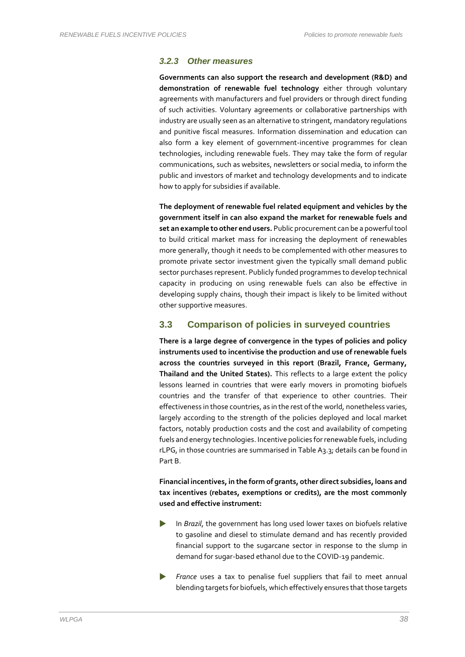#### *3.2.3 Other measures*

**Governments can also support the research and development (R&D) and demonstration of renewable fuel technology** either through voluntary agreements with manufacturers and fuel providers or through direct funding of such activities. Voluntary agreements or collaborative partnerships with industry are usually seen as an alternative to stringent, mandatory regulations and punitive fiscal measures. Information dissemination and education can also form a key element of government-incentive programmes for clean technologies, including renewable fuels. They may take the form of regular communications, such as websites, newsletters or social media, to inform the public and investors of market and technology developments and to indicate how to apply for subsidies if available.

**The deployment of renewable fuel related equipment and vehicles by the government itself in can also expand the market for renewable fuels and set an example to other end users.** Public procurement can be a powerful tool to build critical market mass for increasing the deployment of renewables more generally, though it needs to be complemented with other measures to promote private sector investment given the typically small demand public sector purchases represent. Publicly funded programmes to develop technical capacity in producing on using renewable fuels can also be effective in developing supply chains, though their impact is likely to be limited without other supportive measures.

#### **3.3 Comparison of policies in surveyed countries**

**There is a large degree of convergence in the types of policies and policy instruments used to incentivise the production and use of renewable fuels across the countries surveyed in this report (Brazil, France, Germany, Thailand and the United States).** This reflects to a large extent the policy lessons learned in countries that were early movers in promoting biofuels countries and the transfer of that experience to other countries. Their effectiveness in those countries, as in the rest of the world, nonetheless varies, largely according to the strength of the policies deployed and local market factors, notably production costs and the cost and availability of competing fuels and energy technologies. Incentive policies for renewable fuels, including rLPG, in those countries are summarised in Table A3.3; details can be found in Part B.

**Financial incentives, in the form of grants, other direct subsidies, loans and tax incentives (rebates, exemptions or credits), are the most commonly used and effective instrument:**

- In *Brazil*, the government has long used lower taxes on biofuels relative to gasoline and diesel to stimulate demand and has recently provided financial support to the sugarcane sector in response to the slump in demand for sugar-based ethanol due to the COVID-19 pandemic.
- *France* uses a tax to penalise fuel suppliers that fail to meet annual blending targets for biofuels, which effectively ensures that those targets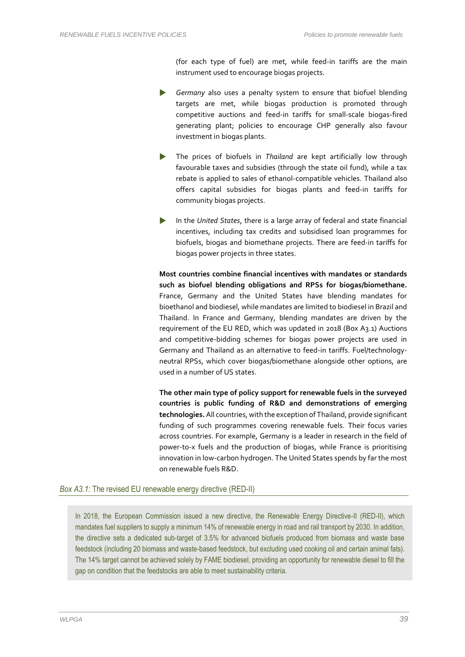(for each type of fuel) are met, while feed-in tariffs are the main instrument used to encourage biogas projects.

- *Germany* also uses a penalty system to ensure that biofuel blending targets are met, while biogas production is promoted through competitive auctions and feed-in tariffs for small-scale biogas-fired generating plant; policies to encourage CHP generally also favour investment in biogas plants.
- The prices of biofuels in *Thailand* are kept artificially low through favourable taxes and subsidies (through the state oil fund), while a tax rebate is applied to sales of ethanol-compatible vehicles. Thailand also offers capital subsidies for biogas plants and feed-in tariffs for community biogas projects.
- In the *United States*, there is a large array of federal and state financial incentives, including tax credits and subsidised loan programmes for biofuels, biogas and biomethane projects. There are feed-in tariffs for biogas power projects in three states.

**Most countries combine financial incentives with mandates or standards such as biofuel blending obligations and RPSs for biogas/biomethane.**  France, Germany and the United States have blending mandates for bioethanol and biodiesel, while mandates are limited to biodiesel in Brazil and Thailand. In France and Germany, blending mandates are driven by the requirement of the EU RED, which was updated in 2018 (Box A3.1) Auctions and competitive-bidding schemes for biogas power projects are used in Germany and Thailand as an alternative to feed-in tariffs. Fuel/technologyneutral RPSs, which cover biogas/biomethane alongside other options, are used in a number of US states.

**The other main type of policy support for renewable fuels in the surveyed countries is public funding of R&D and demonstrations of emerging technologies.** All countries, with the exception of Thailand, provide significant funding of such programmes covering renewable fuels. Their focus varies across countries. For example, Germany is a leader in research in the field of power-to-x fuels and the production of biogas, while France is prioritising innovation in low-carbon hydrogen. The United States spends by far the most on renewable fuels R&D.

#### *Box A3.1:* The revised EU renewable energy directive (RED-II)

In 2018, the European Commission issued a new directive, the Renewable Energy Directive-II (RED-II), which mandates fuel suppliers to supply a minimum 14% of renewable energy in road and rail transport by 2030. In addition, the directive sets a dedicated sub-target of 3.5% for advanced biofuels produced from biomass and waste base feedstock (including 20 biomass and waste-based feedstock, but excluding used cooking oil and certain animal fats). The 14% target cannot be achieved solely by FAME biodiesel, providing an opportunity for renewable diesel to fill the gap on condition that the feedstocks are able to meet sustainability criteria.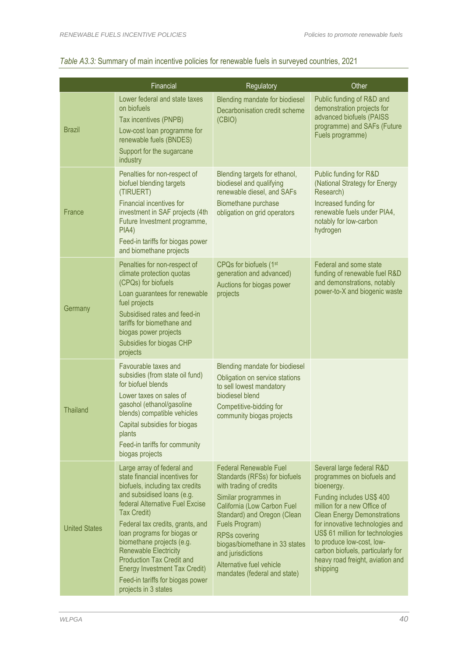|                      | Financial                                                                                                                                                                                                                                                                                                                                                                                                                                        | Regulatory                                                                                                                                                                                                                                                                                                                                    | Other                                                                                                                                                                                                                                                                                                                                                            |
|----------------------|--------------------------------------------------------------------------------------------------------------------------------------------------------------------------------------------------------------------------------------------------------------------------------------------------------------------------------------------------------------------------------------------------------------------------------------------------|-----------------------------------------------------------------------------------------------------------------------------------------------------------------------------------------------------------------------------------------------------------------------------------------------------------------------------------------------|------------------------------------------------------------------------------------------------------------------------------------------------------------------------------------------------------------------------------------------------------------------------------------------------------------------------------------------------------------------|
| <b>Brazil</b>        | Lower federal and state taxes<br>on biofuels<br>Tax incentives (PNPB)<br>Low-cost loan programme for<br>renewable fuels (BNDES)<br>Support for the sugarcane<br>industry                                                                                                                                                                                                                                                                         | Blending mandate for biodiesel<br>Decarbonisation credit scheme<br>(CBIO)                                                                                                                                                                                                                                                                     | Public funding of R&D and<br>demonstration projects for<br>advanced biofuels (PAISS<br>programme) and SAFs (Future<br>Fuels programme)                                                                                                                                                                                                                           |
| France               | Penalties for non-respect of<br>biofuel blending targets<br>(TIRUERT)<br><b>Financial incentives for</b><br>investment in SAF projects (4th<br>Future Investment programme,<br>PIA4)<br>Feed-in tariffs for biogas power<br>and biomethane projects                                                                                                                                                                                              | Blending targets for ethanol,<br>biodiesel and qualifying<br>renewable diesel, and SAFs<br>Biomethane purchase<br>obligation on grid operators                                                                                                                                                                                                | Public funding for R&D<br>(National Strategy for Energy<br>Research)<br>Increased funding for<br>renewable fuels under PIA4,<br>notably for low-carbon<br>hydrogen                                                                                                                                                                                               |
| Germany              | Penalties for non-respect of<br>climate protection quotas<br>(CPQs) for biofuels<br>Loan guarantees for renewable<br>fuel projects<br>Subsidised rates and feed-in<br>tariffs for biomethane and<br>biogas power projects<br>Subsidies for biogas CHP<br>projects                                                                                                                                                                                | CPQs for biofuels (1st<br>generation and advanced)<br>Auctions for biogas power<br>projects                                                                                                                                                                                                                                                   | Federal and some state<br>funding of renewable fuel R&D<br>and demonstrations, notably<br>power-to-X and biogenic waste                                                                                                                                                                                                                                          |
| Thailand             | Favourable taxes and<br>subsidies (from state oil fund)<br>for biofuel blends<br>Lower taxes on sales of<br>gasohol (ethanol/gasoline<br>blends) compatible vehicles<br>Capital subsidies for biogas<br>plants<br>Feed-in tariffs for community<br>biogas projects                                                                                                                                                                               | Blending mandate for biodiesel<br>Obligation on service stations<br>to sell lowest mandatory<br>biodiesel blend<br>Competitive-bidding for<br>community biogas projects                                                                                                                                                                       |                                                                                                                                                                                                                                                                                                                                                                  |
| <b>United States</b> | Large array of federal and<br>state financial incentives for<br>biofuels, including tax credits<br>and subsidised loans (e.g.<br>federal Alternative Fuel Excise<br>Tax Credit)<br>Federal tax credits, grants, and<br>loan programs for biogas or<br>biomethane projects (e.g.<br><b>Renewable Electricity</b><br><b>Production Tax Credit and</b><br>Energy Investment Tax Credit)<br>Feed-in tariffs for biogas power<br>projects in 3 states | <b>Federal Renewable Fuel</b><br>Standards (RFSs) for biofuels<br>with trading of credits<br>Similar programmes in<br>California (Low Carbon Fuel<br>Standard) and Oregon (Clean<br>Fuels Program)<br><b>RPSs covering</b><br>biogas/biomethane in 33 states<br>and jurisdictions<br>Alternative fuel vehicle<br>mandates (federal and state) | Several large federal R&D<br>programmes on biofuels and<br>bioenergy.<br>Funding includes US\$ 400<br>million for a new Office of<br><b>Clean Energy Demonstrations</b><br>for innovative technologies and<br>US\$ 61 million for technologies<br>to produce low-cost, low-<br>carbon biofuels, particularly for<br>heavy road freight, aviation and<br>shipping |

# *Table A3.3:* Summary of main incentive policies for renewable fuels in surveyed countries, 2021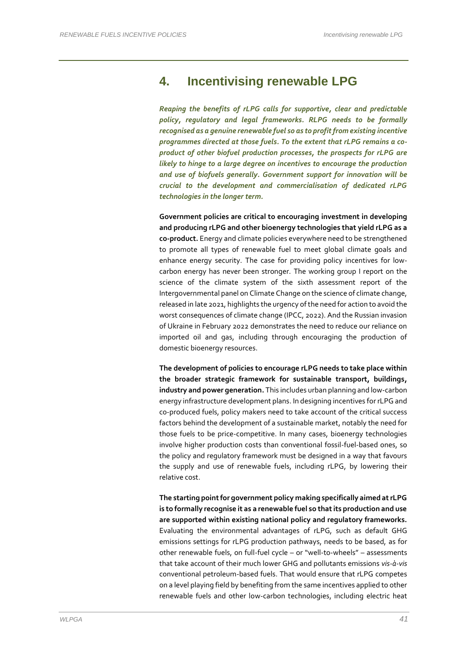# **4. Incentivising renewable LPG**

*Reaping the benefits of rLPG calls for supportive, clear and predictable policy, regulatory and legal frameworks. RLPG needs to be formally recognised as a genuine renewable fuel so as to profit from existing incentive programmes directed at those fuels. To the extent that rLPG remains a coproduct of other biofuel production processes, the prospects for rLPG are likely to hinge to a large degree on incentives to encourage the production and use of biofuels generally. Government support for innovation will be crucial to the development and commercialisation of dedicated rLPG technologies in the longer term.*

**Government policies are critical to encouraging investment in developing and producing rLPG and other bioenergy technologies that yield rLPG as a co-product.** Energy and climate policies everywhere need to be strengthened to promote all types of renewable fuel to meet global climate goals and enhance energy security. The case for providing policy incentives for lowcarbon energy has never been stronger. The working group I report on the science of the climate system of the sixth assessment report of the Intergovernmental panel on Climate Change on the science of climate change, released in late 2021, highlights the urgency of the need for action to avoid the worst consequences of climate change (IPCC, 2022). And the Russian invasion of Ukraine in February 2022 demonstrates the need to reduce our reliance on imported oil and gas, including through encouraging the production of domestic bioenergy resources.

**The development of policies to encourage rLPG needs to take place within the broader strategic framework for sustainable transport, buildings, industry and power generation.** This includes urban planning and low-carbon energy infrastructure development plans. In designing incentives for rLPG and co-produced fuels, policy makers need to take account of the critical success factors behind the development of a sustainable market, notably the need for those fuels to be price-competitive. In many cases, bioenergy technologies involve higher production costs than conventional fossil-fuel-based ones, so the policy and regulatory framework must be designed in a way that favours the supply and use of renewable fuels, including rLPG, by lowering their relative cost.

**The starting point for government policy making specifically aimed at rLPG is to formally recognise it as a renewable fuel so that its production and use are supported within existing national policy and regulatory frameworks.** Evaluating the environmental advantages of rLPG, such as default GHG emissions settings for rLPG production pathways, needs to be based, as for other renewable fuels, on full-fuel cycle – or "well-to-wheels" – assessments that take account of their much lower GHG and pollutants emissions *vis-à-vis* conventional petroleum-based fuels. That would ensure that rLPG competes on a level playing field by benefiting from the same incentives applied to other renewable fuels and other low-carbon technologies, including electric heat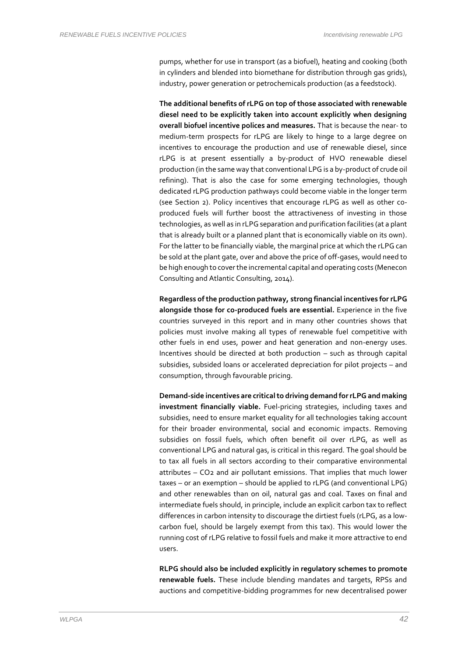pumps, whether for use in transport (as a biofuel), heating and cooking (both in cylinders and blended into biomethane for distribution through gas grids), industry, power generation or petrochemicals production (as a feedstock).

**The additional benefits of rLPG on top of those associated with renewable diesel need to be explicitly taken into account explicitly when designing overall biofuel incentive polices and measures.** That is because the near- to medium-term prospects for rLPG are likely to hinge to a large degree on incentives to encourage the production and use of renewable diesel, since rLPG is at present essentially a by-product of HVO renewable diesel production (in the same way that conventional LPG is a by-product of crude oil refining). That is also the case for some emerging technologies, though dedicated rLPG production pathways could become viable in the longer term (see Section 2). Policy incentives that encourage rLPG as well as other coproduced fuels will further boost the attractiveness of investing in those technologies, as well as in rLPG separation and purification facilities (at a plant that is already built or a planned plant that is economically viable on its own). For the latter to be financially viable, the marginal price at which the rLPG can be sold at the plant gate, over and above the price of off-gases, would need to be high enough to cover the incremental capital and operating costs (Menecon Consulting and Atlantic Consulting, 2014).

**Regardless of the production pathway, strong financial incentives for rLPG alongside those for co-produced fuels are essential.** Experience in the five countries surveyed in this report and in many other countries shows that policies must involve making all types of renewable fuel competitive with other fuels in end uses, power and heat generation and non-energy uses. Incentives should be directed at both production – such as through capital subsidies, subsided loans or accelerated depreciation for pilot projects – and consumption, through favourable pricing.

**Demand-side incentives are critical to driving demand for rLPG and making investment financially viable.** Fuel-pricing strategies, including taxes and subsidies, need to ensure market equality for all technologies taking account for their broader environmental, social and economic impacts. Removing subsidies on fossil fuels, which often benefit oil over rLPG, as well as conventional LPG and natural gas, is critical in this regard. The goal should be to tax all fuels in all sectors according to their comparative environmental attributes – CO2 and air pollutant emissions. That implies that much lower taxes – or an exemption – should be applied to rLPG (and conventional LPG) and other renewables than on oil, natural gas and coal. Taxes on final and intermediate fuels should, in principle, include an explicit carbon tax to reflect differences in carbon intensity to discourage the dirtiest fuels (rLPG, as a lowcarbon fuel, should be largely exempt from this tax). This would lower the running cost of rLPG relative to fossil fuels and make it more attractive to end users.

**RLPG should also be included explicitly in regulatory schemes to promote renewable fuels.** These include blending mandates and targets, RPSs and auctions and competitive-bidding programmes for new decentralised power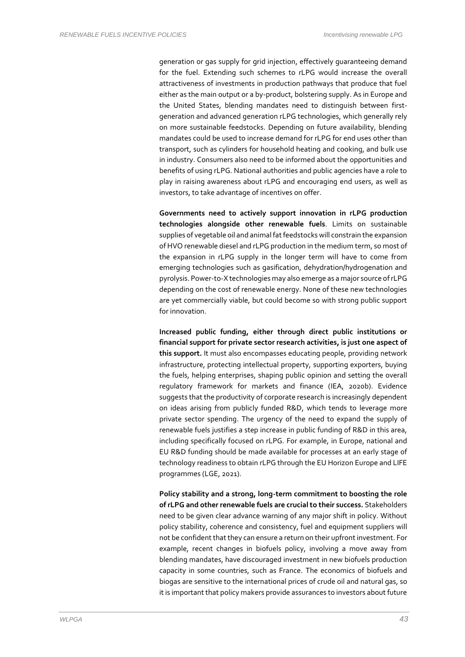generation or gas supply for grid injection, effectively guaranteeing demand for the fuel. Extending such schemes to rLPG would increase the overall attractiveness of investments in production pathways that produce that fuel either as the main output or a by-product, bolstering supply. As in Europe and the United States, blending mandates need to distinguish between firstgeneration and advanced generation rLPG technologies, which generally rely on more sustainable feedstocks. Depending on future availability, blending mandates could be used to increase demand for rLPG for end uses other than transport, such as cylinders for household heating and cooking, and bulk use in industry. Consumers also need to be informed about the opportunities and benefits of using rLPG. National authorities and public agencies have a role to play in raising awareness about rLPG and encouraging end users, as well as investors, to take advantage of incentives on offer.

**Governments need to actively support innovation in rLPG production technologies alongside other renewable fuels**. Limits on sustainable supplies of vegetable oil and animal fat feedstocks will constrain the expansion of HVO renewable diesel and rLPG production in the medium term, so most of the expansion in rLPG supply in the longer term will have to come from emerging technologies such as gasification, dehydration/hydrogenation and pyrolysis. Power-to-X technologies may also emerge as a major source of rLPG depending on the cost of renewable energy. None of these new technologies are yet commercially viable, but could become so with strong public support for innovation.

**Increased public funding, either through direct public institutions or financial support for private sector research activities, is just one aspect of this support.** It must also encompasses educating people, providing network infrastructure, protecting intellectual property, supporting exporters, buying the fuels, helping enterprises, shaping public opinion and setting the overall regulatory framework for markets and finance (IEA, 2020b). Evidence suggests that the productivity of corporate research is increasingly dependent on ideas arising from publicly funded R&D, which tends to leverage more private sector spending. The urgency of the need to expand the supply of renewable fuels justifies a step increase in public funding of R&D in this area, including specifically focused on rLPG. For example, in Europe, national and EU R&D funding should be made available for processes at an early stage of technology readiness to obtain rLPG through the EU Horizon Europe and LIFE programmes (LGE, 2021).

**Policy stability and a strong, long-term commitment to boosting the role of rLPG and other renewable fuels are crucial to their success.** Stakeholders need to be given clear advance warning of any major shift in policy. Without policy stability, coherence and consistency, fuel and equipment suppliers will not be confident that they can ensure a return on their upfront investment. For example, recent changes in biofuels policy, involving a move away from blending mandates, have discouraged investment in new biofuels production capacity in some countries, such as France. The economics of biofuels and biogas are sensitive to the international prices of crude oil and natural gas, so it is important that policy makers provide assurances to investors about future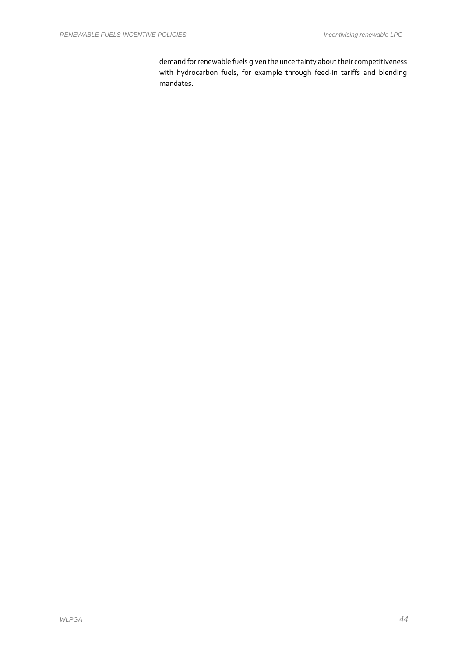demand for renewable fuels given the uncertainty about their competitiveness with hydrocarbon fuels, for example through feed-in tariffs and blending mandates.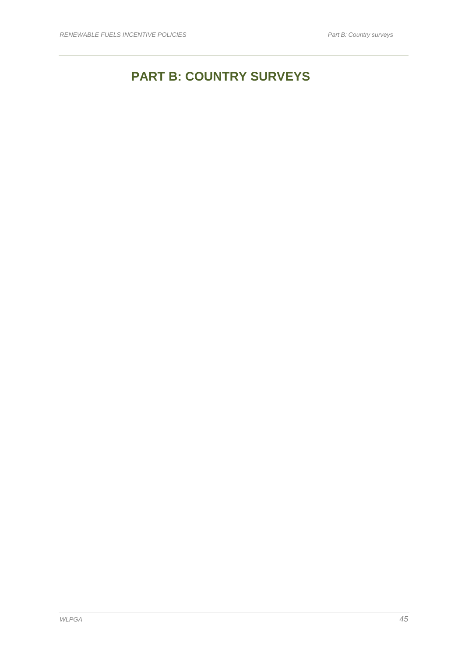# **PART B: COUNTRY SURVEYS**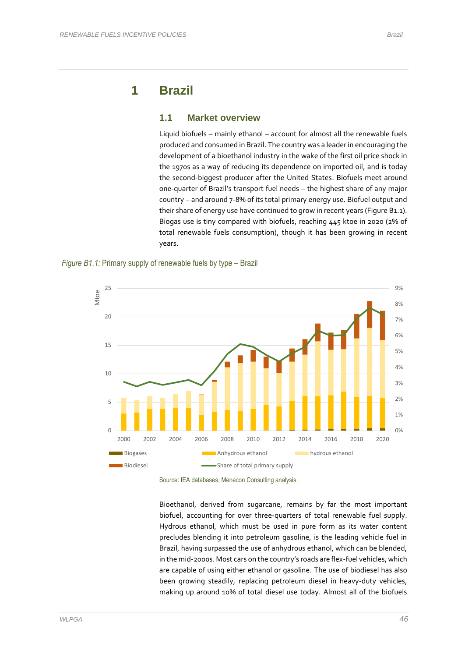# **1 Brazil**

### **1.1 Market overview**

Liquid biofuels – mainly ethanol – account for almost all the renewable fuels produced and consumed in Brazil. The country was a leader in encouraging the development of a bioethanol industry in the wake of the first oil price shock in the 1970s as a way of reducing its dependence on imported oil, and is today the second-biggest producer after the United States. Biofuels meet around one-quarter of Brazil's transport fuel needs – the highest share of any major country – and around 7-8% of its total primary energy use. Biofuel output and their share of energy use have continued to grow in recent years (Figure B1.1). Biogas use is tiny compared with biofuels, reaching 445 ktoe in 2020 (2% of total renewable fuels consumption), though it has been growing in recent years.





Source: IEA databases; Menecon Consulting analysis.

Bioethanol, derived from sugarcane, remains by far the most important biofuel, accounting for over three-quarters of total renewable fuel supply. Hydrous ethanol, which must be used in pure form as its water content precludes blending it into petroleum gasoline, is the leading vehicle fuel in Brazil, having surpassed the use of anhydrous ethanol, which can be blended, in the mid-2000s. Most cars on the country's roads are flex-fuel vehicles, which are capable of using either ethanol or gasoline. The use of biodiesel has also been growing steadily, replacing petroleum diesel in heavy-duty vehicles, making up around 10% of total diesel use today. Almost all of the biofuels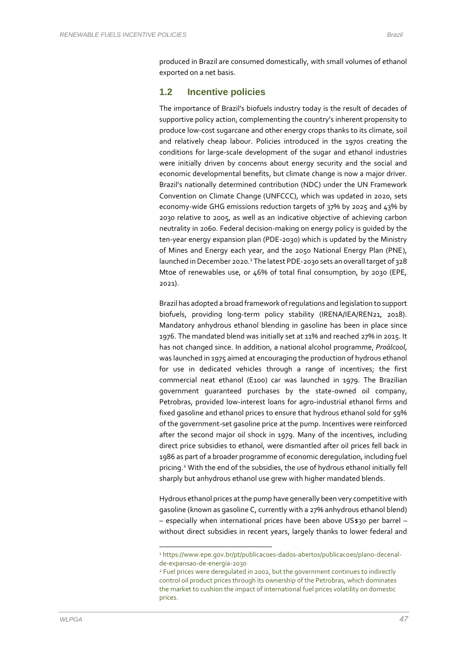produced in Brazil are consumed domestically, with small volumes of ethanol exported on a net basis.

#### **1.2 Incentive policies**

The importance of Brazil's biofuels industry today is the result of decades of supportive policy action, complementing the country's inherent propensity to produce low-cost sugarcane and other energy crops thanks to its climate, soil and relatively cheap labour. Policies introduced in the 1970s creating the conditions for large-scale development of the sugar and ethanol industries were initially driven by concerns about energy security and the social and economic developmental benefits, but climate change is now a major driver. Brazil's nationally determined contribution (NDC) under the UN Framework Convention on Climate Change (UNFCCC), which was updated in 2020, sets economy-wide GHG emissions reduction targets of 37% by 2025 and 43% by 2030 relative to 2005, as well as an indicative objective of achieving carbon neutrality in 2060. Federal decision-making on energy policy is guided by the ten-year energy expansion plan (PDE-2030) which is updated by the Ministry of Mines and Energy each year, and the 2050 National Energy Plan (PNE), launched in December 2020.<sup>1</sup> The latest PDE-2030 sets an overall target of 328 Mtoe of renewables use, or 46% of total final consumption, by 2030 (EPE, 2021).

Brazil has adopted a broad framework of regulations and legislation to support biofuels, providing long-term policy stability (IRENA/IEA/REN21, 2018). Mandatory anhydrous ethanol blending in gasoline has been in place since 1976. The mandated blend was initially set at 11% and reached 27% in 2015. It has not changed since. In addition, a national alcohol programme, *Proálcool*, was launched in 1975 aimed at encouraging the production of hydrous ethanol for use in dedicated vehicles through a range of incentives; the first commercial neat ethanol (E100) car was launched in 1979. The Brazilian government guaranteed purchases by the state-owned oil company, Petrobras, provided low-interest loans for agro-industrial ethanol firms and fixed gasoline and ethanol prices to ensure that hydrous ethanol sold for 59% of the government-set gasoline price at the pump. Incentives were reinforced after the second major oil shock in 1979. Many of the incentives, including direct price subsidies to ethanol, were dismantled after oil prices fell back in 1986 as part of a broader programme of economic deregulation, including fuel pricing. <sup>2</sup> With the end of the subsidies, the use of hydrous ethanol initially fell sharply but anhydrous ethanol use grew with higher mandated blends.

Hydrous ethanol prices at the pump have generally been very competitive with gasoline (known as gasoline C, currently with a 27% anhydrous ethanol blend) – especially when international prices have been above US\$30 per barrel – without direct subsidies in recent years, largely thanks to lower federal and

<sup>1</sup> https://www.epe.gov.br/pt/publicacoes-dados-abertos/publicacoes/plano-decenalde-expansao-de-energia-2030

<sup>2</sup> Fuel prices were deregulated in 2002, but the government continues to indirectly control oil product prices through its ownership of the Petrobras, which dominates the market to cushion the impact of international fuel prices volatility on domestic prices.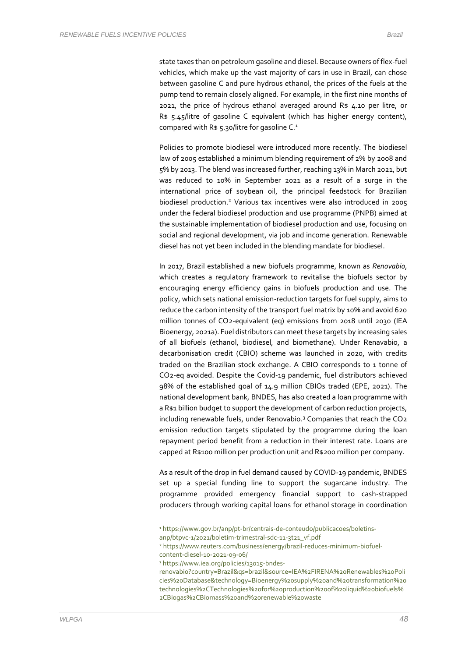state taxes than on petroleum gasoline and diesel. Because owners of flex-fuel vehicles, which make up the vast majority of cars in use in Brazil, can chose between gasoline C and pure hydrous ethanol, the prices of the fuels at the pump tend to remain closely aligned. For example, in the first nine months of 2021, the price of hydrous ethanol averaged around R\$ 4.10 per litre, or R\$ 5.45/litre of gasoline C equivalent (which has higher energy content), compared with R\$ 5.30/litre for gasoline  $C<sup>1</sup>$ 

Policies to promote biodiesel were introduced more recently. The biodiesel law of 2005 established a minimum blending requirement of 2% by 2008 and 5% by 2013. The blend was increased further, reaching 13% in March 2021, but was reduced to 10% in September 2021 as a result of a surge in the international price of soybean oil, the principal feedstock for Brazilian biodiesel production.<sup>2</sup> Various tax incentives were also introduced in 2005 under the federal biodiesel production and use programme (PNPB) aimed at the sustainable implementation of biodiesel production and use, focusing on social and regional development, via job and income generation. Renewable diesel has not yet been included in the blending mandate for biodiesel.

In 2017, Brazil established a new biofuels programme, known as *Renovabio*, which creates a regulatory framework to revitalise the biofuels sector by encouraging energy efficiency gains in biofuels production and use. The policy, which sets national emission-reduction targets for fuel supply, aims to reduce the carbon intensity of the transport fuel matrix by 10% and avoid 620 million tonnes of CO2-equivalent (eq) emissions from 2018 until 2030 (IEA Bioenergy, 2021a). Fuel distributors can meet these targets by increasing sales of all biofuels (ethanol, biodiesel, and biomethane). Under Renavabio, a decarbonisation credit (CBIO) scheme was launched in 2020, with credits traded on the Brazilian stock exchange. A CBIO corresponds to 1 tonne of CO2-eq avoided. Despite the Covid-19 pandemic, fuel distributors achieved 98% of the established goal of 14.9 million CBIOs traded (EPE, 2021). The national development bank, BNDES, has also created a loan programme with a R\$1 billion budget to support the development of carbon reduction projects, including renewable fuels, under Renovabio.<sup>3</sup> Companies that reach the CO2 emission reduction targets stipulated by the programme during the loan repayment period benefit from a reduction in their interest rate. Loans are capped at R\$100 million per production unit and R\$200 million per company.

As a result of the drop in fuel demand caused by COVID-19 pandemic, BNDES set up a special funding line to support the sugarcane industry. The programme provided emergency financial support to cash-strapped producers through working capital loans for ethanol storage in coordination

<sup>3</sup> https://www.iea.org/policies/13015-bndes-

<sup>1</sup> https://www.gov.br/anp/pt-br/centrais-de-conteudo/publicacoes/boletins-

anp/btpvc-1/2021/boletim-trimestral-sdc-11-3t21\_vf.pdf

<sup>2</sup> https://www.reuters.com/business/energy/brazil-reduces-minimum-biofuelcontent-diesel-10-2021-09-06/

renovabio?country=Brazil&qs=brazil&source=IEA%2FIRENA%20Renewables%20Poli cies%20Database&technology=Bioenergy%20supply%20and%20transformation%20 technologies%2CTechnologies%20for%20production%20of%20liquid%20biofuels% 2CBiogas%2CBiomass%20and%20renewable%20waste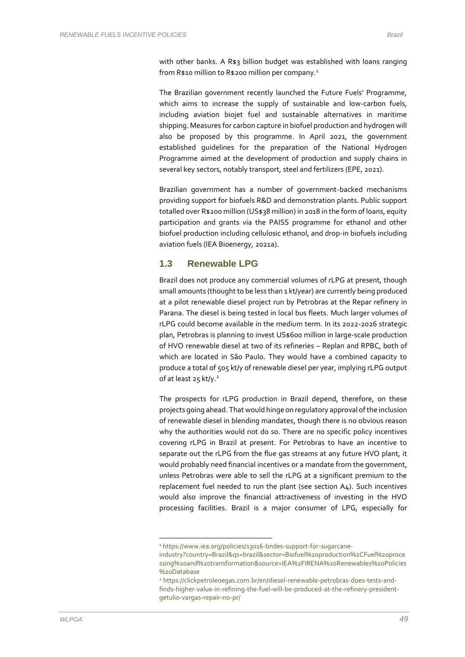with other banks. A R\$3 billion budget was established with loans ranging from R\$10 million to R\$200 million per company.<sup>1</sup>

The Brazilian government recently launched the Future Fuels' Programme, which aims to increase the supply of sustainable and low-carbon fuels, including aviation biojet fuel and sustainable alternatives in maritime shipping. Measures for carbon capture in biofuel production and hydrogen will also be proposed by this programme. In April 2021, the government established guidelines for the preparation of the National Hydrogen Programme aimed at the development of production and supply chains in several key sectors, notably transport, steel and fertilizers (EPE, 2021).

Brazilian government has a number of government-backed mechanisms providing support for biofuels R&D and demonstration plants. Public support totalled over R\$200 million (US\$38 million) in 2018 in the form of loans, equity participation and grants via the PAISS programme for ethanol and other biofuel production including cellulosic ethanol, and drop-in biofuels including aviation fuels (IEA Bioenergy, 2021a).

#### **1.3 Renewable LPG**

Brazil does not produce any commercial volumes of rLPG at present, though small amounts (thought to be less than 1 kt/year) are currently being produced at a pilot renewable diesel project run by Petrobras at the Repar refinery in Parana. The diesel is being tested in local bus fleets. Much larger volumes of rLPG could become available in the medium term. In its 2022-2026 strategic plan, Petrobras is planning to invest US\$600 million in large-scale production of HVO renewable diesel at two of its refineries – Replan and RPBC, both of which are located in São Paulo. They would have a combined capacity to produce a total of 505 kt/y of renewable diesel per year, implying rLPG output of at least 25 kt/y.<sup>2</sup>

The prospects for rLPG production in Brazil depend, therefore, on these projects going ahead. That would hinge on regulatory approval of the inclusion of renewable diesel in blending mandates, though there is no obvious reason why the authorities would not do so. There are no specific policy incentives covering rLPG in Brazil at present. For Petrobras to have an incentive to separate out the rLPG from the flue gas streams at any future HVO plant, it would probably need financial incentives or a mandate from the government, unless Petrobras were able to sell the rLPG at a significant premium to the replacement fuel needed to run the plant (see section A4). Such incentives would also improve the financial attractiveness of investing in the HVO processing facilities. Brazil is a major consumer of LPG, especially for

<sup>1</sup> https://www.iea.org/policies/13016-bndes-support-for-sugarcane-

industry?country=Brazil&qs=brazil&sector=Biofuel%20production%2CFuel%20proce ssing%20and%20transformation&source=IEA%2FIRENA%20Renewables%20Policies %20Database

<sup>2</sup> https://clickpetroleoegas.com.br/en/diesel-renewable-petrobras-does-tests-andfinds-higher-value-in-refining-the-fuel-will-be-produced-at-the-refinery-presidentgetulio-vargas-repair-no-pr/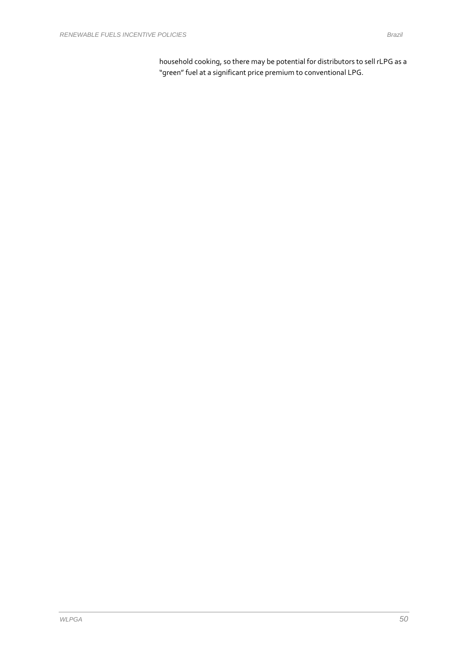household cooking, so there may be potential for distributors to sell rLPG as a "green" fuel at a significant price premium to conventional LPG.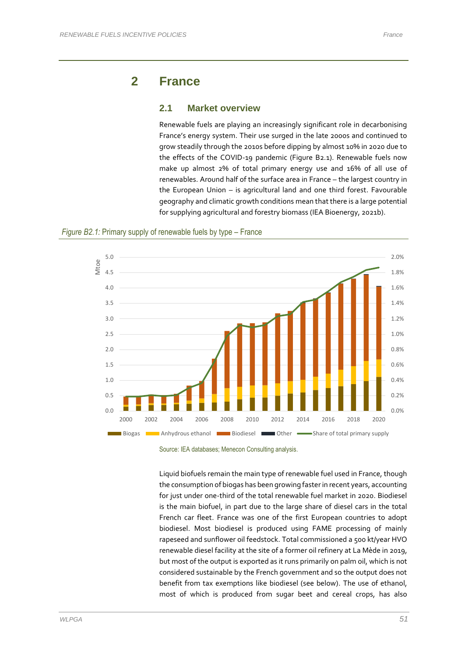# **2 France**

#### **2.1 Market overview**

Renewable fuels are playing an increasingly significant role in decarbonising France's energy system. Their use surged in the late 2000s and continued to grow steadily through the 2010s before dipping by almost 10% in 2020 due to the effects of the COVID-19 pandemic (Figure B2.1). Renewable fuels now make up almost 2% of total primary energy use and 16% of all use of renewables. Around half of the surface area in France – the largest country in the European Union – is agricultural land and one third forest. Favourable geography and climatic growth conditions mean that there is a large potential for supplying agricultural and forestry biomass (IEA Bioenergy, 2021b).





Source: IEA databases; Menecon Consulting analysis.

Liquid biofuels remain the main type of renewable fuel used in France, though the consumption of biogas has been growing faster in recent years, accounting for just under one-third of the total renewable fuel market in 2020. Biodiesel is the main biofuel, in part due to the large share of diesel cars in the total French car fleet. France was one of the first European countries to adopt biodiesel. Most biodiesel is produced using FAME processing of mainly rapeseed and sunflower oil feedstock. Total commissioned a 500 kt/year HVO renewable diesel facility at the site of a former oil refinery at La Mède in 2019, but most of the output is exported as it runs primarily on palm oil, which is not considered sustainable by the French government and so the output does not benefit from tax exemptions like biodiesel (see below). The use of ethanol, most of which is produced from sugar beet and cereal crops, has also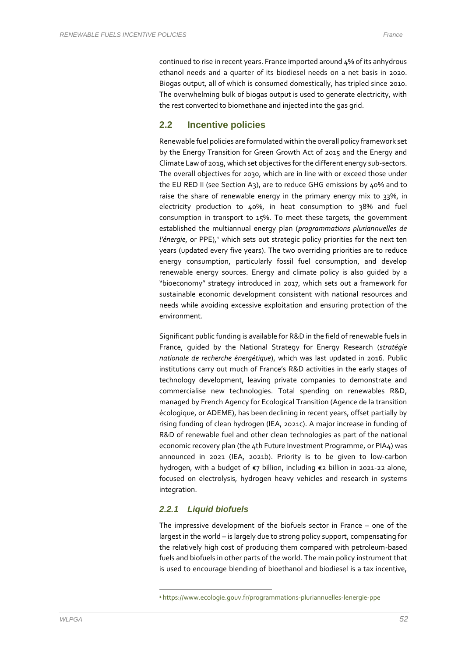continued to rise in recent years. France imported around 4% of its anhydrous ethanol needs and a quarter of its biodiesel needs on a net basis in 2020. Biogas output, all of which is consumed domestically, has tripled since 2010. The overwhelming bulk of biogas output is used to generate electricity, with the rest converted to biomethane and injected into the gas grid.

### **2.2 Incentive policies**

Renewable fuel policies are formulated within the overall policy framework set by the Energy Transition for Green Growth Act of 2015 and the Energy and Climate Law of 2019, which set objectives for the different energy sub-sectors. The overall objectives for 2030, which are in line with or exceed those under the EU RED II (see Section A3), are to reduce GHG emissions by 40% and to raise the share of renewable energy in the primary energy mix to 33%, in electricity production to 40%, in heat consumption to 38% and fuel consumption in transport to 15%. To meet these targets, the government established the multiannual energy plan (*programmations pluriannuelles de l'énergie*, or PPE),<sup>1</sup> which sets out strategic policy priorities for the next ten years (updated every five years). The two overriding priorities are to reduce energy consumption, particularly fossil fuel consumption, and develop renewable energy sources. Energy and climate policy is also guided by a "bioeconomy" strategy introduced in 2017, which sets out a framework for sustainable economic development consistent with national resources and needs while avoiding excessive exploitation and ensuring protection of the environment.

Significant public funding is available for R&D in the field of renewable fuels in France, guided by the National Strategy for Energy Research (*stratégie nationale de recherche énergétique*), which was last updated in 2016. Public institutions carry out much of France's R&D activities in the early stages of technology development, leaving private companies to demonstrate and commercialise new technologies. Total spending on renewables R&D, managed by French Agency for Ecological Transition (Agence de la transition écologique, or ADEME), has been declining in recent years, offset partially by rising funding of clean hydrogen (IEA, 2021c). A major increase in funding of R&D of renewable fuel and other clean technologies as part of the national economic recovery plan (the 4th Future Investment Programme, or PIA4) was announced in 2021 (IEA, 2021b). Priority is to be given to low-carbon hydrogen, with a budget of €7 billion, including €2 billion in 2021-22 alone, focused on electrolysis, hydrogen heavy vehicles and research in systems integration.

### *2.2.1 Liquid biofuels*

The impressive development of the biofuels sector in France – one of the largest in the world – is largely due to strong policy support, compensating for the relatively high cost of producing them compared with petroleum-based fuels and biofuels in other parts of the world. The main policy instrument that is used to encourage blending of bioethanol and biodiesel is a tax incentive,

<sup>1</sup> https://www.ecologie.gouv.fr/programmations-pluriannuelles-lenergie-ppe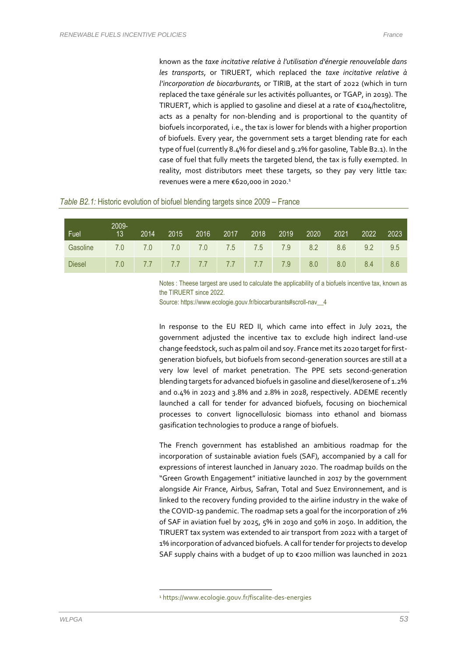known as the *taxe incitative relative à l'utilisation d'énergie renouvelable dans les transports*, or TIRUERT, which replaced the *taxe incitative relative à l'incorporation de biocarburants,* or TIRIB, at the start of 2022 (which in turn replaced the taxe générale sur les activités polluantes, or TGAP, in 2019). The TIRUERT, which is applied to gasoline and diesel at a rate of €104/hectolitre, acts as a penalty for non-blending and is proportional to the quantity of biofuels incorporated, i.e., the tax is lower for blends with a higher proportion of biofuels. Every year, the government sets a target blending rate for each type of fuel (currently 8.4% for diesel and 9.2% for gasoline, Table B2.1). In the case of fuel that fully meets the targeted blend, the tax is fully exempted. In reality, most distributors meet these targets, so they pay very little tax: revenues were a mere €620,000 in 2020.<sup>1</sup>

|  | Table B2.1: Historic evolution of biofuel blending targets since 2009 – France |  |  |  |
|--|--------------------------------------------------------------------------------|--|--|--|
|  |                                                                                |  |  |  |

| Fuel          | 2009-<br>13 | 2014 | 2015 2016               | 2017 | 2018 | 2019 | 2020 | 2021 | 2022 | 2023 |
|---------------|-------------|------|-------------------------|------|------|------|------|------|------|------|
| Gasoline      | 7.0         | 7.0  | 7.0 7.0 7.5 7.5 7.9     |      |      |      | 8.2  | 8.6  | 9.2  | 9.5  |
| <b>Diesel</b> | 7.0         |      | 7.7 7.7 7.7 7.7 7.7 7.9 |      |      |      | 8.0  | 8.0  | 8.4  | 8.6  |

Notes : Theese targest are used to calculate the applicability of a biofuels incentive tax, known as the TIRUERT since 2022.

Source: https://www.ecologie.gouv.fr/biocarburants#scroll-nav\_\_4

In response to the EU RED II, which came into effect in July 2021, the government adjusted the incentive tax to exclude high indirect land-use change feedstock, such as palm oil and soy. France met its 2020 target for firstgeneration biofuels, but biofuels from second-generation sources are still at a very low level of market penetration. The PPE sets second-generation blending targets for advanced biofuels in gasoline and diesel/kerosene of 1.2% and 0.4% in 2023 and 3.8% and 2.8% in 2028, respectively. ADEME recently launched a call for tender for advanced biofuels, focusing on biochemical processes to convert lignocellulosic biomass into ethanol and biomass gasification technologies to produce a range of biofuels.

The French government has established an ambitious roadmap for the incorporation of sustainable aviation fuels (SAF), accompanied by a call for expressions of interest launched in January 2020. The roadmap builds on the "Green Growth Engagement" initiative launched in 2017 by the government alongside Air France, Airbus, Safran, Total and Suez Environnement, and is linked to the recovery funding provided to the airline industry in the wake of the COVID-19 pandemic. The roadmap sets a goal for the incorporation of 2% of SAF in aviation fuel by 2025, 5% in 2030 and 50% in 2050. In addition, the TIRUERT tax system was extended to air transport from 2022 with a target of 1% incorporation of advanced biofuels. A call for tender for projects to develop SAF supply chains with a budget of up to €200 million was launched in 2021

<sup>1</sup> https://www.ecologie.gouv.fr/fiscalite-des-energies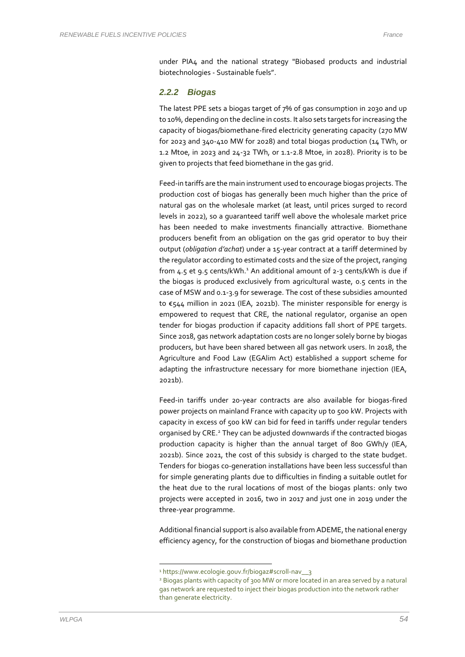under PIA4 and the national strategy "Biobased products and industrial biotechnologies - Sustainable fuels".

#### *2.2.2 Biogas*

The latest PPE sets a biogas target of 7% of gas consumption in 2030 and up to 10%, depending on the decline in costs. It also sets targets for increasing the capacity of biogas/biomethane-fired electricity generating capacity (270 MW for 2023 and 340-410 MW for 2028) and total biogas production (14 TWh, or 1.2 Mtoe, in 2023 and 24-32 TWh, or 1.1-2.8 Mtoe, in 2028). Priority is to be given to projects that feed biomethane in the gas grid.

Feed-in tariffs are the main instrument used to encourage biogas projects. The production cost of biogas has generally been much higher than the price of natural gas on the wholesale market (at least, until prices surged to record levels in 2022), so a guaranteed tariff well above the wholesale market price has been needed to make investments financially attractive. Biomethane producers benefit from an obligation on the gas grid operator to buy their output (*obligation d'achat*) under a 15-year contract at a tariff determined by the regulator according to estimated costs and the size of the project, ranging from 4.5 et 9.5 cents/kWh.<sup>1</sup> An additional amount of 2-3 cents/kWh is due if the biogas is produced exclusively from agricultural waste, 0.5 cents in the case of MSW and 0.1-3.9 for sewerage. The cost of these subsidies amounted to €544 million in 2021 (IEA, 2021b). The minister responsible for energy is empowered to request that CRE, the national regulator, organise an open tender for biogas production if capacity additions fall short of PPE targets. Since 2018, gas network adaptation costs are no longer solely borne by biogas producers, but have been shared between all gas network users. In 2018, the Agriculture and Food Law (EGAlim Act) established a support scheme for adapting the infrastructure necessary for more biomethane injection (IEA, 2021b).

Feed-in tariffs under 20-year contracts are also available for biogas-fired power projects on mainland France with capacity up to 500 kW. Projects with capacity in excess of 500 kW can bid for feed in tariffs under regular tenders organised by CRE. <sup>2</sup> They can be adjusted downwards if the contracted biogas production capacity is higher than the annual target of 800 GWh/y (IEA, 2021b). Since 2021, the cost of this subsidy is charged to the state budget. Tenders for biogas co-generation installations have been less successful than for simple generating plants due to difficulties in finding a suitable outlet for the heat due to the rural locations of most of the biogas plants: only two projects were accepted in 2016, two in 2017 and just one in 2019 under the three-year programme.

Additional financial support is also available from ADEME, the national energy efficiency agency, for the construction of biogas and biomethane production

<sup>1</sup> https://www.ecologie.gouv.fr/biogaz#scroll-nav\_\_3

<sup>2</sup> Biogas plants with capacity of 300 MW or more located in an area served by a natural gas network are requested to inject their biogas production into the network rather than generate electricity.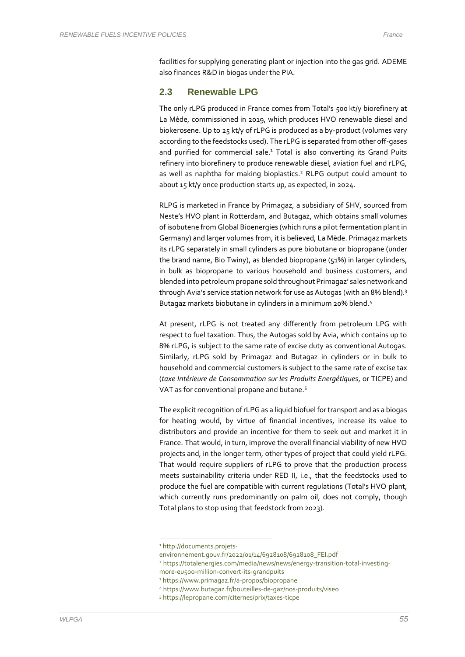facilities for supplying generating plant or injection into the gas grid. ADEME also finances R&D in biogas under the PIA.

#### **2.3 Renewable LPG**

The only rLPG produced in France comes from Total's 500 kt/y biorefinery at La Mède, commissioned in 2019, which produces HVO renewable diesel and biokerosene. Up to 25 kt/y of rLPG is produced as a by-product (volumes vary according to the feedstocks used). The rLPG is separated from other off-gases and purified for commercial sale.<sup>1</sup> Total is also converting its Grand Puits refinery into biorefinery to produce renewable diesel, aviation fuel and rLPG, as well as naphtha for making bioplastics. <sup>2</sup> RLPG output could amount to about 15 kt/y once production starts up, as expected, in 2024.

RLPG is marketed in France by Primagaz, a subsidiary of SHV, sourced from Neste's HVO plant in Rotterdam, and Butagaz, which obtains small volumes of isobutene from Global Bioenergies (which runs a pilot fermentation plant in Germany) and larger volumes from, it is believed, La Mède. Primagaz markets its rLPG separately in small cylinders as pure biobutane or biopropane (under the brand name, Bio Twiny), as blended biopropane (51%) in larger cylinders, in bulk as biopropane to various household and business customers, and blended into petroleum propane sold throughout Primagaz' sales network and through Avia's service station network for use as Autogas (with an 8% blend). 3 Butagaz markets biobutane in cylinders in a minimum 20% blend.<sup>4</sup>

At present, rLPG is not treated any differently from petroleum LPG with respect to fuel taxation. Thus, the Autogas sold by Avia, which contains up to 8% rLPG, is subject to the same rate of excise duty as conventional Autogas. Similarly, rLPG sold by Primagaz and Butagaz in cylinders or in bulk to household and commercial customers is subject to the same rate of excise tax (*taxe Intérieure de Consommation sur les Produits Energétiques*, or TICPE) and VAT as for conventional propane and butane. 5

The explicit recognition of rLPG as a liquid biofuel for transport and as a biogas for heating would, by virtue of financial incentives, increase its value to distributors and provide an incentive for them to seek out and market it in France. That would, in turn, improve the overall financial viability of new HVO projects and, in the longer term, other types of project that could yield rLPG. That would require suppliers of rLPG to prove that the production process meets sustainability criteria under RED II, i.e., that the feedstocks used to produce the fuel are compatible with current regulations (Total's HVO plant, which currently runs predominantly on palm oil, does not comply, though Total plans to stop using that feedstock from 2023).

<sup>1</sup> http://documents.projets-

environnement.gouv.fr/2022/01/14/6928108/6928108\_FEI.pdf

<sup>2</sup> https://totalenergies.com/media/news/news/energy-transition-total-investing-

more-eu500-million-convert-its-grandpuits <sup>3</sup> https://www.primagaz.fr/a-propos/biopropane

<sup>4</sup> https://www.butagaz.fr/bouteilles-de-gaz/nos-produits/viseo

<sup>5</sup> https://lepropane.com/citernes/prix/taxes-ticpe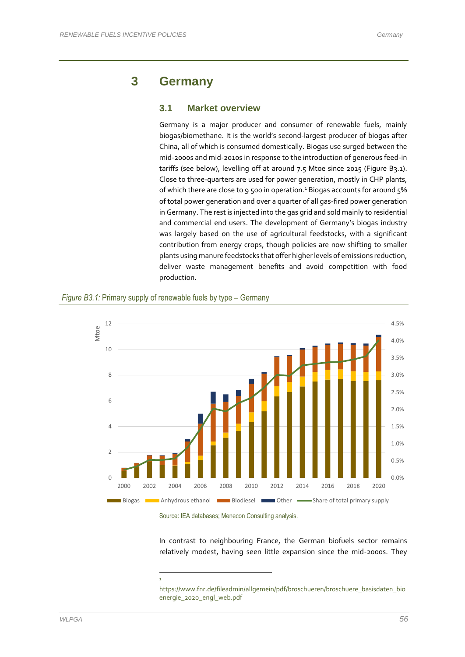# **3 Germany**

#### **3.1 Market overview**

Germany is a major producer and consumer of renewable fuels, mainly biogas/biomethane. It is the world's second-largest producer of biogas after China, all of which is consumed domestically. Biogas use surged between the mid-2000s and mid-2010s in response to the introduction of generous feed-in tariffs (see below), levelling off at around 7.5 Mtoe since 2015 (Figure B3.1). Close to three-quarters are used for power generation, mostly in CHP plants, of which there are close to 9 500 in operation. <sup>1</sup> Biogas accounts for around 5% of total power generation and over a quarter of all gas-fired power generation in Germany. The rest is injected into the gas grid and sold mainly to residential and commercial end users. The development of Germany's biogas industry was largely based on the use of agricultural feedstocks, with a significant contribution from energy crops, though policies are now shifting to smaller plants using manure feedstocks that offer higher levels of emissions reduction, deliver waste management benefits and avoid competition with food production.



1



Source: IEA databases; Menecon Consulting analysis.

In contrast to neighbouring France, the German biofuels sector remains relatively modest, having seen little expansion since the mid-2000s. They

https://www.fnr.de/fileadmin/allgemein/pdf/broschueren/broschuere\_basisdaten\_bio energie\_2020\_engl\_web.pdf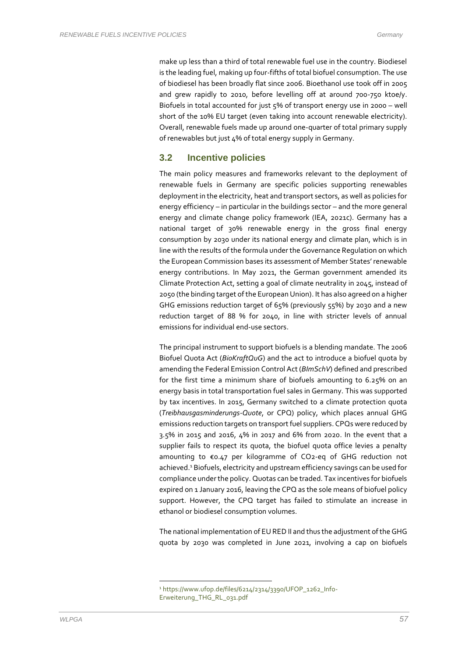make up less than a third of total renewable fuel use in the country. Biodiesel is the leading fuel, making up four-fifths of total biofuel consumption. The use of biodiesel has been broadly flat since 2006. Bioethanol use took off in 2005 and grew rapidly to 2010, before levelling off at around 700-750 ktoe/y. Biofuels in total accounted for just 5% of transport energy use in 2000 – well short of the 10% EU target (even taking into account renewable electricity). Overall, renewable fuels made up around one-quarter of total primary supply of renewables but just 4% of total energy supply in Germany.

### **3.2 Incentive policies**

The main policy measures and frameworks relevant to the deployment of renewable fuels in Germany are specific policies supporting renewables deployment in the electricity, heat and transport sectors, as well as policies for energy efficiency – in particular in the buildings sector – and the more general energy and climate change policy framework (IEA, 2021c). Germany has a national target of 30% renewable energy in the gross final energy consumption by 2030 under its national energy and climate plan, which is in line with the results of the formula under the Governance Regulation on which the European Commission bases its assessment of Member States' renewable energy contributions. In May 2021, the German government amended its Climate Protection Act, setting a goal of climate neutrality in 2045, instead of 2050 (the binding target of the European Union). It has also agreed on a higher GHG emissions reduction target of 65% (previously 55%) by 2030 and a new reduction target of 88 % for 2040, in line with stricter levels of annual emissions for individual end-use sectors.

The principal instrument to support biofuels is a blending mandate. The 2006 Biofuel Quota Act (*BioKraftQuG*) and the act to introduce a biofuel quota by amending the Federal Emission Control Act (*BImSchV*) defined and prescribed for the first time a minimum share of biofuels amounting to 6.25% on an energy basis in total transportation fuel sales in Germany. This was supported by tax incentives. In 2015, Germany switched to a climate protection quota (*Treibhausgasminderungs-Quote*, or CPQ) policy, which places annual GHG emissions reduction targets on transport fuel suppliers. CPQs were reduced by 3.5% in 2015 and 2016, 4% in 2017 and 6% from 2020. In the event that a supplier fails to respect its quota, the biofuel quota office levies a penalty amounting to €0.47 per kilogramme of CO2-eq of GHG reduction not achieved.<sup>1</sup> Biofuels, electricity and upstream efficiency savings can be used for compliance under the policy. Quotas can be traded. Tax incentives for biofuels expired on 1 January 2016, leaving the CPQ as the sole means of biofuel policy support. However, the CPQ target has failed to stimulate an increase in ethanol or biodiesel consumption volumes.

The national implementation of EU RED II and thus the adjustment of the GHG quota by 2030 was completed in June 2021, involving a cap on biofuels

<sup>1</sup> https://www.ufop.de/files/6214/2314/3390/UFOP\_1262\_Info-Erweiterung\_THG\_RL\_031.pdf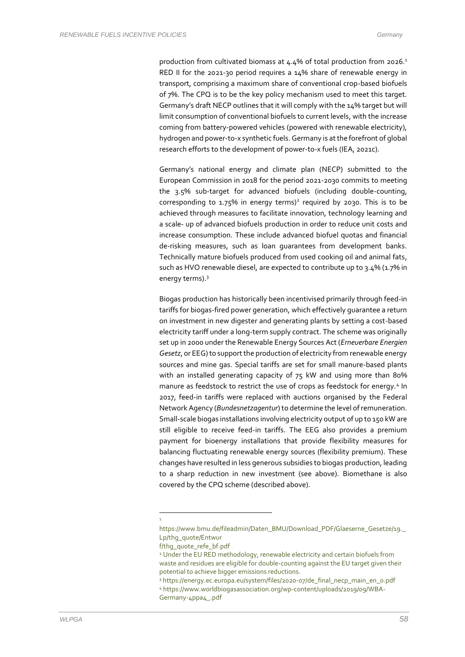production from cultivated biomass at 4.4% of total production from 2026.<sup>1</sup> RED II for the 2021-30 period requires a 14% share of renewable energy in transport, comprising a maximum share of conventional crop-based biofuels of 7%. The CPQ is to be the key policy mechanism used to meet this target. Germany's draft NECP outlines that it will comply with the 14% target but will limit consumption of conventional biofuels to current levels, with the increase coming from battery-powered vehicles (powered with renewable electricity), hydrogen and power-to-x synthetic fuels. Germany is at the forefront of global research efforts to the development of power-to-x fuels (IEA, 2021c).

Germany's national energy and climate plan (NECP) submitted to the European Commission in 2018 for the period 2021-2030 commits to meeting the 3.5% sub-target for advanced biofuels (including double-counting, corresponding to 1.75% in energy terms)<sup>2</sup> required by 2030. This is to be achieved through measures to facilitate innovation, technology learning and a scale- up of advanced biofuels production in order to reduce unit costs and increase consumption. These include advanced biofuel quotas and financial de-risking measures, such as loan guarantees from development banks. Technically mature biofuels produced from used cooking oil and animal fats, such as HVO renewable diesel, are expected to contribute up to 3.4% (1.7% in energy terms).<sup>3</sup>

Biogas production has historically been incentivised primarily through feed-in tariffs for biogas-fired power generation, which effectively guarantee a return on investment in new digester and generating plants by setting a cost-based electricity tariff under a long-term supply contract. The scheme was originally set up in 2000 under the Renewable Energy Sources Act (*Erneuerbare Energien Gesetz*, or EEG) to support the production of electricity from renewable energy sources and mine gas. Special tariffs are set for small manure-based plants with an installed generating capacity of 75 kW and using more than 80% manure as feedstock to restrict the use of crops as feedstock for energy.<sup>4</sup> In 2017, feed-in tariffs were replaced with auctions organised by the Federal Network Agency (*Bundesnetzagentur*) to determine the level of remuneration. Small-scale biogas installations involving electricity output of up to 150 kW are still eligible to receive feed-in tariffs. The EEG also provides a premium payment for bioenergy installations that provide flexibility measures for balancing fluctuating renewable energy sources (flexibility premium). These changes have resulted in less generous subsidies to biogas production, leading to a sharp reduction in new investment (see above). Biomethane is also covered by the CPQ scheme (described above).

<sup>1</sup>

https://www.bmu.de/fileadmin/Daten\_BMU/Download\_PDF/Glaeserne\_Gesetze/19.\_ Lp/thg\_quote/Entwur

f/thg\_quote\_refe\_bf.pdf

<sup>&</sup>lt;sup>2</sup> Under the EU RED methodology, renewable electricity and certain biofuels from waste and residues are eligible for double-counting against the EU target given their potential to achieve bigger emissions reductions.

<sup>3</sup> https://energy.ec.europa.eu/system/files/2020-07/de\_final\_necp\_main\_en\_0.pdf <sup>4</sup> https://www.worldbiogasassociation.org/wp-content/uploads/2019/09/WBA-Germany-4ppa4\_.pdf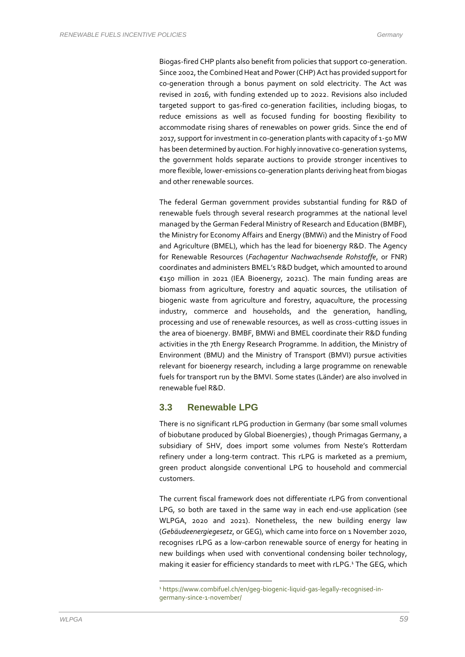Biogas-fired CHP plants also benefit from policies that support co-generation. Since 2002, the Combined Heat and Power (CHP) Act has provided support for co-generation through a bonus payment on sold electricity. The Act was revised in 2016, with funding extended up to 2022. Revisions also included targeted support to gas-fired co-generation facilities, including biogas, to reduce emissions as well as focused funding for boosting flexibility to accommodate rising shares of renewables on power grids. Since the end of 2017, support for investment in co-generation plants with capacity of 1-50 MW has been determined by auction. For highly innovative co-generation systems, the government holds separate auctions to provide stronger incentives to more flexible, lower-emissions co-generation plants deriving heat from biogas and other renewable sources.

The federal German government provides substantial funding for R&D of renewable fuels through several research programmes at the national level managed by the German Federal Ministry of Research and Education (BMBF), the Ministry for Economy Affairs and Energy (BMWi) and the Ministry of Food and Agriculture (BMEL), which has the lead for bioenergy R&D. The Agency for Renewable Resources (*Fachagentur Nachwachsende Rohstoffe*, or FNR) coordinates and administers BMEL's R&D budget, which amounted to around €150 million in 2021 (IEA Bioenergy, 2021c). The main funding areas are biomass from agriculture, forestry and aquatic sources, the utilisation of biogenic waste from agriculture and forestry, aquaculture, the processing industry, commerce and households, and the generation, handling, processing and use of renewable resources, as well as cross-cutting issues in the area of bioenergy. BMBF, BMWi and BMEL coordinate their R&D funding activities in the 7th Energy Research Programme. In addition, the Ministry of Environment (BMU) and the Ministry of Transport (BMVI) pursue activities relevant for bioenergy research, including a large programme on renewable fuels for transport run by the BMVI. Some states (Länder) are also involved in renewable fuel R&D.

### **3.3 Renewable LPG**

There is no significant rLPG production in Germany (bar some small volumes of biobutane produced by Global Bioenergies) , though Primagas Germany, a subsidiary of SHV, does import some volumes from Neste's Rotterdam refinery under a long-term contract. This rLPG is marketed as a premium, green product alongside conventional LPG to household and commercial customers.

The current fiscal framework does not differentiate rLPG from conventional LPG, so both are taxed in the same way in each end-use application (see WLPGA, 2020 and 2021). Nonetheless, the new building energy law (*Gebäudeenergiegesetz*, or GEG), which came into force on 1 November 2020, recognises rLPG as a low-carbon renewable source of energy for heating in new buildings when used with conventional condensing boiler technology, making it easier for efficiency standards to meet with rLPG.<sup>1</sup> The GEG, which

<sup>1</sup> https://www.combifuel.ch/en/geg-biogenic-liquid-gas-legally-recognised-ingermany-since-1-november/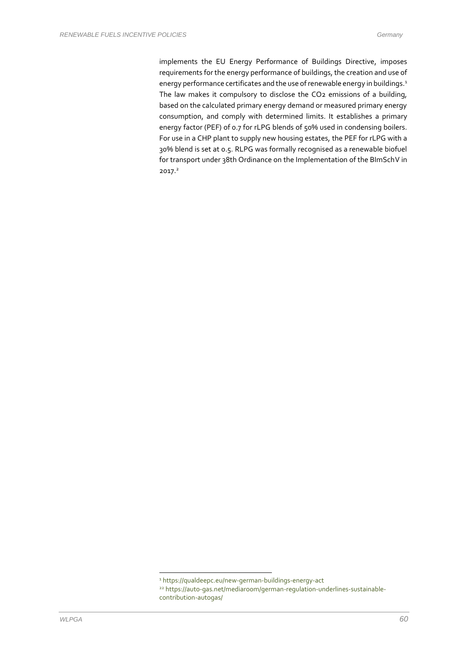implements the EU Energy Performance of Buildings Directive, imposes requirements for the energy performance of buildings, the creation and use of energy performance certificates and the use of renewable energy in buildings.<sup>1</sup> The law makes it compulsory to disclose the CO2 emissions of a building, based on the calculated primary energy demand or measured primary energy consumption, and comply with determined limits. It establishes a primary energy factor (PEF) of 0.7 for rLPG blends of 50% used in condensing boilers. For use in a CHP plant to supply new housing estates, the PEF for rLPG with a 30% blend is set at 0.5. RLPG was formally recognised as a renewable biofuel for transport under 38th Ordinance on the Implementation of the BImSchV in 2017.<sup>2</sup>

<sup>1</sup> https://qualdeepc.eu/new-german-buildings-energy-act

<sup>22</sup> https://auto-gas.net/mediaroom/german-regulation-underlines-sustainablecontribution-autogas/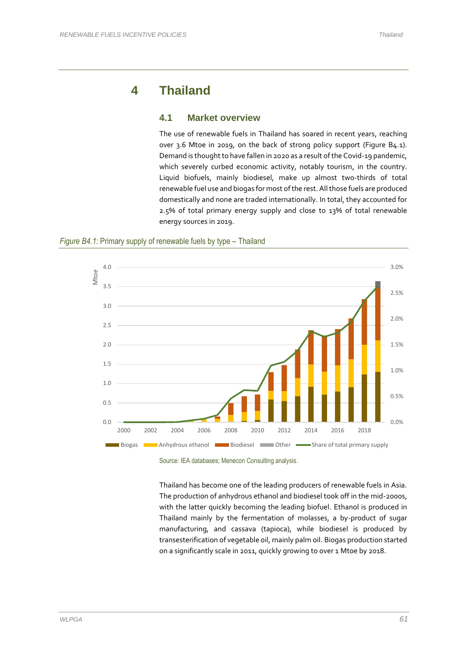# **4 Thailand**

### **4.1 Market overview**

The use of renewable fuels in Thailand has soared in recent years, reaching over 3.6 Mtoe in 2019, on the back of strong policy support (Figure B4.1). Demand is thought to have fallen in 2020 as a result of the Covid-19 pandemic, which severely curbed economic activity, notably tourism, in the country. Liquid biofuels, mainly biodiesel, make up almost two-thirds of total renewable fuel use and biogas for most of the rest. All those fuels are produced domestically and none are traded internationally. In total, they accounted for 2.5% of total primary energy supply and close to 13% of total renewable energy sources in 2019.





Source: IEA databases; Menecon Consulting analysis.

Thailand has become one of the leading producers of renewable fuels in Asia. The production of anhydrous ethanol and biodiesel took off in the mid-2000s, with the latter quickly becoming the leading biofuel. Ethanol is produced in Thailand mainly by the fermentation of molasses, a by-product of sugar manufacturing, and cassava (tapioca), while biodiesel is produced by transesterification of vegetable oil, mainly palm oil. Biogas production started on a significantly scale in 2011, quickly growing to over 1 Mtoe by 2018.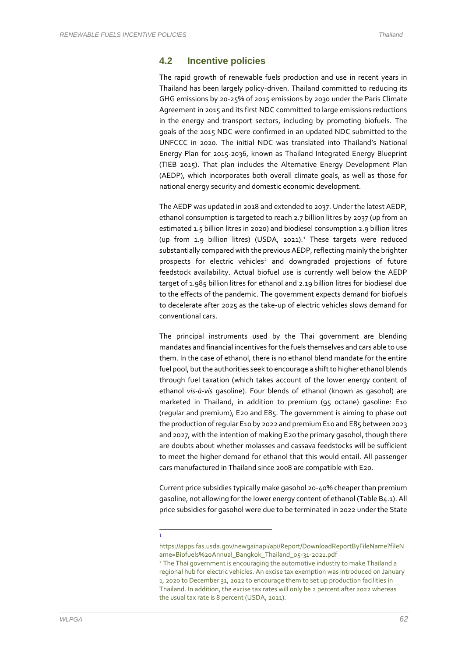### **4.2 Incentive policies**

The rapid growth of renewable fuels production and use in recent years in Thailand has been largely policy-driven. Thailand committed to reducing its GHG emissions by 20-25% of 2015 emissions by 2030 under the Paris Climate Agreement in 2015 and its first NDC committed to large emissions reductions in the energy and transport sectors, including by promoting biofuels. The goals of the 2015 NDC were confirmed in an updated NDC submitted to the UNFCCC in 2020. The initial NDC was translated into Thailand's National Energy Plan for 2015-2036, known as Thailand Integrated Energy Blueprint (TIEB 2015). That plan includes the Alternative Energy Development Plan (AEDP), which incorporates both overall climate goals, as well as those for national energy security and domestic economic development.

The AEDP was updated in 2018 and extended to 2037. Under the latest AEDP, ethanol consumption is targeted to reach 2.7 billion litres by 2037 (up from an estimated 1.5 billion litres in 2020) and biodiesel consumption 2.9 billion litres (up from 1.9 billion litres) (USDA, 2021). <sup>1</sup> These targets were reduced substantially compared with the previous AEDP, reflecting mainly the brighter prospects for electric vehicles<sup>2</sup> and downgraded projections of future feedstock availability. Actual biofuel use is currently well below the AEDP target of 1.985 billion litres for ethanol and 2.19 billion litres for biodiesel due to the effects of the pandemic. The government expects demand for biofuels to decelerate after 2025 as the take-up of electric vehicles slows demand for conventional cars.

The principal instruments used by the Thai government are blending mandates and financial incentives for the fuels themselves and cars able to use them. In the case of ethanol, there is no ethanol blend mandate for the entire fuel pool, but the authorities seek to encourage a shift to higher ethanol blends through fuel taxation (which takes account of the lower energy content of ethanol *vis-à-vis* gasoline). Four blends of ethanol (known as gasohol) are marketed in Thailand, in addition to premium (95 octane) gasoline: E10 (regular and premium), E20 and E85. The government is aiming to phase out the production ofregular E10 by 2022 and premium E10 and E85 between 2023 and 2027, with the intention of making E20 the primary gasohol, though there are doubts about whether molasses and cassava feedstocks will be sufficient to meet the higher demand for ethanol that this would entail. All passenger cars manufactured in Thailand since 2008 are compatible with E20.

Current price subsidies typically make gasohol 20-40% cheaper than premium gasoline, not allowing for the lower energy content of ethanol (Table B4.1). All price subsidies for gasohol were due to be terminated in 2022 under the State

1

https://apps.fas.usda.gov/newgainapi/api/Report/DownloadReportByFileName?fileN ame=Biofuels%20Annual\_Bangkok\_Thailand\_05-31-2021.pdf

<sup>&</sup>lt;sup>2</sup> The Thai government is encouraging the automotive industry to make Thailand a regional hub for electric vehicles. An excise tax exemption was introduced on January 1, 2020 to December 31, 2022 to encourage them to set up production facilities in Thailand. In addition, the excise tax rates will only be 2 percent after 2022 whereas the usual tax rate is 8 percent (USDA, 2021).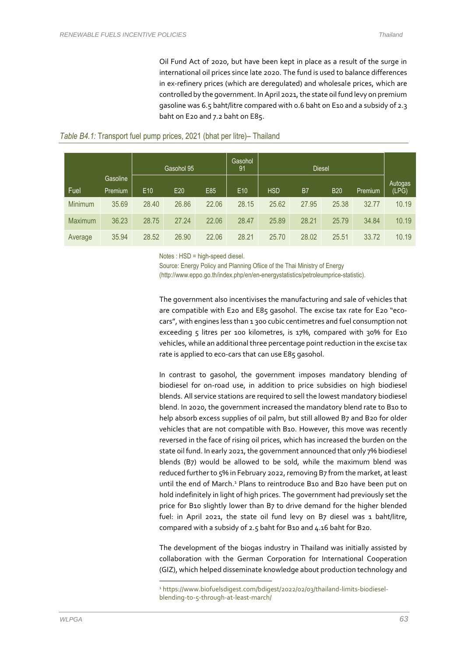Oil Fund Act of 2020, but have been kept in place as a result of the surge in international oil prices since late 2020. The fund is used to balance differences in ex-refinery prices (which are deregulated) and wholesale prices, which are controlled by the government. In April 2021, the state oil fund levy on premium gasoline was 6.5 baht/litre compared with 0.6 baht on E10 and a subsidy of 2.3 baht on E20 and 7.2 baht on E85.

|                |                     | Gasohol 95      |       | Gasohol<br>91 | <b>Diesel</b>   |            |       |            |          |                  |
|----------------|---------------------|-----------------|-------|---------------|-----------------|------------|-------|------------|----------|------------------|
| Fuel           | Gasoline<br>Premium | E <sub>10</sub> | E20   | E85           | E <sub>10</sub> | <b>HSD</b> | B7    | <b>B20</b> | Premium, | Autogas<br>(LPG) |
| Minimum        | 35.69               | 28.40           | 26.86 | 22.06         | 28.15           | 25.62      | 27.95 | 25.38      | 32.77    | 10.19            |
| <b>Maximum</b> | 36.23               | 28.75           | 27.24 | 22.06         | 28.47           | 25.89      | 28.21 | 25.79      | 34.84    | 10.19            |
| Average        | 35.94               | 28.52           | 26.90 | 22.06         | 28.21           | 25.70      | 28.02 | 25.51      | 33.72    | 10.19            |

#### *Table B4.1:* Transport fuel pump prices, 2021 (bhat per litre)– Thailand

Notes : HSD = high-speed diesel.

Source: Energy Policy and Planning Ofiice of the Thai Ministry of Energy (http://www.eppo.go.th/index.php/en/en-energystatistics/petroleumprice-statistic).

The government also incentivises the manufacturing and sale of vehicles that are compatible with E20 and E85 gasohol. The excise tax rate for E20 "ecocars", with engines less than 1 300 cubic centimetres and fuel consumption not exceeding 5 litres per 100 kilometres, is 17%, compared with 30% for E10 vehicles, while an additional three percentage point reduction in the excise tax rate is applied to eco-cars that can use E85 gasohol.

In contrast to gasohol, the government imposes mandatory blending of biodiesel for on-road use, in addition to price subsidies on high biodiesel blends. All service stations are required to sell the lowest mandatory biodiesel blend. In 2020, the government increased the mandatory blend rate to B10 to help absorb excess supplies of oil palm, but still allowed B7 and B20 for older vehicles that are not compatible with B10. However, this move was recently reversed in the face of rising oil prices, which has increased the burden on the state oil fund. In early 2021, the government announced that only 7% biodiesel blends (B7) would be allowed to be sold, while the maximum blend was reduced further to 5% in February 2022, removing B7 from the market, at least until the end of March.<sup>1</sup> Plans to reintroduce B10 and B20 have been put on hold indefinitely in light of high prices. The government had previously set the price for B10 slightly lower than B7 to drive demand for the higher blended fuel: in April 2021, the state oil fund levy on B7 diesel was 1 baht/litre, compared with a subsidy of 2.5 baht for B10 and 4.16 baht for B20.

The development of the biogas industry in Thailand was initially assisted by collaboration with the German Corporation for International Cooperation (GIZ), which helped disseminate knowledge about production technology and

<sup>1</sup> https://www.biofuelsdigest.com/bdigest/2022/02/03/thailand-limits-biodieselblending-to-5-through-at-least-march/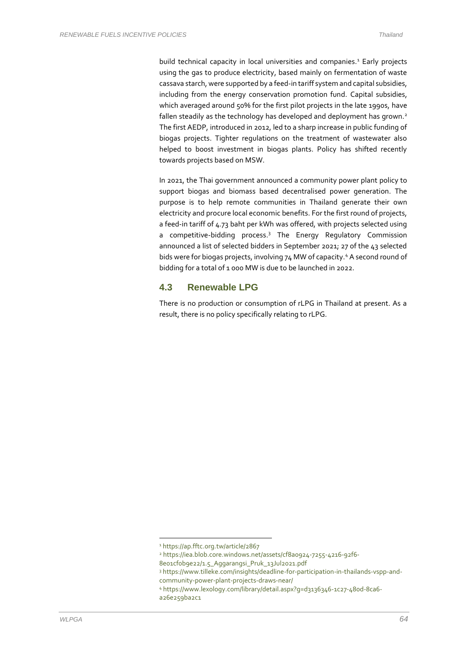build technical capacity in local universities and companies.<sup>1</sup> Early projects using the gas to produce electricity, based mainly on fermentation of waste cassava starch, were supported by a feed-in tariff system and capital subsidies, including from the energy conservation promotion fund. Capital subsidies, which averaged around 50% for the first pilot projects in the late 1990s, have fallen steadily as the technology has developed and deployment has grown.<sup>2</sup> The first AEDP, introduced in 2012, led to a sharp increase in public funding of biogas projects. Tighter regulations on the treatment of wastewater also helped to boost investment in biogas plants. Policy has shifted recently towards projects based on MSW.

In 2021, the Thai government announced a community power plant policy to support biogas and biomass based decentralised power generation. The purpose is to help remote communities in Thailand generate their own electricity and procure local economic benefits. For the first round of projects, a feed-in tariff of 4.73 baht per kWh was offered, with projects selected using a competitive-bidding process. <sup>3</sup> The Energy Regulatory Commission announced a list of selected bidders in September 2021; 27 of the 43 selected bids were for biogas projects, involving 74 MW of capacity.<sup>4</sup> A second round of bidding for a total of 1 000 MW is due to be launched in 2022.

### **4.3 Renewable LPG**

There is no production or consumption of rLPG in Thailand at present. As a result, there is no policy specifically relating to rLPG.

<sup>1</sup> https://ap.fftc.org.tw/article/2867

<sup>2</sup> https://iea.blob.core.windows.net/assets/cf8a0924-7255-4216-92f6-

<sup>8</sup>e01cf0b9e22/1.5\_Aggarangsi\_Pruk\_13Jul2021.pdf

<sup>3</sup> https://www.tilleke.com/insights/deadline-for-participation-in-thailands-vspp-andcommunity-power-plant-projects-draws-near/

<sup>4</sup> https://www.lexology.com/library/detail.aspx?g=d3136346-1c27-480d-8ca6-

a26e259ba2c1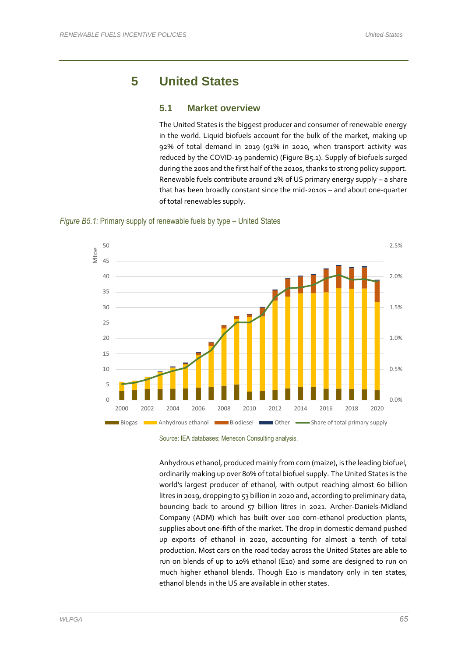# **5 United States**

#### **5.1 Market overview**

The United States is the biggest producer and consumer of renewable energy in the world. Liquid biofuels account for the bulk of the market, making up 92% of total demand in 2019 (91% in 2020, when transport activity was reduced by the COVID-19 pandemic) (Figure B5.1). Supply of biofuels surged during the 200s and the first half of the 2010s, thanks to strong policy support. Renewable fuels contribute around 2% of US primary energy supply – a share that has been broadly constant since the mid-2010s – and about one-quarter of total renewables supply.

#### *Figure B5.1:* Primary supply of renewable fuels by type – United States



Source: IEA databases; Menecon Consulting analysis.

Anhydrous ethanol, produced mainly from corn (maize), is the leading biofuel, ordinarily making up over 80% of total biofuel supply. The United States is the world's largest producer of ethanol, with output reaching almost 60 billion litres in 2019, dropping to 53 billion in 2020 and, according to preliminary data, bouncing back to around 57 billion litres in 2021. Archer-Daniels-Midland Company (ADM) which has built over 100 corn-ethanol production plants, supplies about one-fifth of the market. The drop in domestic demand pushed up exports of ethanol in 2020, accounting for almost a tenth of total production. Most cars on the road today across the United States are able to run on blends of up to 10% ethanol (E10) and some are designed to run on much higher ethanol blends. Though E10 is mandatory only in ten states, ethanol blends in the US are available in other states.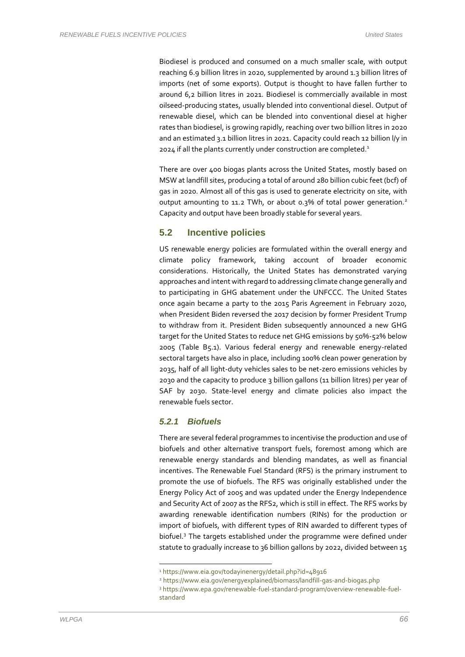Biodiesel is produced and consumed on a much smaller scale, with output reaching 6.9 billion litres in 2020, supplemented by around 1.3 billion litres of imports (net of some exports). Output is thought to have fallen further to around 6,2 billion litres in 2021. Biodiesel is commercially available in most oilseed-producing states, usually blended into conventional diesel. Output of renewable diesel, which can be blended into conventional diesel at higher rates than biodiesel, is growing rapidly, reaching over two billion litres in 2020 and an estimated 3.1 billion litres in 2021. Capacity could reach 12 billion l/y in 2024 if all the plants currently under construction are completed. 1

There are over 400 biogas plants across the United States, mostly based on MSW at landfill sites, producing a total of around 280 billion cubic feet (bcf) of gas in 2020. Almost all of this gas is used to generate electricity on site, with output amounting to 11.2 TWh, or about 0.3% of total power generation.<sup>2</sup> Capacity and output have been broadly stable for several years.

### **5.2 Incentive policies**

US renewable energy policies are formulated within the overall energy and climate policy framework, taking account of broader economic considerations. Historically, the United States has demonstrated varying approaches and intent with regard to addressing climate change generally and to participating in GHG abatement under the UNFCCC. The United States once again became a party to the 2015 Paris Agreement in February 2020, when President Biden reversed the 2017 decision by former President Trump to withdraw from it. President Biden subsequently announced a new GHG target for the United States to reduce net GHG emissions by 50%-52% below 2005 (Table B5.1). Various federal energy and renewable energy-related sectoral targets have also in place, including 100% clean power generation by 2035, half of all light-duty vehicles sales to be net-zero emissions vehicles by 2030 and the capacity to produce 3 billion gallons (11 billion litres) per year of SAF by 2030. State-level energy and climate policies also impact the renewable fuels sector.

#### *5.2.1 Biofuels*

There are several federal programmes to incentivise the production and use of biofuels and other alternative transport fuels, foremost among which are renewable energy standards and blending mandates, as well as financial incentives. The Renewable Fuel Standard (RFS) is the primary instrument to promote the use of biofuels. The RFS was originally established under the Energy Policy Act of 2005 and was updated under the Energy Independence and Security Act of 2007 as the RFS2, which is still in effect. The RFS works by awarding renewable identification numbers (RINs) for the production or import of biofuels, with different types of RIN awarded to different types of biofuel.<sup>3</sup> The targets established under the programme were defined under statute to gradually increase to 36 billion gallons by 2022, divided between 15

<sup>1</sup> https://www.eia.gov/todayinenergy/detail.php?id=48916

<sup>2</sup> https://www.eia.gov/energyexplained/biomass/landfill-gas-and-biogas.php

<sup>3</sup> https://www.epa.gov/renewable-fuel-standard-program/overview-renewable-fuelstandard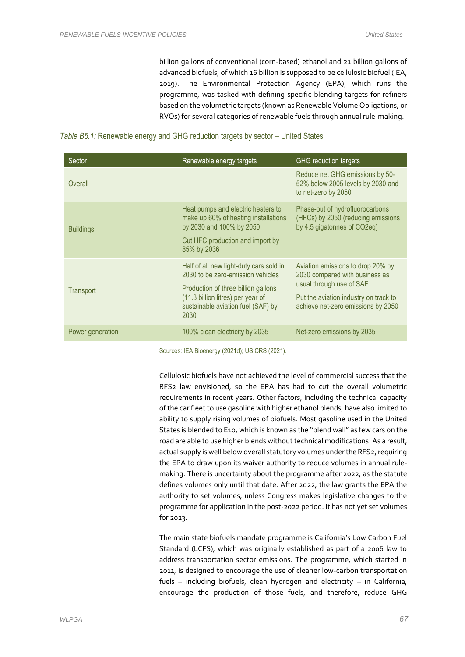billion gallons of conventional (corn-based) ethanol and 21 billion gallons of advanced biofuels, of which 16 billion is supposed to be cellulosic biofuel (IEA, 2019). The Environmental Protection Agency (EPA), which runs the programme, was tasked with defining specific blending targets for refiners based on the volumetric targets (known as Renewable Volume Obligations, or RVOs) for several categories of renewable fuels through annual rule-making.

#### *Table B5.1:* Renewable energy and GHG reduction targets by sector – United States

| Sector           | Renewable energy targets                                                                                                                                                                               | <b>GHG</b> reduction targets                                                                                                                                                    |
|------------------|--------------------------------------------------------------------------------------------------------------------------------------------------------------------------------------------------------|---------------------------------------------------------------------------------------------------------------------------------------------------------------------------------|
| Overall          |                                                                                                                                                                                                        | Reduce net GHG emissions by 50-<br>52% below 2005 levels by 2030 and<br>to net-zero by 2050                                                                                     |
| <b>Buildings</b> | Heat pumps and electric heaters to<br>make up 60% of heating installations<br>by 2030 and 100% by 2050<br>Cut HFC production and import by<br>85% by 2036                                              | Phase-out of hydrofluorocarbons<br>(HFCs) by 2050 (reducing emissions<br>by 4.5 gigatonnes of CO2eg)                                                                            |
| Transport        | Half of all new light-duty cars sold in<br>2030 to be zero-emission vehicles<br>Production of three billion gallons<br>(11.3 billion litres) per year of<br>sustainable aviation fuel (SAF) by<br>2030 | Aviation emissions to drop 20% by<br>2030 compared with business as<br>usual through use of SAF.<br>Put the aviation industry on track to<br>achieve net-zero emissions by 2050 |
| Power generation | 100% clean electricity by 2035                                                                                                                                                                         | Net-zero emissions by 2035                                                                                                                                                      |

Sources: IEA Bioenergy (2021d); US CRS (2021).

Cellulosic biofuels have not achieved the level of commercial success that the RFS2 law envisioned, so the EPA has had to cut the overall volumetric requirements in recent years. Other factors, including the technical capacity of the car fleet to use gasoline with higher ethanol blends, have also limited to ability to supply rising volumes of biofuels. Most gasoline used in the United States is blended to E10, which is known as the "blend wall" as few cars on the road are able to use higher blends without technical modifications. As a result, actual supply is well below overall statutory volumes under the RFS2, requiring the EPA to draw upon its waiver authority to reduce volumes in annual rulemaking. There is uncertainty about the programme after 2022, as the statute defines volumes only until that date. After 2022, the law grants the EPA the authority to set volumes, unless Congress makes legislative changes to the programme for application in the post-2022 period. It has not yet set volumes for 2023.

The main state biofuels mandate programme is California's Low Carbon Fuel Standard (LCFS), which was originally established as part of a 2006 law to address transportation sector emissions. The programme, which started in 2011, is designed to encourage the use of cleaner low-carbon transportation fuels – including biofuels, clean hydrogen and electricity – in California, encourage the production of those fuels, and therefore, reduce GHG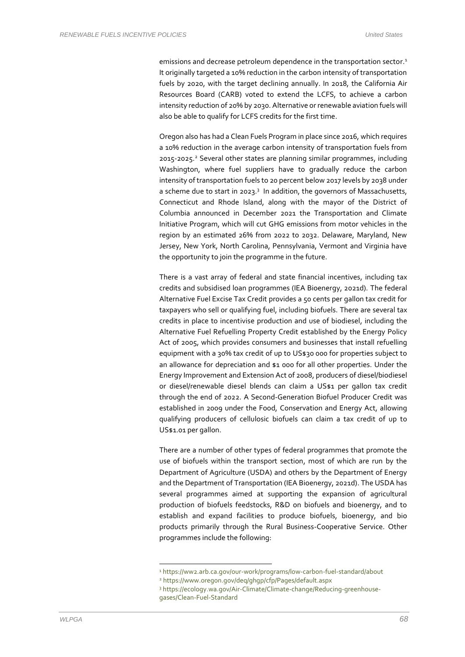emissions and decrease petroleum dependence in the transportation sector.<sup>1</sup> It originally targeted a 10% reduction in the carbon intensity of transportation fuels by 2020, with the target declining annually. In 2018, the California Air Resources Board (CARB) voted to extend the LCFS, to achieve a carbon intensity reduction of 20% by 2030. Alternative or renewable aviation fuels will also be able to qualify for LCFS credits for the first time.

Oregon also has had a Clean Fuels Program in place since 2016, which requires a 10% reduction in the average carbon intensity of transportation fuels from 2015-2025. <sup>2</sup> Several other states are planning similar programmes, including Washington, where fuel suppliers have to gradually reduce the carbon intensity of transportation fuels to 20 percent below 2017 levels by 2038 under a scheme due to start in 2023.<sup>3</sup> In addition, the governors of Massachusetts, Connecticut and Rhode Island, along with the mayor of the District of Columbia announced in December 2021 the Transportation and Climate Initiative Program, which will cut GHG emissions from motor vehicles in the region by an estimated 26% from 2022 to 2032. Delaware, Maryland, New Jersey, New York, North Carolina, Pennsylvania, Vermont and Virginia have the opportunity to join the programme in the future.

There is a vast array of federal and state financial incentives, including tax credits and subsidised loan programmes (IEA Bioenergy, 2021d). The federal Alternative Fuel Excise Tax Credit provides a 50 cents per gallon tax credit for taxpayers who sell or qualifying fuel, including biofuels. There are several tax credits in place to incentivise production and use of biodiesel, including the Alternative Fuel Refuelling Property Credit established by the Energy Policy Act of 2005, which provides consumers and businesses that install refuelling equipment with a 30% tax credit of up to US\$30 000 for properties subject to an allowance for depreciation and \$1 000 for all other properties. Under the Energy Improvement and Extension Act of 2008, producers of diesel/biodiesel or diesel/renewable diesel blends can claim a US\$1 per gallon tax credit through the end of 2022. A Second-Generation Biofuel Producer Credit was established in 2009 under the Food, Conservation and Energy Act, allowing qualifying producers of cellulosic biofuels can claim a tax credit of up to US\$1.01 per gallon.

There are a number of other types of federal programmes that promote the use of biofuels within the transport section, most of which are run by the Department of Agriculture (USDA) and others by the Department of Energy and the Department of Transportation (IEA Bioenergy, 2021d). The USDA has several programmes aimed at supporting the expansion of agricultural production of biofuels feedstocks, R&D on biofuels and bioenergy, and to establish and expand facilities to produce biofuels, bioenergy, and bio products primarily through the Rural Business-Cooperative Service. Other programmes include the following:

<sup>1</sup> https://ww2.arb.ca.gov/our-work/programs/low-carbon-fuel-standard/about

<sup>2</sup> https://www.oregon.gov/deq/ghgp/cfp/Pages/default.aspx

<sup>3</sup> https://ecology.wa.gov/Air-Climate/Climate-change/Reducing-greenhousegases/Clean-Fuel-Standard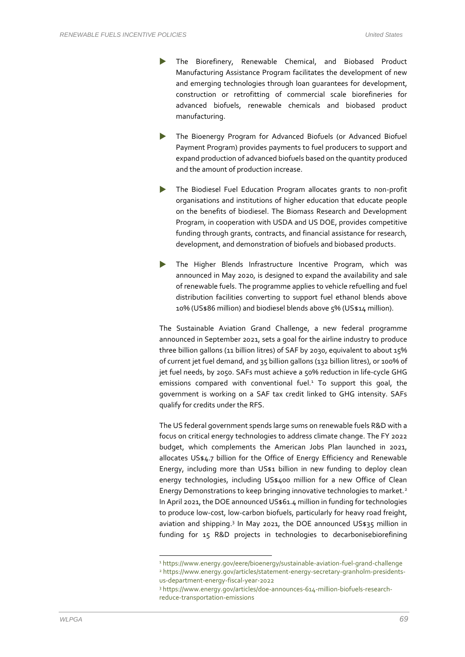- The Biorefinery, Renewable Chemical, and Biobased Product Manufacturing Assistance Program facilitates the development of new and emerging technologies through loan guarantees for development, construction or retrofitting of commercial scale biorefineries for advanced biofuels, renewable chemicals and biobased product manufacturing.
- The Bioenergy Program for Advanced Biofuels (or Advanced Biofuel Payment Program) provides payments to fuel producers to support and expand production of advanced biofuels based on the quantity produced and the amount of production increase.
- The Biodiesel Fuel Education Program allocates grants to non-profit organisations and institutions of higher education that educate people on the benefits of biodiesel. The Biomass Research and Development Program, in cooperation with USDA and US DOE, provides competitive funding through grants, contracts, and financial assistance for research, development, and demonstration of biofuels and biobased products.
- The Higher Blends Infrastructure Incentive Program, which was announced in May 2020, is designed to expand the availability and sale of renewable fuels. The programme applies to vehicle refuelling and fuel distribution facilities converting to support fuel ethanol blends above 10% (US\$86 million) and biodiesel blends above 5% (US\$14 million).

The Sustainable Aviation Grand Challenge, a new federal programme announced in September 2021, sets a goal for the airline industry to produce three billion gallons (11 billion litres) of SAF by 2030, equivalent to about 15% of current jet fuel demand, and 35 billion gallons (132 billion litres), or 100% of jet fuel needs, by 2050. SAFs must achieve a 50% reduction in life-cycle GHG emissions compared with conventional fuel. $1$  To support this goal, the government is working on a SAF tax credit linked to GHG intensity. SAFs qualify for credits under the RFS.

The US federal government spends large sums on renewable fuels R&D with a focus on critical energy technologies to address climate change. The FY 2022 budget, which complements the American Jobs Plan launched in 2021, allocates US\$4.7 billion for the Office of Energy Efficiency and Renewable Energy, including more than US\$1 billion in new funding to deploy clean energy technologies, including US\$400 million for a new Office of Clean Energy Demonstrations to keep bringing innovative technologies to market.<sup>2</sup> In April 2021, the DOE announced US\$61.4 million in funding for technologies to produce low-cost, low-carbon biofuels, particularly for heavy road freight, aviation and shipping. 3 In May 2021, the DOE announced US\$35 million in funding for 15 R&D projects in technologies to decarbonisebiorefining

<sup>1</sup> https://www.energy.gov/eere/bioenergy/sustainable-aviation-fuel-grand-challenge <sup>2</sup> https://www.energy.gov/articles/statement-energy-secretary-granholm-presidentsus-department-energy-fiscal-year-2022

<sup>3</sup> https://www.energy.gov/articles/doe-announces-614-million-biofuels-researchreduce-transportation-emissions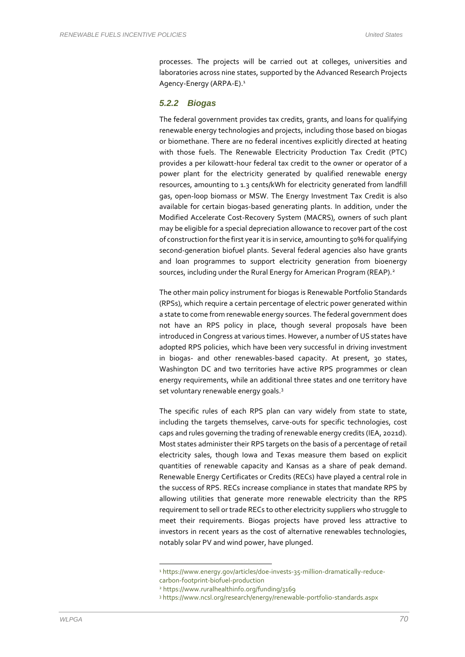processes. The projects will be carried out at colleges, universities and laboratories across nine states, supported by the Advanced Research Projects Agency-Energy (ARPA-E).<sup>1</sup>

#### *5.2.2 Biogas*

The federal government provides tax credits, grants, and loans for qualifying renewable energy technologies and projects, including those based on biogas or biomethane. There are no federal incentives explicitly directed at heating with those fuels. The Renewable Electricity Production Tax Credit (PTC) provides a per kilowatt-hour federal tax credit to the owner or operator of a power plant for the electricity generated by qualified renewable energy resources, amounting to 1.3 cents/kWh for electricity generated from landfill gas, open-loop biomass or MSW. The Energy Investment Tax Credit is also available for certain biogas-based generating plants. In addition, under the Modified Accelerate Cost-Recovery System (MACRS), owners of such plant may be eligible for a special depreciation allowance to recover part of the cost of construction for the first year it is in service, amounting to 50% for qualifying second-generation biofuel plants. Several federal agencies also have grants and loan programmes to support electricity generation from bioenergy sources, including under the Rural Energy for American Program (REAP).<sup>2</sup>

The other main policy instrument for biogas is Renewable Portfolio Standards (RPSs), which require a certain percentage of electric power generated within a state to come from renewable energy sources. The federal government does not have an RPS policy in place, though several proposals have been introduced in Congress at various times. However, a number of US states have adopted RPS policies, which have been very successful in driving investment in biogas- and other renewables-based capacity. At present, 30 states, Washington DC and two territories have active RPS programmes or clean energy requirements, while an additional three states and one territory have set voluntary renewable energy goals.<sup>3</sup>

The specific rules of each RPS plan can vary widely from state to state, including the targets themselves, carve-outs for specific technologies, cost caps and rules governing the trading of renewable energy credits (IEA, 2021d). Most states administer their RPS targets on the basis of a percentage of retail electricity sales, though Iowa and Texas measure them based on explicit quantities of renewable capacity and Kansas as a share of peak demand. Renewable Energy Certificates or Credits (RECs) have played a central role in the success of RPS. RECs increase compliance in states that mandate RPS by allowing utilities that generate more renewable electricity than the RPS requirement to sell or trade RECs to other electricity suppliers who struggle to meet their requirements. Biogas projects have proved less attractive to investors in recent years as the cost of alternative renewables technologies, notably solar PV and wind power, have plunged.

<sup>1</sup> https://www.energy.gov/articles/doe-invests-35-million-dramatically-reducecarbon-footprint-biofuel-production

<sup>2</sup> https://www.ruralhealthinfo.org/funding/3169

<sup>3</sup> https://www.ncsl.org/research/energy/renewable-portfolio-standards.aspx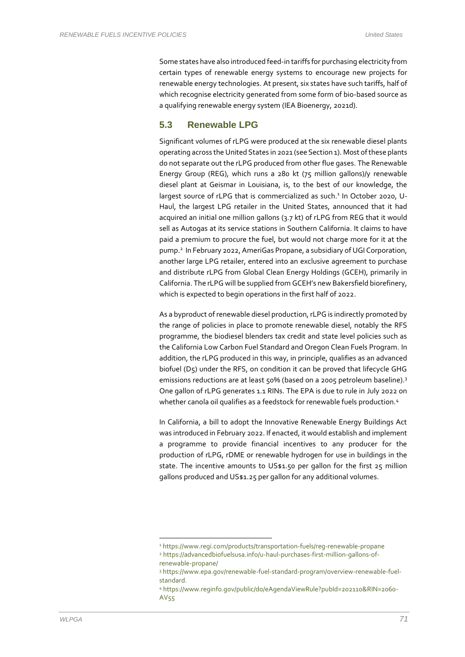Some states have also introduced feed-in tariffs for purchasing electricity from certain types of renewable energy systems to encourage new projects for renewable energy technologies. At present, six states have such tariffs, half of which recognise electricity generated from some form of bio-based source as a qualifying renewable energy system (IEA Bioenergy, 2021d).

### **5.3 Renewable LPG**

Significant volumes of rLPG were produced at the six renewable diesel plants operating across the United States in 2021 (see Section 1). Most of these plants do not separate out the rLPG produced from other flue gases. The Renewable Energy Group (REG), which runs a 280 kt (75 million gallons)/y renewable diesel plant at Geismar in Louisiana, is, to the best of our knowledge, the largest source of rLPG that is commercialized as such.<sup>1</sup> In October 2020, U-Haul, the largest LPG retailer in the United States, announced that it had acquired an initial one million gallons (3.7 kt) of rLPG from REG that it would sell as Autogas at its service stations in Southern California. It claims to have paid a premium to procure the fuel, but would not charge more for it at the pump.<sup>2</sup> In February 2022, AmeriGas Propane, a subsidiary of UGI Corporation, another large LPG retailer, entered into an exclusive agreement to purchase and distribute rLPG from Global Clean Energy Holdings (GCEH), primarily in California. The rLPG will be supplied from GCEH's new Bakersfield biorefinery, which is expected to begin operations in the first half of 2022.

As a byproduct of renewable diesel production, rLPG is indirectly promoted by the range of policies in place to promote renewable diesel, notably the RFS programme, the biodiesel blenders tax credit and state level policies such as the California Low Carbon Fuel Standard and Oregon Clean Fuels Program. In addition, the rLPG produced in this way, in principle, qualifies as an advanced biofuel (D5) under the RFS, on condition it can be proved that lifecycle GHG emissions reductions are at least 50% (based on a 2005 petroleum baseline). 3 One gallon of rLPG generates 1.1 RINs. The EPA is due to rule in July 2022 on whether canola oil qualifies as a feedstock for renewable fuels production.<sup>4</sup>

In California, a bill to adopt the Innovative Renewable Energy Buildings Act was introduced in February 2022. If enacted, it would establish and implement a programme to provide financial incentives to any producer for the production of rLPG, rDME or renewable hydrogen for use in buildings in the state. The incentive amounts to US\$1.50 per gallon for the first 25 million gallons produced and US\$1.25 per gallon for any additional volumes.

<sup>1</sup> https://www.regi.com/products/transportation-fuels/reg-renewable-propane

<sup>2</sup> https://advancedbiofuelsusa.info/u-haul-purchases-first-million-gallons-ofrenewable-propane/

<sup>3</sup> https://www.epa.gov/renewable-fuel-standard-program/overview-renewable-fuelstandard.

<sup>4</sup> https://www.reginfo.gov/public/do/eAgendaViewRule?pubId=202110&RIN=2060- AV55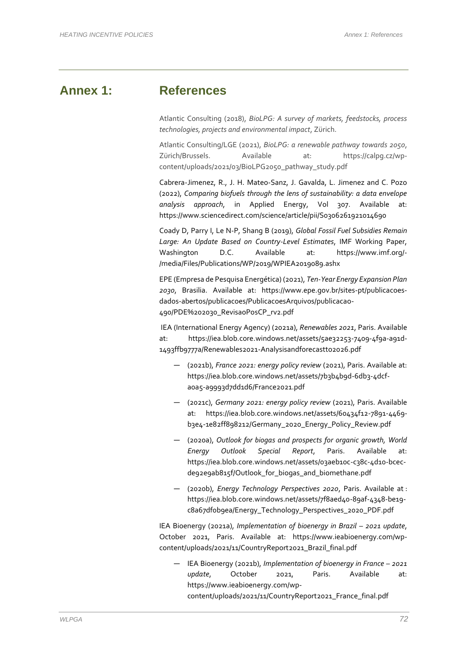# **Annex 1: References**

Atlantic Consulting (2018), *BioLPG: A survey of markets, feedstocks, process technologies, projects and environmental impact*, Zürich.

Atlantic Consulting/LGE (2021), *BioLPG: a renewable pathway towards 2050*, Zürich/Brussels. Available at: https://calpg.cz/wpcontent/uploads/2021/03/BioLPG2050\_pathway\_study.pdf

Cabrera-Jimenez, R., J. H. Mateo-Sanz, J. Gavalda, L. Jimenez and C. Pozo (2022), *Comparing biofuels through the lens of sustainability: a data envelope analysis approach*, in Applied Energy, Vol 307. Available at: https://www.sciencedirect.com/science/article/pii/S0306261921014690

Coady D, Parry I, Le N-P, Shang B (2019), *Global Fossil Fuel Subsidies Remain Large: An Update Based on Country-Level Estimates*, IMF Working Paper, Washington D.C. Available at: https://www.imf.org/- /media/Files/Publications/WP/2019/WPIEA2019089.ashx

EPE (Empresa de Pesquisa Energética) (2021), *Ten-Year Energy Expansion Plan 2030*, Brasilia. Available at: https://www.epe.gov.br/sites-pt/publicacoesdados-abertos/publicacoes/PublicacoesArquivos/publicacao-490/PDE%202030\_RevisaoPosCP\_rv2.pdf

IEA (International Energy Agency) (2021a), *Renewables 2021*, Paris. Available at: https://iea.blob.core.windows.net/assets/5ae32253-7409-4f9a-a91d-1493ffb9777a/Renewables2021-Analysisandforecastto2026.pdf

- (2021b), *France 2021: energy policy review* (2021), Paris. Available at: https://iea.blob.core.windows.net/assets/7b3b4b9d-6db3-4dcfa0a5-a9993d7dd1d6/France2021.pdf
- (2021c), *Germany 2021: energy policy review* (2021), Paris. Available at: https://iea.blob.core.windows.net/assets/60434f12-7891-4469 b3e4-1e82ff898212/Germany\_2020\_Energy\_Policy\_Review.pdf
- (2020a), *Outlook for biogas and prospects for organic growth, World Energy Outlook Special Report*, Paris. Available https://iea.blob.core.windows.net/assets/03aeb10c-c38c-4d10-bcecde92e9ab815f/Outlook\_for\_biogas\_and\_biomethane.pdf
- (2020b), *Energy Technology Perspectives 2020*, Paris. Available at : https://iea.blob.core.windows.net/assets/7f8aed40-89af-4348-be19 c8a67df0b9ea/Energy\_Technology\_Perspectives\_2020\_PDF.pdf

IEA Bioenergy (2021a), *Implementation of bioenergy in Brazil – 2021 update*, October 2021, Paris. Available at: https://www.ieabioenergy.com/wpcontent/uploads/2021/11/CountryReport2021\_Brazil\_final.pdf

— IEA Bioenergy (2021b), *Implementation of bioenergy in France – 2021 update*, October 2021, Paris. Available at: https://www.ieabioenergy.com/wpcontent/uploads/2021/11/CountryReport2021\_France\_final.pdf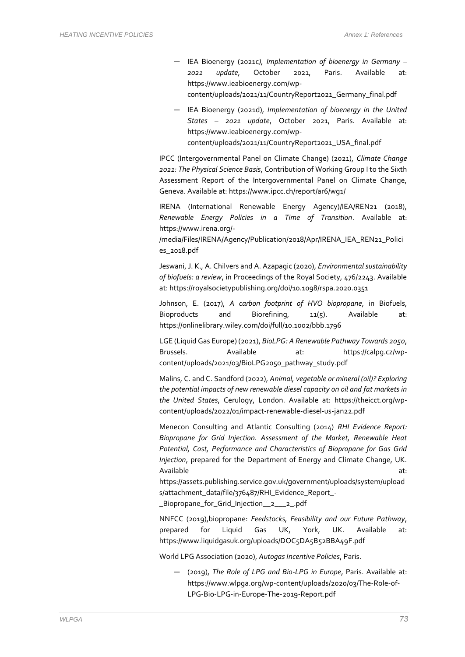- IEA Bioenergy (2021c*), Implementation of bioenergy in Germany – 2021 update*, October 2021, Paris. Available at: https://www.ieabioenergy.com/wpcontent/uploads/2021/11/CountryReport2021\_Germany\_final.pdf
- IEA Bioenergy (2021d), *Implementation of bioenergy in the United States – 2021 update*, October 2021, Paris. Available at: https://www.ieabioenergy.com/wpcontent/uploads/2021/11/CountryReport2021\_USA\_final.pdf

IPCC (Intergovernmental Panel on Climate Change) (2021), *Climate Change 2021: The Physical Science Basis*, Contribution of Working Group I to the Sixth Assessment Report of the Intergovernmental Panel on Climate Change, Geneva. Available at: https://www.ipcc.ch/report/ar6/wg1/

IRENA (International Renewable Energy Agency)/IEA/REN21 (2018), *Renewable Energy Policies in a Time of Transition*. Available at: https://www.irena.org/-

/media/Files/IRENA/Agency/Publication/2018/Apr/IRENA\_IEA\_REN21\_Polici es\_2018.pdf

Jeswani, J. K., A. Chilvers and A. Azapagic (2020), *Environmental sustainability of biofuels: a review*, in Proceedings of the Royal Society, 476/2243. Available at: https://royalsocietypublishing.org/doi/10.1098/rspa.2020.0351

Johnson, E. (2017), *A carbon footprint of HVO biopropane*, in Biofuels, Bioproducts and Biorefining,  $11(5)$ . Available at: https://onlinelibrary.wiley.com/doi/full/10.1002/bbb.1796

LGE (Liquid Gas Europe) (2021), *BioLPG: A Renewable Pathway Towards 2050*, Brussels. Available at: https://calpg.cz/wpcontent/uploads/2021/03/BioLPG2050\_pathway\_study.pdf

Malins, C. and C. Sandford (2022), *Animal, vegetable or mineral (oil)? Exploring the potential impacts of new renewable diesel capacity on oil and fat markets in the United States*, Cerulogy, London. Available at: https://theicct.org/wpcontent/uploads/2022/01/impact-renewable-diesel-us-jan22.pdf

Menecon Consulting and Atlantic Consulting (2014) *RHI Evidence Report: Biopropane for Grid Injection. Assessment of the Market, Renewable Heat Potential, Cost, Performance and Characteristics of Biopropane for Gas Grid Injection*, prepared for the Department of Energy and Climate Change, UK. Available at: and a state at a state at a state at a state at a state at a state at a state at a state at a st https://assets.publishing.service.gov.uk/government/uploads/system/upload s/attachment\_data/file/376487/RHI\_Evidence\_Report\_-

\_Biopropane\_for\_Grid\_Injection\_\_2\_\_\_2\_.pdf

NNFCC (2019),biopropane: *Feedstocks, Feasibility and our Future Pathway*, prepared for Liquid Gas UK, York, UK. Available at: https://www.liquidgasuk.org/uploads/DOC5DA5B52BBA49F.pdf

World LPG Association (2020), *Autogas Incentive Policies*, Paris.

— (2019), *The Role of LPG and Bio-LPG in Europe*, Paris. Available at: https://www.wlpga.org/wp-content/uploads/2020/03/The-Role-of-LPG-Bio-LPG-in-Europe-The-2019-Report.pdf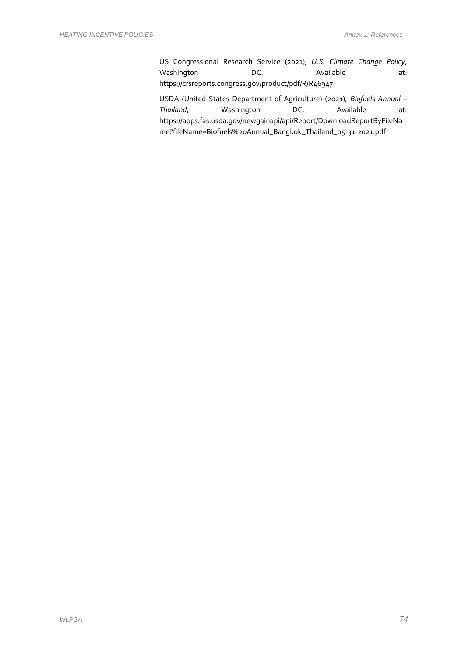US Congressional Research Service (2021), *U.S. Climate Change Policy*, Washington DC. DC. Available at: https://crsreports.congress.gov/product/pdf/R/R46947

USDA (United States Department of Agriculture) (2021), *Biofuels Annual – Thailand*, Washington DC. Available at: https://apps.fas.usda.gov/newgainapi/api/Report/DownloadReportByFileNa me?fileName=Biofuels%20Annual\_Bangkok\_Thailand\_05-31-2021.pdf